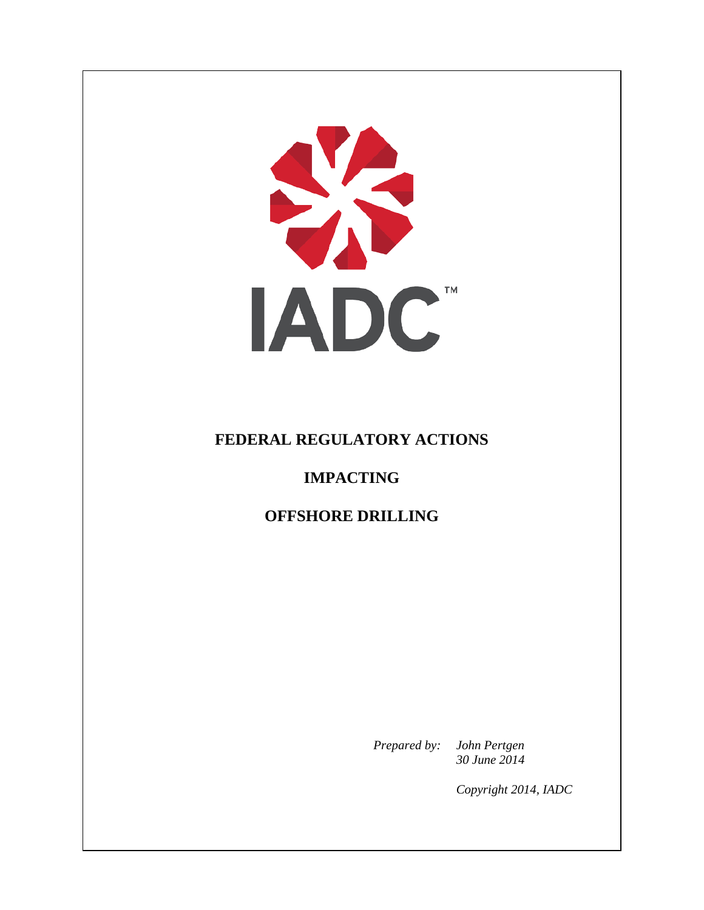SIS **IADC** 

## **FEDERAL REGULATORY ACTIONS**

## **IMPACTING**

**OFFSHORE DRILLING**

*Prepared by: John Pertgen 30 June 2014*

*Copyright 2014, IADC*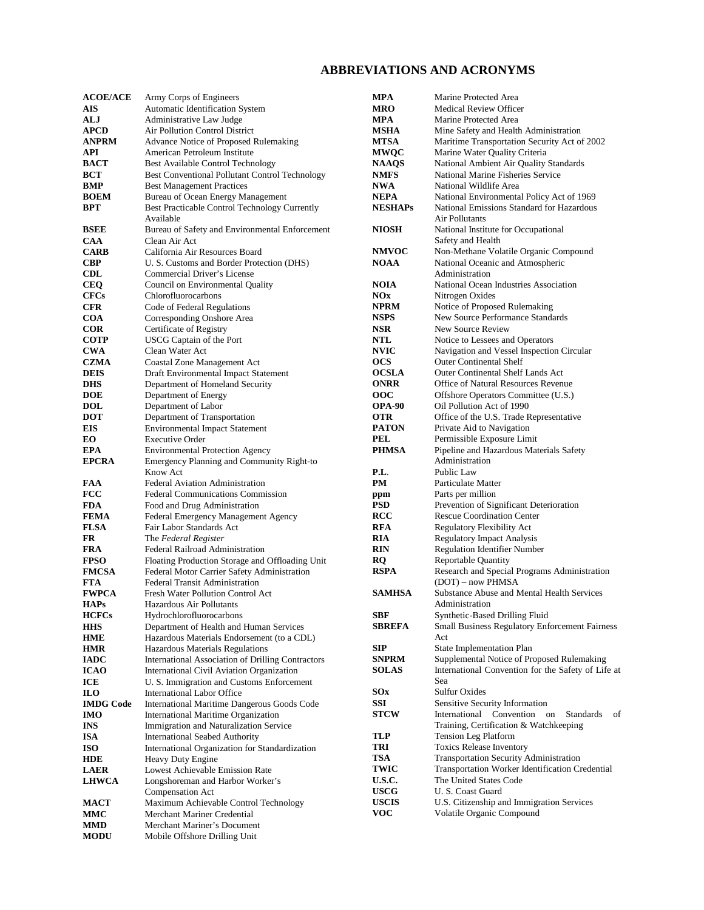#### **ABBREVIATIONS AND ACRONYMS**

| <b>ACOE/ACE</b>          | Army Corps of Engineers                                               | MPA               | Marine Protected Area                                             |
|--------------------------|-----------------------------------------------------------------------|-------------------|-------------------------------------------------------------------|
| <b>AIS</b>               | Automatic Identification System                                       | MRO               | <b>Medical Review Officer</b>                                     |
| ALJ                      | Administrative Law Judge                                              | MPA               | Marine Protected Area                                             |
| <b>APCD</b>              | Air Pollution Control District                                        | <b>MSHA</b>       | Mine Safety and Health Administration                             |
| <b>ANPRM</b>             | Advance Notice of Proposed Rulemaking                                 | <b>MTSA</b>       | Maritime Transportation Security Act of 2002                      |
| API                      | American Petroleum Institute                                          | <b>MWQC</b>       | Marine Water Quality Criteria                                     |
| <b>BACT</b>              | <b>Best Available Control Technology</b>                              | <b>NAAQS</b>      | National Ambient Air Quality Standards                            |
| BCT                      | <b>Best Conventional Pollutant Control Technology</b>                 | <b>NMFS</b>       | National Marine Fisheries Service                                 |
| BMP                      | <b>Best Management Practices</b>                                      | NWA               | National Wildlife Area                                            |
| <b>BOEM</b>              |                                                                       | <b>NEPA</b>       |                                                                   |
|                          | Bureau of Ocean Energy Management                                     |                   | National Environmental Policy Act of 1969                         |
| <b>BPT</b>               | Best Practicable Control Technology Currently<br>Available            | <b>NESHAPs</b>    | National Emissions Standard for Hazardous<br>Air Pollutants       |
| <b>BSEE</b>              | Bureau of Safety and Environmental Enforcement                        | <b>NIOSH</b>      | National Institute for Occupational                               |
| <b>CAA</b>               | Clean Air Act                                                         |                   | Safety and Health                                                 |
| <b>CARB</b>              | California Air Resources Board                                        | <b>NMVOC</b>      | Non-Methane Volatile Organic Compound                             |
| <b>CBP</b>               | U. S. Customs and Border Protection (DHS)                             | <b>NOAA</b>       | National Oceanic and Atmospheric                                  |
| <b>CDL</b>               | Commercial Driver's License                                           |                   | Administration                                                    |
| <b>CEQ</b>               | Council on Environmental Quality                                      | <b>NOIA</b>       | National Ocean Industries Association                             |
| <b>CFCs</b>              | Chlorofluorocarbons                                                   | NOx               | Nitrogen Oxides                                                   |
| <b>CFR</b>               | Code of Federal Regulations                                           | <b>NPRM</b>       | Notice of Proposed Rulemaking                                     |
| <b>COA</b>               | Corresponding Onshore Area                                            | <b>NSPS</b>       | New Source Performance Standards                                  |
| <b>COR</b>               | Certificate of Registry                                               | <b>NSR</b>        | New Source Review                                                 |
| <b>COTP</b>              | USCG Captain of the Port                                              | <b>NTL</b>        | Notice to Lessees and Operators                                   |
| <b>CWA</b>               | Clean Water Act                                                       | <b>NVIC</b>       | Navigation and Vessel Inspection Circular                         |
| <b>CZMA</b>              | Coastal Zone Management Act                                           | <b>OCS</b>        | <b>Outer Continental Shelf</b>                                    |
| <b>DEIS</b>              | Draft Environmental Impact Statement                                  | <b>OCSLA</b>      | <b>Outer Continental Shelf Lands Act</b>                          |
| <b>DHS</b>               | Department of Homeland Security                                       | <b>ONRR</b>       | Office of Natural Resources Revenue                               |
| <b>DOE</b>               | Department of Energy                                                  | <b>OOC</b>        | Offshore Operators Committee (U.S.)                               |
| <b>DOL</b>               | Department of Labor                                                   | <b>OPA-90</b>     | Oil Pollution Act of 1990                                         |
| <b>DOT</b>               |                                                                       | <b>OTR</b>        | Office of the U.S. Trade Representative                           |
| <b>EIS</b>               | Department of Transportation<br><b>Environmental Impact Statement</b> | <b>PATON</b>      | Private Aid to Navigation                                         |
| EO.                      | <b>Executive Order</b>                                                | PEL               | Permissible Exposure Limit                                        |
| <b>EPA</b>               | <b>Environmental Protection Agency</b>                                | <b>PHMSA</b>      | Pipeline and Hazardous Materials Safety                           |
| <b>EPCRA</b>             | Emergency Planning and Community Right-to                             |                   | Administration                                                    |
|                          | Know Act                                                              | P.L.              | Public Law                                                        |
|                          |                                                                       | PM                | Particulate Matter                                                |
| <b>FAA</b>               | <b>Federal Aviation Administration</b>                                |                   |                                                                   |
| <b>FCC</b>               | <b>Federal Communications Commission</b>                              | ppm<br><b>PSD</b> | Parts per million<br>Prevention of Significant Deterioration      |
| <b>FDA</b>               | Food and Drug Administration                                          |                   | <b>Rescue Coordination Center</b>                                 |
| <b>FEMA</b>              | Federal Emergency Management Agency                                   | <b>RCC</b>        |                                                                   |
| <b>FLSA</b><br><b>FR</b> | Fair Labor Standards Act                                              | <b>RFA</b><br>RIA | <b>Regulatory Flexibility Act</b>                                 |
|                          | The Federal Register                                                  |                   | <b>Regulatory Impact Analysis</b><br>Regulation Identifier Number |
| <b>FRA</b>               | Federal Railroad Administration                                       | <b>RIN</b>        | <b>Reportable Quantity</b>                                        |
| <b>FPSO</b>              | Floating Production Storage and Offloading Unit                       | <b>RQ</b>         |                                                                   |
| <b>FMCSA</b>             | Federal Motor Carrier Safety Administration                           | <b>RSPA</b>       | Research and Special Programs Administration                      |
| <b>FTA</b>               | <b>Federal Transit Administration</b>                                 | <b>SAMHSA</b>     | (DOT) – now PHMSA                                                 |
| <b>FWPCA</b>             | Fresh Water Pollution Control Act                                     |                   | <b>Substance Abuse and Mental Health Services</b>                 |
| <b>HAPs</b>              | Hazardous Air Pollutants                                              | <b>SBF</b>        | Administration                                                    |
| <b>HCFCs</b>             | Hydrochlorofluorocarbons                                              |                   | Synthetic-Based Drilling Fluid                                    |
| <b>HHS</b>               | Department of Health and Human Services                               | <b>SBREFA</b>     | Small Business Regulatory Enforcement Fairness                    |
| <b>HME</b>               | Hazardous Materials Endorsement (to a CDL)                            |                   | Act                                                               |
| <b>HMR</b>               | Hazardous Materials Regulations                                       | SIP               | State Implementation Plan                                         |
| <b>IADC</b>              | International Association of Drilling Contractors                     | <b>SNPRM</b>      | Supplemental Notice of Proposed Rulemaking                        |
| <b>ICAO</b>              | International Civil Aviation Organization                             | <b>SOLAS</b>      | International Convention for the Safety of Life at                |
| ICE                      | U. S. Immigration and Customs Enforcement                             |                   | Sea                                                               |
| <b>ILO</b>               | International Labor Office                                            | <b>SOx</b>        | <b>Sulfur Oxides</b>                                              |
| <b>IMDG Code</b>         | International Maritime Dangerous Goods Code                           | SSI               | Sensitive Security Information                                    |
| <b>IMO</b>               | International Maritime Organization                                   | <b>STCW</b>       | International Convention<br>Standards<br>of<br>on                 |
| <b>INS</b>               | Immigration and Naturalization Service                                |                   | Training, Certification & Watchkeeping                            |
| <b>ISA</b>               | <b>International Seabed Authority</b>                                 | TLP               | <b>Tension Leg Platform</b>                                       |
| <b>ISO</b>               | International Organization for Standardization                        | TRI               | <b>Toxics Release Inventory</b>                                   |
| <b>HDE</b>               | Heavy Duty Engine                                                     | TSA               | Transportation Security Administration                            |
| <b>LAER</b>              | Lowest Achievable Emission Rate                                       | TWIC              | Transportation Worker Identification Credential                   |
| <b>LHWCA</b>             | Longshoreman and Harbor Worker's                                      | U.S.C.            | The United States Code                                            |
|                          | Compensation Act                                                      | <b>USCG</b>       | U. S. Coast Guard                                                 |
| <b>MACT</b>              | Maximum Achievable Control Technology                                 | <b>USCIS</b>      | U.S. Citizenship and Immigration Services                         |
| <b>MMC</b>               | Merchant Mariner Credential                                           | <b>VOC</b>        | Volatile Organic Compound                                         |
| <b>MMD</b>               | Merchant Mariner's Document                                           |                   |                                                                   |
| <b>MODU</b>              | Mobile Offshore Drilling Unit                                         |                   |                                                                   |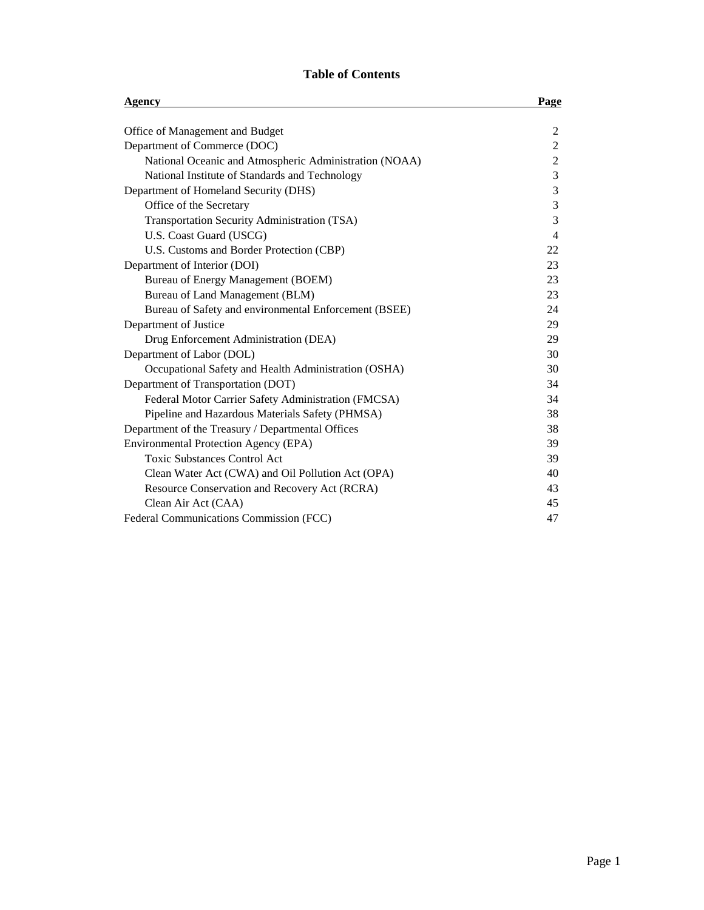#### **Table of Contents**

| Agency                                                 | <b>Page</b>    |  |
|--------------------------------------------------------|----------------|--|
| Office of Management and Budget                        | $\overline{c}$ |  |
| Department of Commerce (DOC)                           | $\mathbf{2}$   |  |
| National Oceanic and Atmospheric Administration (NOAA) | $\overline{2}$ |  |
| National Institute of Standards and Technology         | $\mathfrak{Z}$ |  |
| Department of Homeland Security (DHS)                  | 3              |  |
| Office of the Secretary                                | 3              |  |
| Transportation Security Administration (TSA)           | 3              |  |
| U.S. Coast Guard (USCG)                                | $\overline{4}$ |  |
| U.S. Customs and Border Protection (CBP)               | 22             |  |
| Department of Interior (DOI)                           | 23             |  |
| Bureau of Energy Management (BOEM)                     | 23             |  |
| Bureau of Land Management (BLM)                        | 23             |  |
| Bureau of Safety and environmental Enforcement (BSEE)  | 24             |  |
| Department of Justice                                  | 29             |  |
| Drug Enforcement Administration (DEA)                  | 29             |  |
| Department of Labor (DOL)                              | 30             |  |
| Occupational Safety and Health Administration (OSHA)   | 30             |  |
| Department of Transportation (DOT)                     | 34             |  |
| Federal Motor Carrier Safety Administration (FMCSA)    | 34             |  |
| Pipeline and Hazardous Materials Safety (PHMSA)        | 38             |  |
| Department of the Treasury / Departmental Offices      | 38             |  |
| <b>Environmental Protection Agency (EPA)</b>           | 39             |  |
| <b>Toxic Substances Control Act</b>                    | 39             |  |
| Clean Water Act (CWA) and Oil Pollution Act (OPA)      | 40             |  |
| Resource Conservation and Recovery Act (RCRA)          | 43             |  |
| Clean Air Act (CAA)                                    | 45             |  |
| Federal Communications Commission (FCC)                | 47             |  |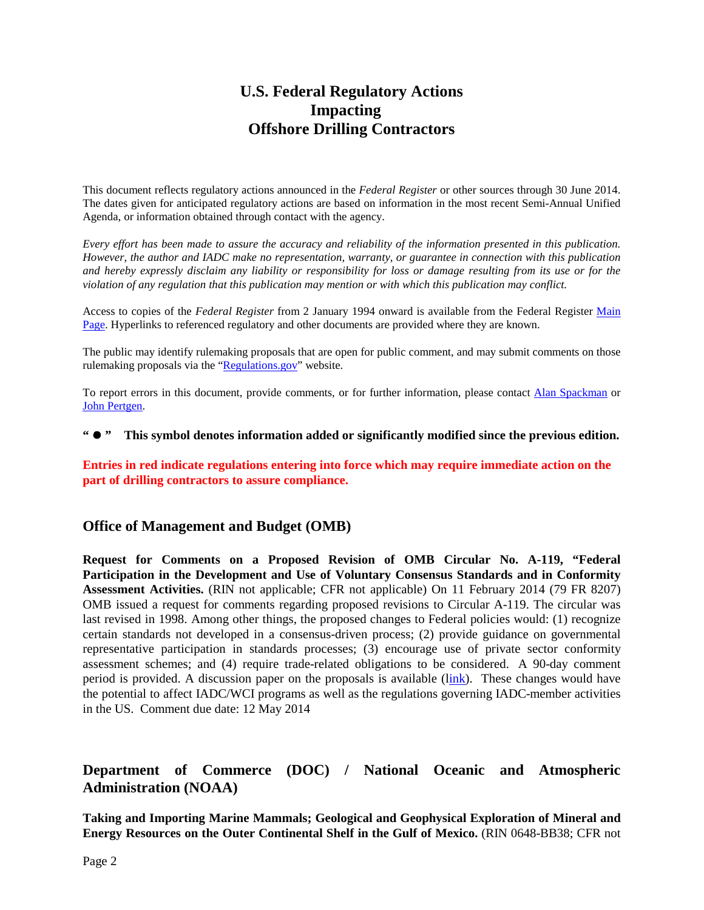# **U.S. Federal Regulatory Actions Impacting Offshore Drilling Contractors**

This document reflects regulatory actions announced in the *Federal Register* or other sources through 30 June 2014. The dates given for anticipated regulatory actions are based on information in the most recent Semi-Annual Unified Agenda, or information obtained through contact with the agency.

*Every effort has been made to assure the accuracy and reliability of the information presented in this publication. However, the author and IADC make no representation, warranty, or guarantee in connection with this publication and hereby expressly disclaim any liability or responsibility for loss or damage resulting from its use or for the violation of any regulation that this publication may mention or with which this publication may conflict.*

Access to copies of the *Federal Register* from 2 January 1994 onward is available from the Federal Register [Main](http://www.gpoaccess.gov/fr/index.html)  [Page.](http://www.gpoaccess.gov/fr/index.html) Hyperlinks to referenced regulatory and other documents are provided where they are known.

The public may identify rulemaking proposals that are open for public comment, and may submit comments on those rulemaking proposals via the ["Regulations.gov"](http://www.regulations.gov/) website.

To report errors in this document, provide comments, or for further information, please contact [Alan Spackman](mailto:alan.spackman@iadc.org) or [John Pertgen.](mailto:john.pertgen@iadc.org)

#### **" " This symbol denotes information added or significantly modified since the previous edition.**

**Entries in red indicate regulations entering into force which may require immediate action on the part of drilling contractors to assure compliance.**

#### **Office of Management and Budget (OMB)**

**Request for Comments on a Proposed Revision of OMB Circular No. A-119, "Federal Participation in the Development and Use of Voluntary Consensus Standards and in Conformity Assessment Activities.** (RIN not applicable; CFR not applicable) On 11 February 2014 (79 FR 8207) OMB issued a request for comments regarding proposed revisions to Circular A-119. The circular was last revised in 1998. Among other things, the proposed changes to Federal policies would: (1) recognize certain standards not developed in a consensus-driven process; (2) provide guidance on governmental representative participation in standards processes; (3) encourage use of private sector conformity assessment schemes; and (4) require trade-related obligations to be considered. A 90-day comment period is provided. A discussion paper on the proposals is available ([link\)](http://www.whitehouse.gov/omb/inforeg_infopoltech). These changes would have the potential to affect IADC/WCI programs as well as the regulations governing IADC-member activities in the US. Comment due date: 12 May 2014

## **Department of Commerce (DOC) / National Oceanic and Atmospheric Administration (NOAA)**

**Taking and Importing Marine Mammals; Geological and Geophysical Exploration of Mineral and Energy Resources on the Outer Continental Shelf in the Gulf of Mexico.** (RIN 0648-BB38; CFR not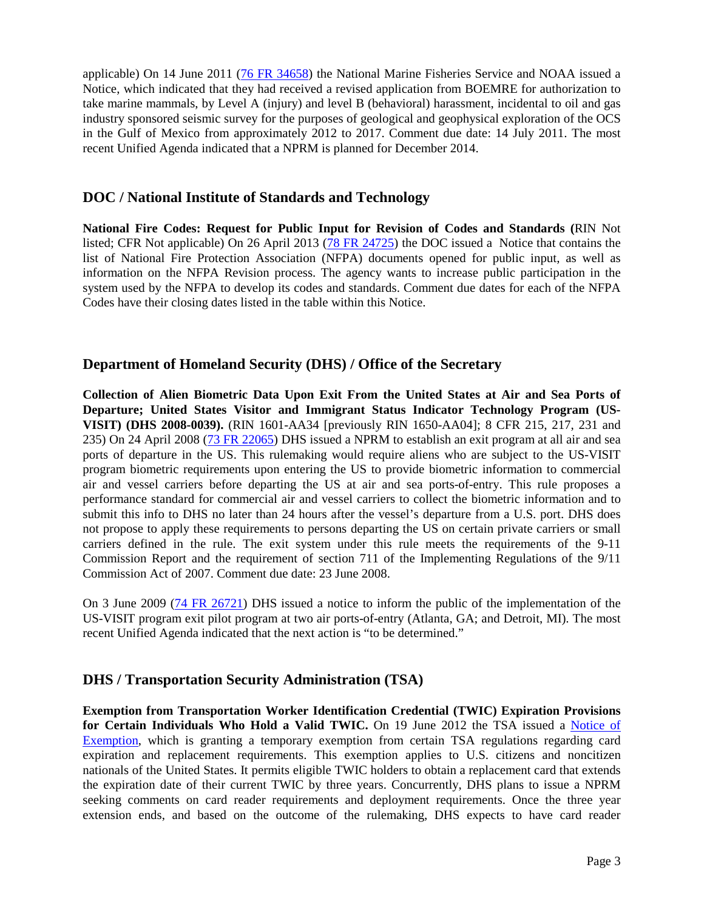applicable) On 14 June 2011 [\(76 FR 34658\)](http://www.gpo.gov/fdsys/pkg/FR-2011-06-14/pdf/2011-14742.pdf) the National Marine Fisheries Service and NOAA issued a Notice, which indicated that they had received a revised application from BOEMRE for authorization to take marine mammals, by Level A (injury) and level B (behavioral) harassment, incidental to oil and gas industry sponsored seismic survey for the purposes of geological and geophysical exploration of the OCS in the Gulf of Mexico from approximately 2012 to 2017. Comment due date: 14 July 2011. The most recent Unified Agenda indicated that a NPRM is planned for December 2014.

#### **DOC / National Institute of Standards and Technology**

**National Fire Codes: Request for Public Input for Revision of Codes and Standards (**RIN Not listed; CFR Not applicable) On 26 April 2013 [\(78 FR 24725\)](http://www.gpo.gov/fdsys/pkg/FR-2013-04-26/pdf/2013-09938.pdf) the DOC issued a Notice that contains the list of National Fire Protection Association (NFPA) documents opened for public input, as well as information on the NFPA Revision process. The agency wants to increase public participation in the system used by the NFPA to develop its codes and standards. Comment due dates for each of the NFPA Codes have their closing dates listed in the table within this Notice.

#### **Department of Homeland Security (DHS) / Office of the Secretary**

**Collection of Alien Biometric Data Upon Exit From the United States at Air and Sea Ports of Departure; United States Visitor and Immigrant Status Indicator Technology Program (US-VISIT) (DHS 2008-0039).** (RIN 1601-AA34 [previously RIN 1650-AA04]; 8 CFR 215, 217, 231 and 235) On 24 April 2008 [\(73 FR 22065\)](http://edocket.access.gpo.gov/2008/pdf/E8-8956.pdf) DHS issued a NPRM to establish an exit program at all air and sea ports of departure in the US. This rulemaking would require aliens who are subject to the US-VISIT program biometric requirements upon entering the US to provide biometric information to commercial air and vessel carriers before departing the US at air and sea ports-of-entry. This rule proposes a performance standard for commercial air and vessel carriers to collect the biometric information and to submit this info to DHS no later than 24 hours after the vessel's departure from a U.S. port. DHS does not propose to apply these requirements to persons departing the US on certain private carriers or small carriers defined in the rule. The exit system under this rule meets the requirements of the 9-11 Commission Report and the requirement of section 711 of the Implementing Regulations of the 9/11 Commission Act of 2007. Comment due date: 23 June 2008.

On 3 June 2009 [\(74 FR 26721\)](http://edocket.access.gpo.gov/2009/pdf/E9-12939.pdf) DHS issued a notice to inform the public of the implementation of the US-VISIT program exit pilot program at two air ports-of-entry (Atlanta, GA; and Detroit, MI). The most recent Unified Agenda indicated that the next action is "to be determined."

#### **DHS / Transportation Security Administration (TSA)**

**Exemption from Transportation Worker Identification Credential (TWIC) Expiration Provisions for Certain Individuals Who Hold a Valid TWIC.** On 19 June 2012 the TSA issued a [Notice of](http://www.gpo.gov/fdsys/pkg/FR-2012-06-19/pdf/2012-15027.pdf)  [Exemption,](http://www.gpo.gov/fdsys/pkg/FR-2012-06-19/pdf/2012-15027.pdf) which is granting a temporary exemption from certain TSA regulations regarding card expiration and replacement requirements. This exemption applies to U.S. citizens and noncitizen nationals of the United States. It permits eligible TWIC holders to obtain a replacement card that extends the expiration date of their current TWIC by three years. Concurrently, DHS plans to issue a NPRM seeking comments on card reader requirements and deployment requirements. Once the three year extension ends, and based on the outcome of the rulemaking, DHS expects to have card reader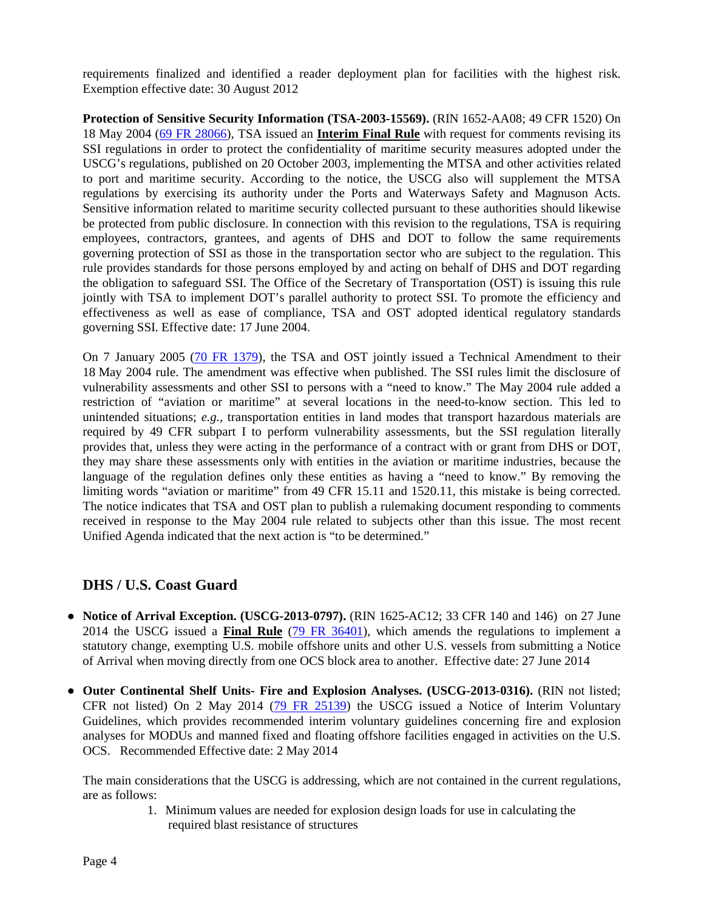requirements finalized and identified a reader deployment plan for facilities with the highest risk. Exemption effective date: 30 August 2012

**Protection of Sensitive Security Information (TSA-2003-15569).** (RIN 1652-AA08; 49 CFR 1520) On 18 May 2004 [\(69 FR 28066\)](http://edocket.access.gpo.gov/2004/pdf/04-11142.pdf), TSA issued an **Interim Final Rule** with request for comments revising its SSI regulations in order to protect the confidentiality of maritime security measures adopted under the USCG's regulations, published on 20 October 2003, implementing the MTSA and other activities related to port and maritime security. According to the notice, the USCG also will supplement the MTSA regulations by exercising its authority under the Ports and Waterways Safety and Magnuson Acts. Sensitive information related to maritime security collected pursuant to these authorities should likewise be protected from public disclosure. In connection with this revision to the regulations, TSA is requiring employees, contractors, grantees, and agents of DHS and DOT to follow the same requirements governing protection of SSI as those in the transportation sector who are subject to the regulation. This rule provides standards for those persons employed by and acting on behalf of DHS and DOT regarding the obligation to safeguard SSI. The Office of the Secretary of Transportation (OST) is issuing this rule jointly with TSA to implement DOT's parallel authority to protect SSI. To promote the efficiency and effectiveness as well as ease of compliance, TSA and OST adopted identical regulatory standards governing SSI. Effective date: 17 June 2004.

On 7 January 2005 [\(70 FR 1379\)](http://edocket.access.gpo.gov/2005/pdf/05-366.pdf), the TSA and OST jointly issued a Technical Amendment to their 18 May 2004 rule. The amendment was effective when published. The SSI rules limit the disclosure of vulnerability assessments and other SSI to persons with a "need to know." The May 2004 rule added a restriction of "aviation or maritime" at several locations in the need-to-know section. This led to unintended situations; *e.g.,* transportation entities in land modes that transport hazardous materials are required by 49 CFR subpart I to perform vulnerability assessments, but the SSI regulation literally provides that, unless they were acting in the performance of a contract with or grant from DHS or DOT, they may share these assessments only with entities in the aviation or maritime industries, because the language of the regulation defines only these entities as having a "need to know." By removing the limiting words "aviation or maritime" from 49 CFR 15.11 and 1520.11, this mistake is being corrected. The notice indicates that TSA and OST plan to publish a rulemaking document responding to comments received in response to the May 2004 rule related to subjects other than this issue. The most recent Unified Agenda indicated that the next action is "to be determined."

### **DHS / U.S. Coast Guard**

- **Notice of Arrival Exception. (USCG-2013-0797).** (RIN 1625-AC12; 33 CFR 140 and 146) on 27 June 2014 the USCG issued a **Final Rule** [\(79 FR 36401\)](http://www.gpo.gov/fdsys/pkg/FR-2014-06-27/pdf/2014-14997.pdf), which amends the regulations to implement a statutory change, exempting U.S. mobile offshore units and other U.S. vessels from submitting a Notice of Arrival when moving directly from one OCS block area to another. Effective date: 27 June 2014
- **Outer Continental Shelf Units- Fire and Explosion Analyses. (USCG-2013-0316).** (RIN not listed; CFR not listed) On 2 May 2014 [\(79 FR 25139\)](http://www.gpo.gov/fdsys/pkg/FR-2014-05-02/pdf/2014-10010.pdf) the USCG issued a Notice of Interim Voluntary Guidelines, which provides recommended interim voluntary guidelines concerning fire and explosion analyses for MODUs and manned fixed and floating offshore facilities engaged in activities on the U.S. OCS. Recommended Effective date: 2 May 2014

The main considerations that the USCG is addressing, which are not contained in the current regulations, are as follows:

> 1. Minimum values are needed for explosion design loads for use in calculating the required blast resistance of structures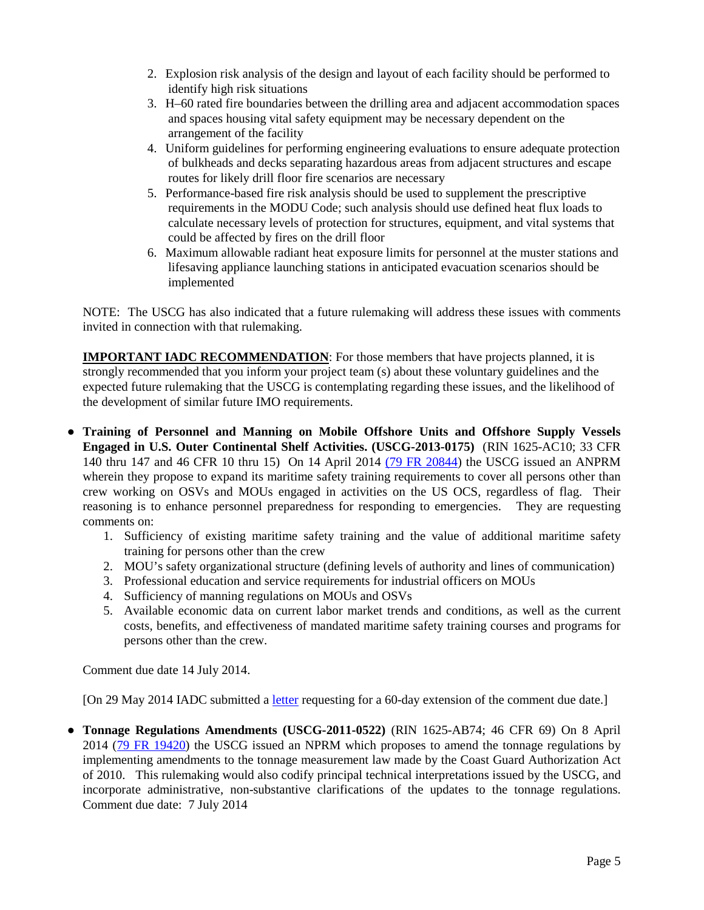- 2. Explosion risk analysis of the design and layout of each facility should be performed to identify high risk situations
- 3. H–60 rated fire boundaries between the drilling area and adjacent accommodation spaces and spaces housing vital safety equipment may be necessary dependent on the arrangement of the facility
- 4. Uniform guidelines for performing engineering evaluations to ensure adequate protection of bulkheads and decks separating hazardous areas from adjacent structures and escape routes for likely drill floor fire scenarios are necessary
- 5. Performance-based fire risk analysis should be used to supplement the prescriptive requirements in the MODU Code; such analysis should use defined heat flux loads to calculate necessary levels of protection for structures, equipment, and vital systems that could be affected by fires on the drill floor
- 6. Maximum allowable radiant heat exposure limits for personnel at the muster stations and lifesaving appliance launching stations in anticipated evacuation scenarios should be implemented

NOTE: The USCG has also indicated that a future rulemaking will address these issues with comments invited in connection with that rulemaking.

**IMPORTANT IADC RECOMMENDATION:** For those members that have projects planned, it is strongly recommended that you inform your project team (s) about these voluntary guidelines and the expected future rulemaking that the USCG is contemplating regarding these issues, and the likelihood of the development of similar future IMO requirements.

- **Training of Personnel and Manning on Mobile Offshore Units and Offshore Supply Vessels Engaged in U.S. Outer Continental Shelf Activities. (USCG-2013-0175)** (RIN 1625-AC10; 33 CFR 140 thru 147 and 46 CFR 10 thru 15)On 14 April 2014 [\(79 FR 20844\)](http://www.gpo.gov/fdsys/pkg/FR-2014-04-14/pdf/2014-08359.pdf) the USCG issued an ANPRM wherein they propose to expand its maritime safety training requirements to cover all persons other than crew working on OSVs and MOUs engaged in activities on the US OCS, regardless of flag. Their reasoning is to enhance personnel preparedness for responding to emergencies. They are requesting comments on:
	- 1. Sufficiency of existing maritime safety training and the value of additional maritime safety training for persons other than the crew
	- 2. MOU's safety organizational structure (defining levels of authority and lines of communication)
	- 3. Professional education and service requirements for industrial officers on MOUs
	- 4. Sufficiency of manning regulations on MOUs and OSVs
	- 5. Available economic data on current labor market trends and conditions, as well as the current costs, benefits, and effectiveness of mandated maritime safety training courses and programs for persons other than the crew.

Comment due date 14 July 2014.

[On 29 May 2014 IADC submitted a [letter](http://www.iadc.org/offshore-operating-division/documents/) requesting for a 60-day extension of the comment due date.]

**● Tonnage Regulations Amendments (USCG-2011-0522)** (RIN 1625-AB74; 46 CFR 69) On 8 April 2014 [\(79 FR 19420\)](http://www.gpo.gov/fdsys/pkg/FR-2014-04-08/pdf/2014-07321.pdf) the USCG issued an NPRM which proposes to amend the tonnage regulations by implementing amendments to the tonnage measurement law made by the Coast Guard Authorization Act of 2010. This rulemaking would also codify principal technical interpretations issued by the USCG, and incorporate administrative, non-substantive clarifications of the updates to the tonnage regulations. Comment due date: 7 July 2014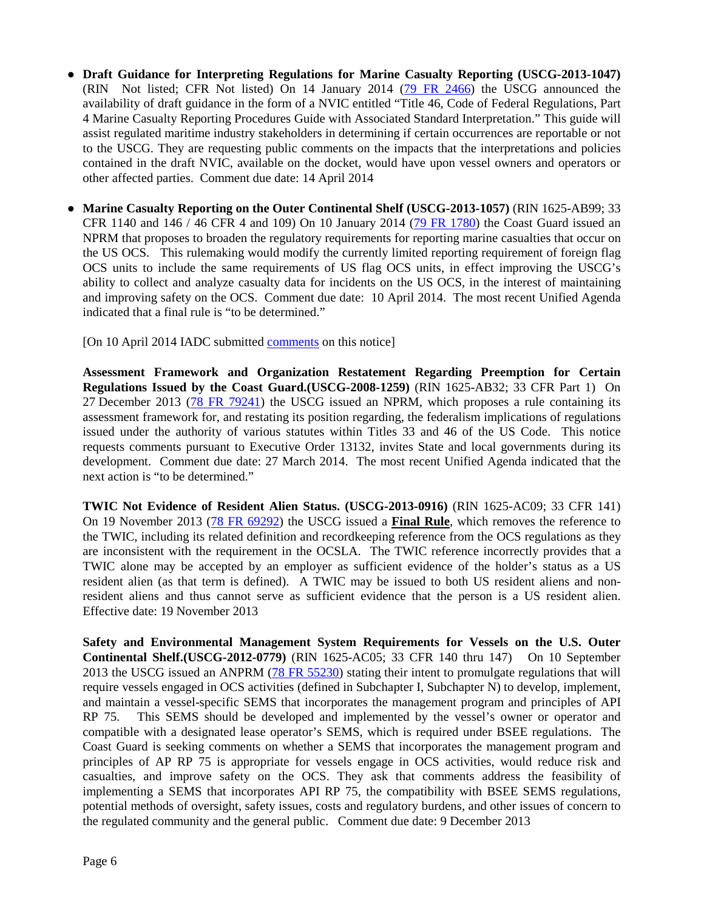- **● Draft Guidance for Interpreting Regulations for Marine Casualty Reporting (USCG-2013-1047)**  (RIN Not listed; CFR Not listed) On 14 January 2014 [\(79 FR 2466\)](http://www.gpo.gov/fdsys/pkg/FR-2014-01-14/pdf/2014-00443.pdf) the USCG announced the availability of draft guidance in the form of a NVIC entitled "Title 46, Code of Federal Regulations, Part 4 Marine Casualty Reporting Procedures Guide with Associated Standard Interpretation." This guide will assist regulated maritime industry stakeholders in determining if certain occurrences are reportable or not to the USCG. They are requesting public comments on the impacts that the interpretations and policies contained in the draft NVIC, available on the docket, would have upon vessel owners and operators or other affected parties. Comment due date: 14 April 2014
- **● Marine Casualty Reporting on the Outer Continental Shelf (USCG-2013-1057)** (RIN 1625-AB99; 33 CFR 1140 and 146 / 46 CFR 4 and 109) On 10 January 2014 [\(79 FR 1780\)](http://www.gpo.gov/fdsys/pkg/FR-2014-01-10/pdf/2014-00278.pdf) the Coast Guard issued an NPRM that proposes to broaden the regulatory requirements for reporting marine casualties that occur on the US OCS. This rulemaking would modify the currently limited reporting requirement of foreign flag OCS units to include the same requirements of US flag OCS units, in effect improving the USCG's ability to collect and analyze casualty data for incidents on the US OCS, in the interest of maintaining and improving safety on the OCS. Comment due date: 10 April 2014. The most recent Unified Agenda indicated that a final rule is "to be determined."

[On 10 April 2014 IADC submitted [comments](http://www.iadc.org/offshore-operating-division/documents/) on this notice]

**Assessment Framework and Organization Restatement Regarding Preemption for Certain Regulations Issued by the Coast Guard.(USCG-2008-1259)** (RIN 1625-AB32; 33 CFR Part 1) On 27 December 2013 [\(78 FR 79241\)](http://www.gpo.gov/fdsys/pkg/FR-2013-12-27/pdf/2013-29714.pdf) the USCG issued an NPRM, which proposes a rule containing its assessment framework for, and restating its position regarding, the federalism implications of regulations issued under the authority of various statutes within Titles 33 and 46 of the US Code. This notice requests comments pursuant to Executive Order 13132, invites State and local governments during its development. Comment due date: 27 March 2014. The most recent Unified Agenda indicated that the next action is "to be determined."

**TWIC Not Evidence of Resident Alien Status. (USCG-2013-0916)** (RIN 1625-AC09; 33 CFR 141) On 19 November 2013 [\(78 FR 69292\)](http://www.gpo.gov/fdsys/pkg/FR-2013-11-19/pdf/2013-27569.pdf) the USCG issued a **Final Rule**, which removes the reference to the TWIC, including its related definition and recordkeeping reference from the OCS regulations as they are inconsistent with the requirement in the OCSLA. The TWIC reference incorrectly provides that a TWIC alone may be accepted by an employer as sufficient evidence of the holder's status as a US resident alien (as that term is defined). A TWIC may be issued to both US resident aliens and nonresident aliens and thus cannot serve as sufficient evidence that the person is a US resident alien. Effective date: 19 November 2013

**Safety and Environmental Management System Requirements for Vessels on the U.S. Outer Continental Shelf.(USCG-2012-0779)** (RIN 1625-AC05; 33 CFR 140 thru 147) On 10 September 2013 the USCG issued an ANPRM [\(78 FR 55230\)](http://www.gpo.gov/fdsys/pkg/FR-2013-09-10/pdf/2013-21938.pdf) stating their intent to promulgate regulations that will require vessels engaged in OCS activities (defined in Subchapter I, Subchapter N) to develop, implement, and maintain a vessel-specific SEMS that incorporates the management program and principles of API RP 75. This SEMS should be developed and implemented by the vessel's owner or operator and compatible with a designated lease operator's SEMS, which is required under BSEE regulations. The Coast Guard is seeking comments on whether a SEMS that incorporates the management program and principles of AP RP 75 is appropriate for vessels engage in OCS activities, would reduce risk and casualties, and improve safety on the OCS. They ask that comments address the feasibility of implementing a SEMS that incorporates API RP 75, the compatibility with BSEE SEMS regulations, potential methods of oversight, safety issues, costs and regulatory burdens, and other issues of concern to the regulated community and the general public. Comment due date: 9 December 2013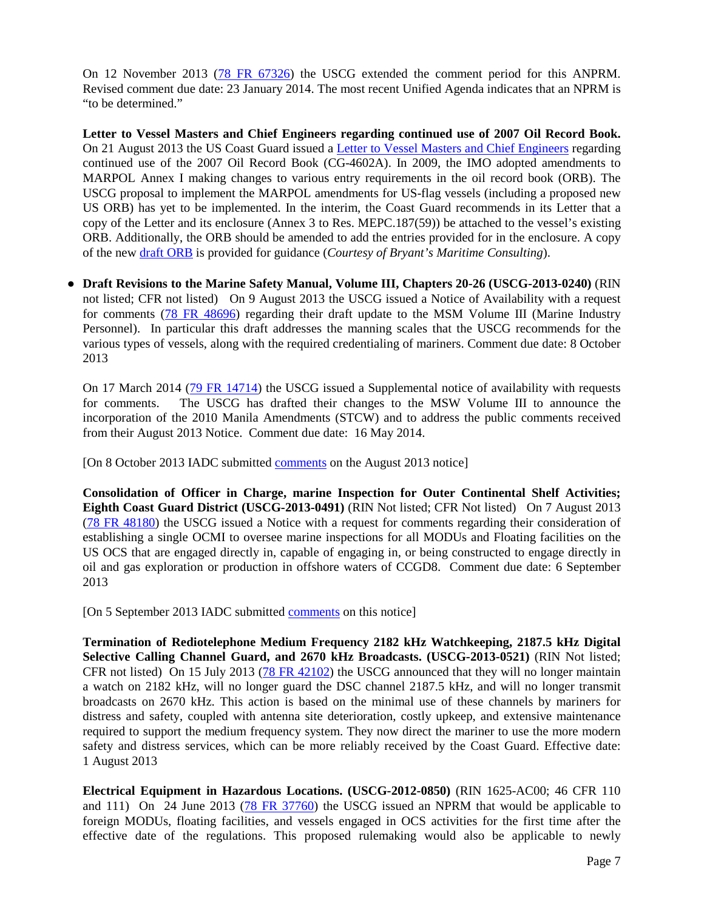On 12 November 2013 [\(78 FR 67326\)](http://www.gpo.gov/fdsys/pkg/FR-2013-11-12/pdf/2013-26878.pdf) the USCG extended the comment period for this ANPRM. Revised comment due date: 23 January 2014. The most recent Unified Agenda indicates that an NPRM is "to be determined."

**Letter to Vessel Masters and Chief Engineers regarding continued use of 2007 Oil Record Book.**  On 21 August 2013 the US Coast Guard issued a [Letter to Vessel Masters and Chief Engineers](http://www.brymar-consulting.com/wp-content/uploads/Misc/ORB_Ltr_130821.pdf) regarding continued use of the 2007 Oil Record Book (CG-4602A). In 2009, the IMO adopted amendments to MARPOL Annex I making changes to various entry requirements in the oil record book (ORB). The USCG proposal to implement the MARPOL amendments for US-flag vessels (including a proposed new US ORB) has yet to be implemented. In the interim, the Coast Guard recommends in its Letter that a copy of the Letter and its enclosure (Annex 3 to Res. MEPC.187(59)) be attached to the vessel's existing ORB. Additionally, the ORB should be amended to add the entries provided for in the enclosure. A copy of the new [draft ORB](http://www.brymar-consulting.com/wp-content/uploads/Misc/ORB_120700.pdf) is provided for guidance (*Courtesy of Bryant's Maritime Consulting*).

**● Draft Revisions to the Marine Safety Manual, Volume III, Chapters 20-26 (USCG-2013-0240)** (RIN not listed; CFR not listed) On 9 August 2013 the USCG issued a Notice of Availability with a request for comments [\(78 FR 48696\)](http://www.gpo.gov/fdsys/pkg/FR-2013-08-09/pdf/2013-19359.pdf) regarding their draft update to the MSM Volume III (Marine Industry Personnel). In particular this draft addresses the manning scales that the USCG recommends for the various types of vessels, along with the required credentialing of mariners. Comment due date: 8 October 2013

On 17 March 2014 [\(79 FR 14714\)](http://www.gpo.gov/fdsys/pkg/FR-2014-03-17/pdf/2014-05725.pdf) the USCG issued a Supplemental notice of availability with requests for comments. The USCG has drafted their changes to the MSW Volume III to announce the incorporation of the 2010 Manila Amendments (STCW) and to address the public comments received from their August 2013 Notice. Comment due date: 16 May 2014.

[On 8 October 2013 IADC submitted [comments](http://www.iadc.org/offshore-operating-division/documents/) on the August 2013 notice]

**Consolidation of Officer in Charge, marine Inspection for Outer Continental Shelf Activities; Eighth Coast Guard District (USCG-2013-0491)** (RIN Not listed; CFR Not listed) On 7 August 2013 [\(78 FR 48180\)](http://www.gpo.gov/fdsys/pkg/FR-2013-08-07/pdf/2013-19098.pdf) the USCG issued a Notice with a request for comments regarding their consideration of establishing a single OCMI to oversee marine inspections for all MODUs and Floating facilities on the US OCS that are engaged directly in, capable of engaging in, or being constructed to engage directly in oil and gas exploration or production in offshore waters of CCGD8. Comment due date: 6 September 2013

[On 5 September 2013 IADC submitted [comments](http://www.iadc.org/offshore-operating-division/documents/) on this notice]

**Termination of Rediotelephone Medium Frequency 2182 kHz Watchkeeping, 2187.5 kHz Digital Selective Calling Channel Guard, and 2670 kHz Broadcasts. (USCG-2013-0521)** (RIN Not listed; CFR not listed) On 15 July 2013 [\(78 FR 42102\)](http://www.gpo.gov/fdsys/pkg/FR-2013-07-15/pdf/2013-16801.pdf) the USCG announced that they will no longer maintain a watch on 2182 kHz, will no longer guard the DSC channel 2187.5 kHz, and will no longer transmit broadcasts on 2670 kHz. This action is based on the minimal use of these channels by mariners for distress and safety, coupled with antenna site deterioration, costly upkeep, and extensive maintenance required to support the medium frequency system. They now direct the mariner to use the more modern safety and distress services, which can be more reliably received by the Coast Guard. Effective date: 1 August 2013

**Electrical Equipment in Hazardous Locations. (USCG-2012-0850)** (RIN 1625-AC00; 46 CFR 110 and 111) On 24 June 2013 [\(78 FR 37760\)](http://www.gpo.gov/fdsys/pkg/FR-2013-06-24/pdf/2013-14951.pdf) the USCG issued an NPRM that would be applicable to foreign MODUs, floating facilities, and vessels engaged in OCS activities for the first time after the effective date of the regulations. This proposed rulemaking would also be applicable to newly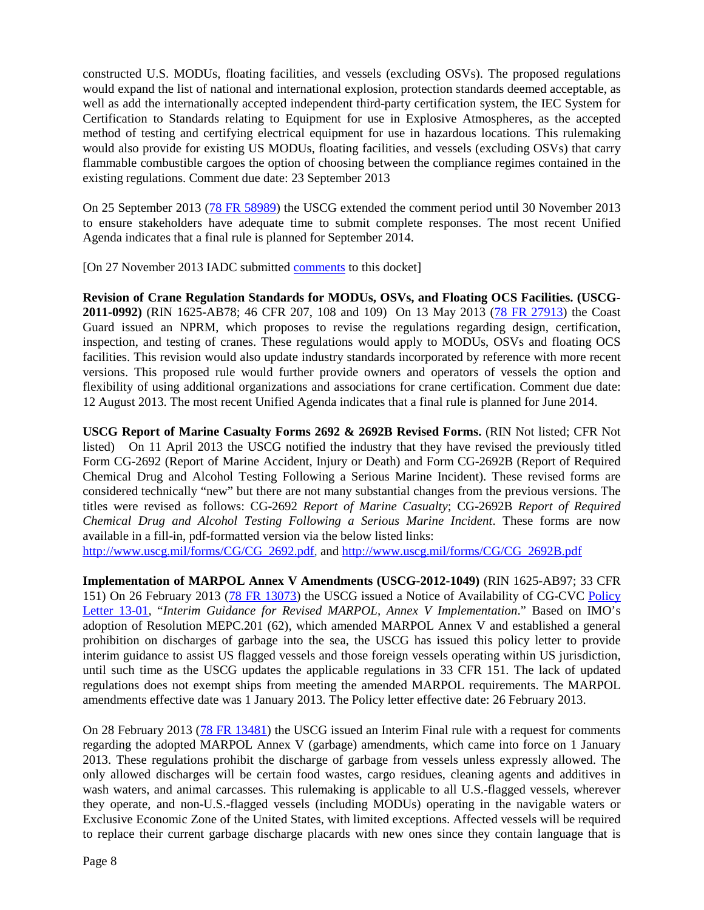constructed U.S. MODUs, floating facilities, and vessels (excluding OSVs). The proposed regulations would expand the list of national and international explosion, protection standards deemed acceptable, as well as add the internationally accepted independent third-party certification system, the IEC System for Certification to Standards relating to Equipment for use in Explosive Atmospheres, as the accepted method of testing and certifying electrical equipment for use in hazardous locations. This rulemaking would also provide for existing US MODUs, floating facilities, and vessels (excluding OSVs) that carry flammable combustible cargoes the option of choosing between the compliance regimes contained in the existing regulations. Comment due date: 23 September 2013

On 25 September 2013 [\(78 FR 58989\)](http://www.gpo.gov/fdsys/pkg/FR-2013-09-25/pdf/2013-23280.pdf) the USCG extended the comment period until 30 November 2013 to ensure stakeholders have adequate time to submit complete responses. The most recent Unified Agenda indicates that a final rule is planned for September 2014.

[On 27 November 2013 IADC submitted [comments](http://www.iadc.org/offshore-operating-division/documents/) to this docket]

**Revision of Crane Regulation Standards for MODUs, OSVs, and Floating OCS Facilities. (USCG-2011-0992)** (RIN 1625-AB78; 46 CFR 207, 108 and 109) On 13 May 2013 [\(78 FR 27913\)](http://www.gpo.gov/fdsys/pkg/FR-2013-05-13/pdf/2013-11132.pdf) the Coast Guard issued an NPRM, which proposes to revise the regulations regarding design, certification, inspection, and testing of cranes. These regulations would apply to MODUs, OSVs and floating OCS facilities. This revision would also update industry standards incorporated by reference with more recent versions. This proposed rule would further provide owners and operators of vessels the option and flexibility of using additional organizations and associations for crane certification. Comment due date: 12 August 2013. The most recent Unified Agenda indicates that a final rule is planned for June 2014.

**USCG Report of Marine Casualty Forms 2692 & 2692B Revised Forms.** (RIN Not listed; CFR Not listed) On 11 April 2013 the USCG notified the industry that they have revised the previously titled Form CG-2692 (Report of Marine Accident, Injury or Death) and Form CG-2692B (Report of Required Chemical Drug and Alcohol Testing Following a Serious Marine Incident). These revised forms are considered technically "new" but there are not many substantial changes from the previous versions. The titles were revised as follows: CG-2692 *Report of Marine Casualty*; CG-2692B *Report of Required Chemical Drug and Alcohol Testing Following a Serious Marine Incident*. These forms are now available in a fill-in, pdf-formatted version via the below listed links:

[http://www.uscg.mil/forms/CG/CG\\_2692.pdf,](http://www.uscg.mil/forms/CG/CG_2692.pdf) and [http://www.uscg.mil/forms/CG/CG\\_2692B.pdf](http://www.uscg.mil/forms/CG/CG_2692B.pdf)

**Implementation of MARPOL Annex V Amendments (USCG-2012-1049)** (RIN 1625-AB97; 33 CFR 151) On 26 February 2013 [\(78 FR 13073\)](http://www.gpo.gov/fdsys/pkg/FR-2013-02-26/pdf/2013-04319.pdf) the USCG issued a Notice of Availability of CG-CVC [Policy](https://homeport.uscg.mil/cgi-bin/st/portal/uscg_docs/MyCG/Editorial/20130226/CG-CVC%20Policy%20Letter%20No.%2013-01%20Interim%20Guidance%20For%20Revised%20MARPOL%20Annex%20V%20Implementation.pdf?)  [Letter 13-01,](https://homeport.uscg.mil/cgi-bin/st/portal/uscg_docs/MyCG/Editorial/20130226/CG-CVC%20Policy%20Letter%20No.%2013-01%20Interim%20Guidance%20For%20Revised%20MARPOL%20Annex%20V%20Implementation.pdf?) "*Interim Guidance for Revised MARPOL, Annex V Implementation*." Based on IMO's adoption of Resolution MEPC.201 (62), which amended MARPOL Annex V and established a general prohibition on discharges of garbage into the sea, the USCG has issued this policy letter to provide interim guidance to assist US flagged vessels and those foreign vessels operating within US jurisdiction, until such time as the USCG updates the applicable regulations in 33 CFR 151. The lack of updated regulations does not exempt ships from meeting the amended MARPOL requirements. The MARPOL amendments effective date was 1 January 2013. The Policy letter effective date: 26 February 2013.

On 28 February 2013 [\(78 FR 13481\)](http://www.gpo.gov/fdsys/pkg/FR-2013-02-28/pdf/2013-04616.pdf) the USCG issued an Interim Final rule with a request for comments regarding the adopted MARPOL Annex V (garbage) amendments, which came into force on 1 January 2013. These regulations prohibit the discharge of garbage from vessels unless expressly allowed. The only allowed discharges will be certain food wastes, cargo residues, cleaning agents and additives in wash waters, and animal carcasses. This rulemaking is applicable to all U.S.-flagged vessels, wherever they operate, and non-U.S.-flagged vessels (including MODUs) operating in the navigable waters or Exclusive Economic Zone of the United States, with limited exceptions. Affected vessels will be required to replace their current garbage discharge placards with new ones since they contain language that is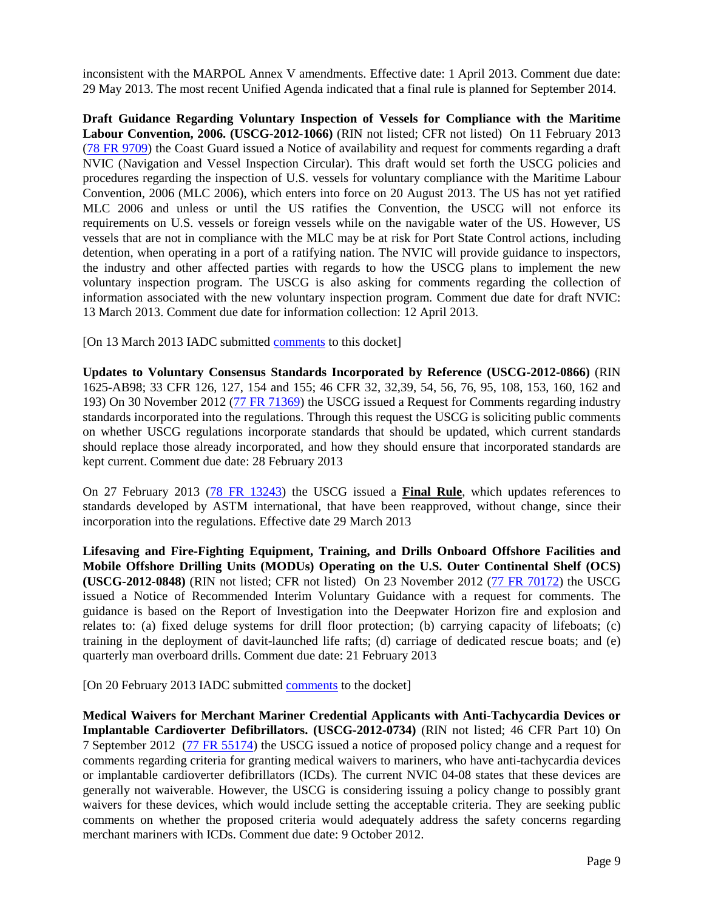inconsistent with the MARPOL Annex V amendments. Effective date: 1 April 2013. Comment due date: 29 May 2013. The most recent Unified Agenda indicated that a final rule is planned for September 2014.

**Draft Guidance Regarding Voluntary Inspection of Vessels for Compliance with the Maritime Labour Convention, 2006. (USCG-2012-1066)** (RIN not listed; CFR not listed) On 11 February 2013 [\(78 FR 9709\)](http://www.gpo.gov/fdsys/pkg/FR-2013-02-11/pdf/2013-02956.pdf) the Coast Guard issued a Notice of availability and request for comments regarding a draft NVIC (Navigation and Vessel Inspection Circular). This draft would set forth the USCG policies and procedures regarding the inspection of U.S. vessels for voluntary compliance with the Maritime Labour Convention, 2006 (MLC 2006), which enters into force on 20 August 2013. The US has not yet ratified MLC 2006 and unless or until the US ratifies the Convention, the USCG will not enforce its requirements on U.S. vessels or foreign vessels while on the navigable water of the US. However, US vessels that are not in compliance with the MLC may be at risk for Port State Control actions, including detention, when operating in a port of a ratifying nation. The NVIC will provide guidance to inspectors, the industry and other affected parties with regards to how the USCG plans to implement the new voluntary inspection program. The USCG is also asking for comments regarding the collection of information associated with the new voluntary inspection program. Comment due date for draft NVIC: 13 March 2013. Comment due date for information collection: 12 April 2013.

[On 13 March 2013 IADC submitted [comments](http://www.iadc.org/offshore-operating-division/documents/) to this docket]

**Updates to Voluntary Consensus Standards Incorporated by Reference (USCG-2012-0866)** (RIN 1625-AB98; 33 CFR 126, 127, 154 and 155; 46 CFR 32, 32,39, 54, 56, 76, 95, 108, 153, 160, 162 and 193) On 30 November 2012 [\(77 FR 71369\)](http://www.gpo.gov/fdsys/pkg/FR-2012-11-30/pdf/2012-28286.pdf) the USCG issued a Request for Comments regarding industry standards incorporated into the regulations. Through this request the USCG is soliciting public comments on whether USCG regulations incorporate standards that should be updated, which current standards should replace those already incorporated, and how they should ensure that incorporated standards are kept current. Comment due date: 28 February 2013

On 27 February 2013 [\(78 FR 13243\)](http://www.gpo.gov/fdsys/pkg/FR-2013-02-27/pdf/2013-03724.pdf) the USCG issued a **Final Rule**, which updates references to standards developed by ASTM international, that have been reapproved, without change, since their incorporation into the regulations. Effective date 29 March 2013

**Lifesaving and Fire-Fighting Equipment, Training, and Drills Onboard Offshore Facilities and Mobile Offshore Drilling Units (MODUs) Operating on the U.S. Outer Continental Shelf (OCS) (USCG-2012-0848)** (RIN not listed; CFR not listed) On 23 November 2012 [\(77 FR 70172\)](http://www.gpo.gov/fdsys/pkg/FR-2012-11-23/pdf/2012-28487.pdf) the USCG issued a Notice of Recommended Interim Voluntary Guidance with a request for comments. The guidance is based on the Report of Investigation into the Deepwater Horizon fire and explosion and relates to: (a) fixed deluge systems for drill floor protection; (b) carrying capacity of lifeboats; (c) training in the deployment of davit-launched life rafts; (d) carriage of dedicated rescue boats; and (e) quarterly man overboard drills. Comment due date: 21 February 2013

[On 20 February 2013 IADC submitted [comments](http://www.iadc.org/offshore-operating-division/documents/) to the docket]

**Medical Waivers for Merchant Mariner Credential Applicants with Anti-Tachycardia Devices or Implantable Cardioverter Defibrillators. (USCG-2012-0734)** (RIN not listed; 46 CFR Part 10) On 7 September 2012 [\(77 FR 55174\)](http://www.gpo.gov/fdsys/pkg/FR-2012-09-07/pdf/2012-22006.pdf) the USCG issued a notice of proposed policy change and a request for comments regarding criteria for granting medical waivers to mariners, who have anti-tachycardia devices or implantable cardioverter defibrillators (ICDs). The current NVIC 04-08 states that these devices are generally not waiverable. However, the USCG is considering issuing a policy change to possibly grant waivers for these devices, which would include setting the acceptable criteria. They are seeking public comments on whether the proposed criteria would adequately address the safety concerns regarding merchant mariners with ICDs. Comment due date: 9 October 2012.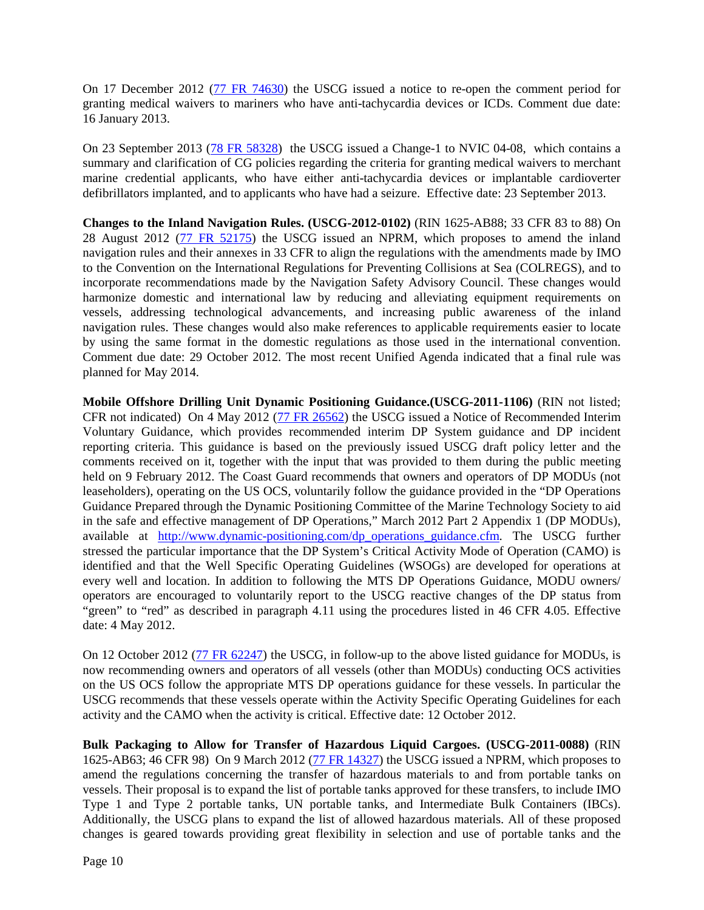On 17 December 2012 [\(77 FR 74630\)](http://www.gpo.gov/fdsys/pkg/FR-2012-12-17/pdf/2012-30296.pdf) the USCG issued a notice to re-open the comment period for granting medical waivers to mariners who have anti-tachycardia devices or ICDs. Comment due date: 16 January 2013.

On 23 September 2013 [\(78 FR 58328\)](http://www.gpo.gov/fdsys/pkg/FR-2013-09-23/pdf/2013-23114.pdf) the USCG issued a Change-1 to NVIC 04-08, which contains a summary and clarification of CG policies regarding the criteria for granting medical waivers to merchant marine credential applicants, who have either anti-tachycardia devices or implantable cardioverter defibrillators implanted, and to applicants who have had a seizure. Effective date: 23 September 2013.

**Changes to the Inland Navigation Rules. (USCG-2012-0102)** (RIN 1625-AB88; 33 CFR 83 to 88) On 28 August 2012 [\(77 FR 52175\)](http://www.gpo.gov/fdsys/pkg/FR-2012-08-28/pdf/2012-18364.pdf) the USCG issued an NPRM, which proposes to amend the inland navigation rules and their annexes in 33 CFR to align the regulations with the amendments made by IMO to the Convention on the International Regulations for Preventing Collisions at Sea (COLREGS), and to incorporate recommendations made by the Navigation Safety Advisory Council. These changes would harmonize domestic and international law by reducing and alleviating equipment requirements on vessels, addressing technological advancements, and increasing public awareness of the inland navigation rules. These changes would also make references to applicable requirements easier to locate by using the same format in the domestic regulations as those used in the international convention. Comment due date: 29 October 2012. The most recent Unified Agenda indicated that a final rule was planned for May 2014.

**Mobile Offshore Drilling Unit Dynamic Positioning Guidance.(USCG-2011-1106)** (RIN not listed; CFR not indicated) On 4 May 2012 [\(77 FR 26562\)](http://www.gpo.gov/fdsys/pkg/FR-2012-05-04/pdf/2012-10669.pdf) the USCG issued a Notice of Recommended Interim Voluntary Guidance, which provides recommended interim DP System guidance and DP incident reporting criteria. This guidance is based on the previously issued USCG draft policy letter and the comments received on it, together with the input that was provided to them during the public meeting held on 9 February 2012. The Coast Guard recommends that owners and operators of DP MODUs (not leaseholders), operating on the US OCS, voluntarily follow the guidance provided in the "DP Operations Guidance Prepared through the Dynamic Positioning Committee of the Marine Technology Society to aid in the safe and effective management of DP Operations," March 2012 Part 2 Appendix 1 (DP MODUs), available at [http://www.dynamic-positioning.com/dp\\_operations\\_guidance.cfm.](http://www.dynamic-positioning.com/dp_operations_guidance.cfm) The USCG further stressed the particular importance that the DP System's Critical Activity Mode of Operation (CAMO) is identified and that the Well Specific Operating Guidelines (WSOGs) are developed for operations at every well and location. In addition to following the MTS DP Operations Guidance, MODU owners/ operators are encouraged to voluntarily report to the USCG reactive changes of the DP status from "green" to "red" as described in paragraph 4.11 using the procedures listed in 46 CFR 4.05. Effective date: 4 May 2012.

On 12 October 2012 [\(77 FR 62247\)](http://www.gpo.gov/fdsys/pkg/FR-2012-10-12/pdf/2012-25132.pdf) the USCG, in follow-up to the above listed guidance for MODUs, is now recommending owners and operators of all vessels (other than MODUs) conducting OCS activities on the US OCS follow the appropriate MTS DP operations guidance for these vessels. In particular the USCG recommends that these vessels operate within the Activity Specific Operating Guidelines for each activity and the CAMO when the activity is critical. Effective date: 12 October 2012.

**Bulk Packaging to Allow for Transfer of Hazardous Liquid Cargoes. (USCG-2011-0088)** (RIN 1625-AB63; 46 CFR 98) On 9 March 2012 [\(77 FR 14327\)](http://www.gpo.gov/fdsys/pkg/FR-2012-03-09/pdf/2012-5551.pdf) the USCG issued a NPRM, which proposes to amend the regulations concerning the transfer of hazardous materials to and from portable tanks on vessels. Their proposal is to expand the list of portable tanks approved for these transfers, to include IMO Type 1 and Type 2 portable tanks, UN portable tanks, and Intermediate Bulk Containers (IBCs). Additionally, the USCG plans to expand the list of allowed hazardous materials. All of these proposed changes is geared towards providing great flexibility in selection and use of portable tanks and the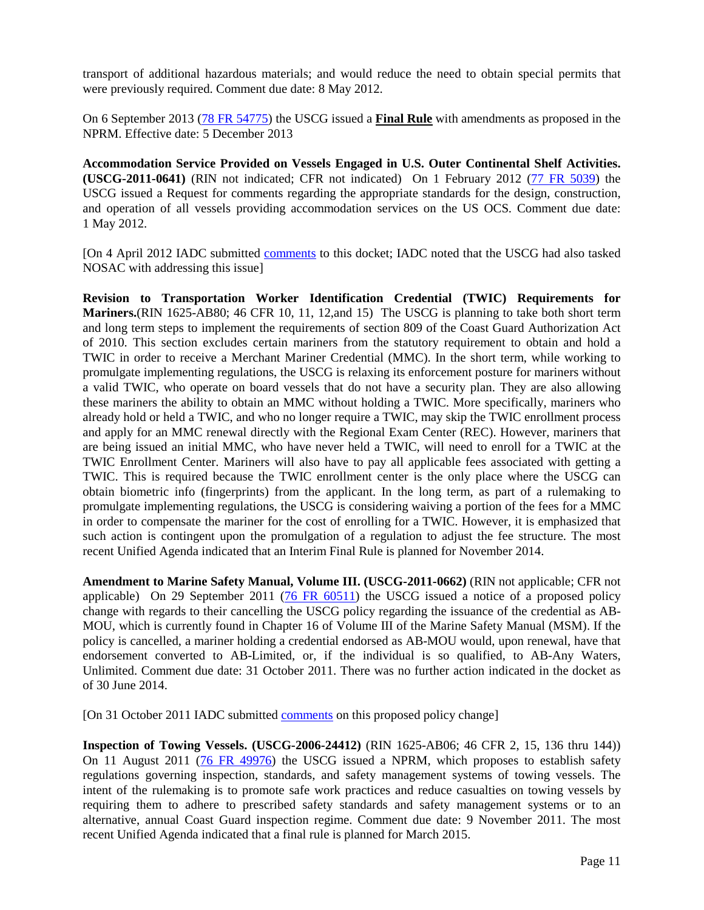transport of additional hazardous materials; and would reduce the need to obtain special permits that were previously required. Comment due date: 8 May 2012.

On 6 September 2013 [\(78 FR 54775\)](http://www.gpo.gov/fdsys/pkg/FR-2013-09-06/pdf/2013-21627.pdf) the USCG issued a **Final Rule** with amendments as proposed in the NPRM. Effective date: 5 December 2013

**Accommodation Service Provided on Vessels Engaged in U.S. Outer Continental Shelf Activities. (USCG-2011-0641)** (RIN not indicated; CFR not indicated) On 1 February 2012 [\(77 FR 5039\)](http://www.gpo.gov/fdsys/pkg/FR-2012-02-01/pdf/2012-2119.pdf) the USCG issued a Request for comments regarding the appropriate standards for the design, construction, and operation of all vessels providing accommodation services on the US OCS. Comment due date: 1 May 2012.

[On 4 April 2012 IADC submitted [comments](http://www.iadc.org/offshore-operating-division/documents/) to this docket; IADC noted that the USCG had also tasked NOSAC with addressing this issue]

**Revision to Transportation Worker Identification Credential (TWIC) Requirements for Mariners.**(RIN 1625-AB80; 46 CFR 10, 11, 12,and 15) The USCG is planning to take both short term and long term steps to implement the requirements of section 809 of the Coast Guard Authorization Act of 2010. This section excludes certain mariners from the statutory requirement to obtain and hold a TWIC in order to receive a Merchant Mariner Credential (MMC). In the short term, while working to promulgate implementing regulations, the USCG is relaxing its enforcement posture for mariners without a valid TWIC, who operate on board vessels that do not have a security plan. They are also allowing these mariners the ability to obtain an MMC without holding a TWIC. More specifically, mariners who already hold or held a TWIC, and who no longer require a TWIC, may skip the TWIC enrollment process and apply for an MMC renewal directly with the Regional Exam Center (REC). However, mariners that are being issued an initial MMC, who have never held a TWIC, will need to enroll for a TWIC at the TWIC Enrollment Center. Mariners will also have to pay all applicable fees associated with getting a TWIC. This is required because the TWIC enrollment center is the only place where the USCG can obtain biometric info (fingerprints) from the applicant. In the long term, as part of a rulemaking to promulgate implementing regulations, the USCG is considering waiving a portion of the fees for a MMC in order to compensate the mariner for the cost of enrolling for a TWIC. However, it is emphasized that such action is contingent upon the promulgation of a regulation to adjust the fee structure. The most recent Unified Agenda indicated that an Interim Final Rule is planned for November 2014.

**Amendment to Marine Safety Manual, Volume III. (USCG-2011-0662)** (RIN not applicable; CFR not applicable) On 29 September 2011 [\(76 FR 60511\)](http://edocket.access.gpo.gov/2011/pdf/2011-25033.pdf) the USCG issued a notice of a proposed policy change with regards to their cancelling the USCG policy regarding the issuance of the credential as AB-MOU, which is currently found in Chapter 16 of Volume III of the Marine Safety Manual (MSM). If the policy is cancelled, a mariner holding a credential endorsed as AB-MOU would, upon renewal, have that endorsement converted to AB-Limited, or, if the individual is so qualified, to AB-Any Waters, Unlimited. Comment due date: 31 October 2011. There was no further action indicated in the docket as of 30 June 2014.

[On 31 October 2011 IADC submitted [comments](http://www.iadc.org/offshore-operating-division/documents/) on this proposed policy change]

**Inspection of Towing Vessels. (USCG-2006-24412)** (RIN 1625-AB06; 46 CFR 2, 15, 136 thru 144)) On 11 August 2011 [\(76 FR 49976\)](http://www.gpo.gov/fdsys/pkg/FR-2011-08-11/pdf/2011-18989.pdf) the USCG issued a NPRM, which proposes to establish safety regulations governing inspection, standards, and safety management systems of towing vessels. The intent of the rulemaking is to promote safe work practices and reduce casualties on towing vessels by requiring them to adhere to prescribed safety standards and safety management systems or to an alternative, annual Coast Guard inspection regime. Comment due date: 9 November 2011. The most recent Unified Agenda indicated that a final rule is planned for March 2015.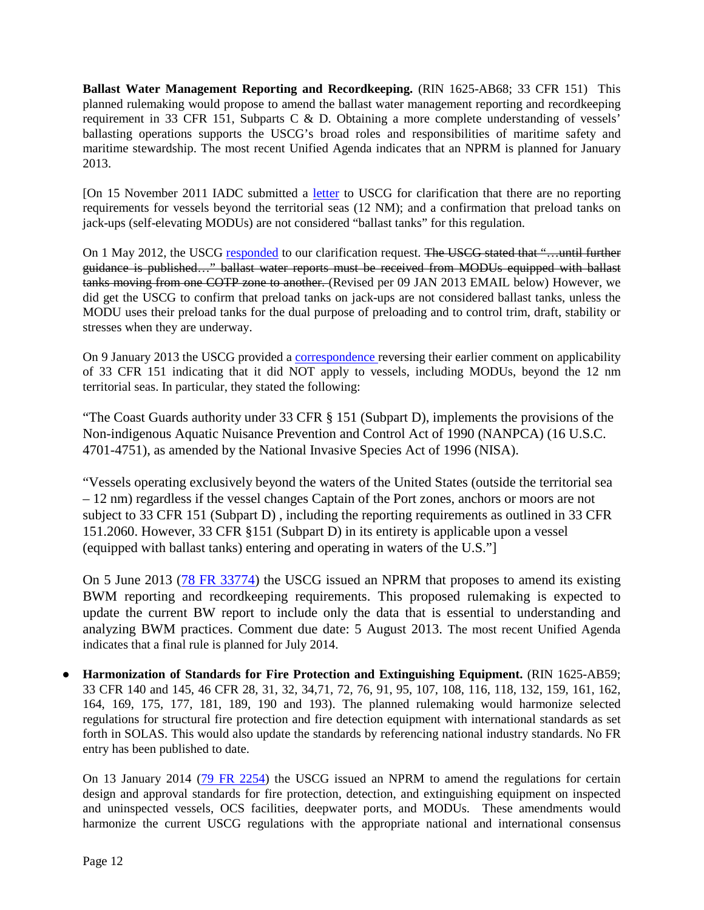**Ballast Water Management Reporting and Recordkeeping.** (RIN 1625-AB68; 33 CFR 151) This planned rulemaking would propose to amend the ballast water management reporting and recordkeeping requirement in 33 CFR 151, Subparts C & D. Obtaining a more complete understanding of vessels' ballasting operations supports the USCG's broad roles and responsibilities of maritime safety and maritime stewardship. The most recent Unified Agenda indicates that an NPRM is planned for January 2013.

[On 15 November 2011 IADC submitted a [letter](http://www.iadc.org/iadc-committees/iadc-offshore-operating-division/documents/) to USCG for clarification that there are no reporting requirements for vessels beyond the territorial seas (12 NM); and a confirmation that preload tanks on jack-ups (self-elevating MODUs) are not considered "ballast tanks" for this regulation.

On 1 May 2012, the USCG [responded](http://www.iadc.org/iadc-committees/iadc-offshore-operating-division/documents/) to our clarification request. The USCG stated that "...until further guidance is published…" ballast water reports must be received from MODUs equipped with ballast tanks moving from one COTP zone to another. (Revised per 09 JAN 2013 EMAIL below) However, we did get the USCG to confirm that preload tanks on jack-ups are not considered ballast tanks, unless the MODU uses their preload tanks for the dual purpose of preloading and to control trim, draft, stability or stresses when they are underway.

On 9 January 2013 the USCG provided a [correspondence r](http://www.iadc.org/iadc-committees/iadc-offshore-operating-division/documents/)eversing their earlier comment on applicability of 33 CFR 151 indicating that it did NOT apply to vessels, including MODUs, beyond the 12 nm territorial seas. In particular, they stated the following:

"The Coast Guards authority under 33 CFR § 151 (Subpart D), implements the provisions of the Non-indigenous Aquatic Nuisance Prevention and Control Act of 1990 (NANPCA) (16 U.S.C. 4701-4751), as amended by the National Invasive Species Act of 1996 (NISA).

"Vessels operating exclusively beyond the waters of the United States (outside the territorial sea – 12 nm) regardless if the vessel changes Captain of the Port zones, anchors or moors are not subject to 33 CFR 151 (Subpart D) , including the reporting requirements as outlined in 33 CFR 151.2060. However, 33 CFR §151 (Subpart D) in its entirety is applicable upon a vessel (equipped with ballast tanks) entering and operating in waters of the U.S."]

On 5 June 2013 [\(78 FR 33774\)](http://www.gpo.gov/fdsys/pkg/FR-2013-06-05/pdf/2013-13140.pdf) the USCG issued an NPRM that proposes to amend its existing BWM reporting and recordkeeping requirements. This proposed rulemaking is expected to update the current BW report to include only the data that is essential to understanding and analyzing BWM practices. Comment due date: 5 August 2013. The most recent Unified Agenda indicates that a final rule is planned for July 2014.

**● Harmonization of Standards for Fire Protection and Extinguishing Equipment.** (RIN 1625-AB59; 33 CFR 140 and 145, 46 CFR 28, 31, 32, 34,71, 72, 76, 91, 95, 107, 108, 116, 118, 132, 159, 161, 162, 164, 169, 175, 177, 181, 189, 190 and 193). The planned rulemaking would harmonize selected regulations for structural fire protection and fire detection equipment with international standards as set forth in SOLAS. This would also update the standards by referencing national industry standards. No FR entry has been published to date.

On 13 January 2014 [\(79 FR 2254\)](http://www.gpo.gov/fdsys/pkg/FR-2014-01-13/pdf/2013-29863.pdf) the USCG issued an NPRM to amend the regulations for certain design and approval standards for fire protection, detection, and extinguishing equipment on inspected and uninspected vessels, OCS facilities, deepwater ports, and MODUs. These amendments would harmonize the current USCG regulations with the appropriate national and international consensus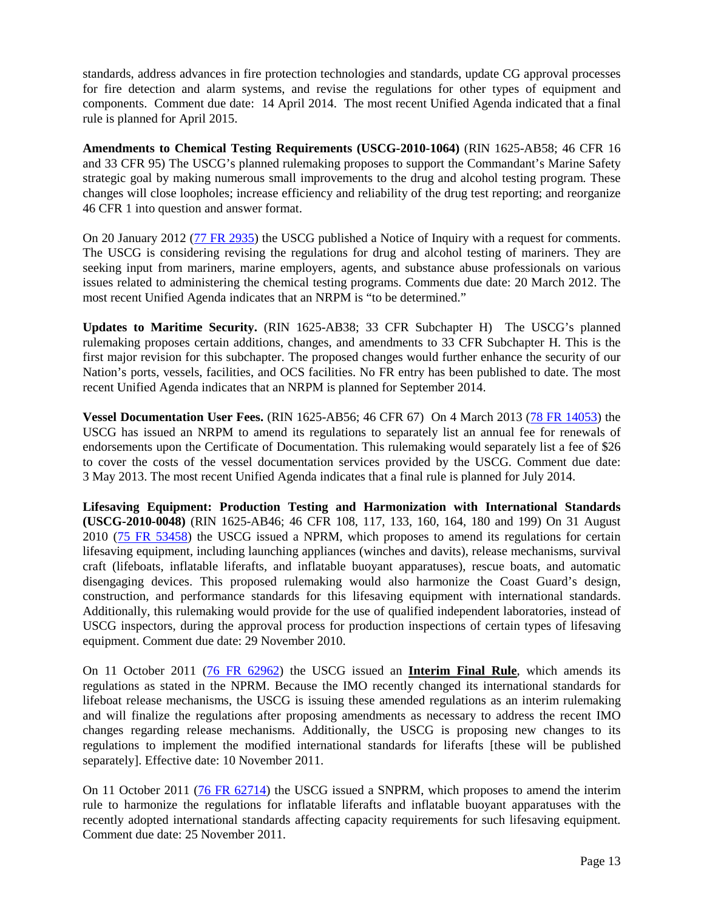standards, address advances in fire protection technologies and standards, update CG approval processes for fire detection and alarm systems, and revise the regulations for other types of equipment and components. Comment due date: 14 April 2014. The most recent Unified Agenda indicated that a final rule is planned for April 2015.

**Amendments to Chemical Testing Requirements (USCG-2010-1064)** (RIN 1625-AB58; 46 CFR 16 and 33 CFR 95) The USCG's planned rulemaking proposes to support the Commandant's Marine Safety strategic goal by making numerous small improvements to the drug and alcohol testing program. These changes will close loopholes; increase efficiency and reliability of the drug test reporting; and reorganize 46 CFR 1 into question and answer format.

On 20 January 2012 [\(77 FR 2935\)](http://www.gpo.gov/fdsys/pkg/FR-2012-01-20/pdf/2012-1156.pdf) the USCG published a Notice of Inquiry with a request for comments. The USCG is considering revising the regulations for drug and alcohol testing of mariners. They are seeking input from mariners, marine employers, agents, and substance abuse professionals on various issues related to administering the chemical testing programs. Comments due date: 20 March 2012. The most recent Unified Agenda indicates that an NRPM is "to be determined."

**Updates to Maritime Security.** (RIN 1625-AB38; 33 CFR Subchapter H) The USCG's planned rulemaking proposes certain additions, changes, and amendments to 33 CFR Subchapter H. This is the first major revision for this subchapter. The proposed changes would further enhance the security of our Nation's ports, vessels, facilities, and OCS facilities. No FR entry has been published to date. The most recent Unified Agenda indicates that an NRPM is planned for September 2014.

**Vessel Documentation User Fees.** (RIN 1625-AB56; 46 CFR 67) On 4 March 2013 [\(78 FR 14053\)](http://www.gpo.gov/fdsys/pkg/FR-2013-03-04/pdf/2013-04866.pdf) the USCG has issued an NRPM to amend its regulations to separately list an annual fee for renewals of endorsements upon the Certificate of Documentation. This rulemaking would separately list a fee of \$26 to cover the costs of the vessel documentation services provided by the USCG. Comment due date: 3 May 2013. The most recent Unified Agenda indicates that a final rule is planned for July 2014.

**Lifesaving Equipment: Production Testing and Harmonization with International Standards (USCG-2010-0048)** (RIN 1625-AB46; 46 CFR 108, 117, 133, 160, 164, 180 and 199) On 31 August 2010 [\(75 FR 53458\)](http://edocket.access.gpo.gov/2010/pdf/2010-20917.pdf) the USCG issued a NPRM, which proposes to amend its regulations for certain lifesaving equipment, including launching appliances (winches and davits), release mechanisms, survival craft (lifeboats, inflatable liferafts, and inflatable buoyant apparatuses), rescue boats, and automatic disengaging devices. This proposed rulemaking would also harmonize the Coast Guard's design, construction, and performance standards for this lifesaving equipment with international standards. Additionally, this rulemaking would provide for the use of qualified independent laboratories, instead of USCG inspectors, during the approval process for production inspections of certain types of lifesaving equipment. Comment due date: 29 November 2010.

On 11 October 2011 [\(76 FR 62962\)](http://www.gpo.gov/fdsys/pkg/FR-2011-10-11/pdf/2011-25035.pdf) the USCG issued an **Interim Final Rule**, which amends its regulations as stated in the NPRM. Because the IMO recently changed its international standards for lifeboat release mechanisms, the USCG is issuing these amended regulations as an interim rulemaking and will finalize the regulations after proposing amendments as necessary to address the recent IMO changes regarding release mechanisms. Additionally, the USCG is proposing new changes to its regulations to implement the modified international standards for liferafts [these will be published separately]. Effective date: 10 November 2011.

On 11 October 2011 [\(76 FR 62714\)](http://www.gpo.gov/fdsys/pkg/FR-2011-10-11/pdf/2011-25032.pdf) the USCG issued a SNPRM, which proposes to amend the interim rule to harmonize the regulations for inflatable liferafts and inflatable buoyant apparatuses with the recently adopted international standards affecting capacity requirements for such lifesaving equipment. Comment due date: 25 November 2011.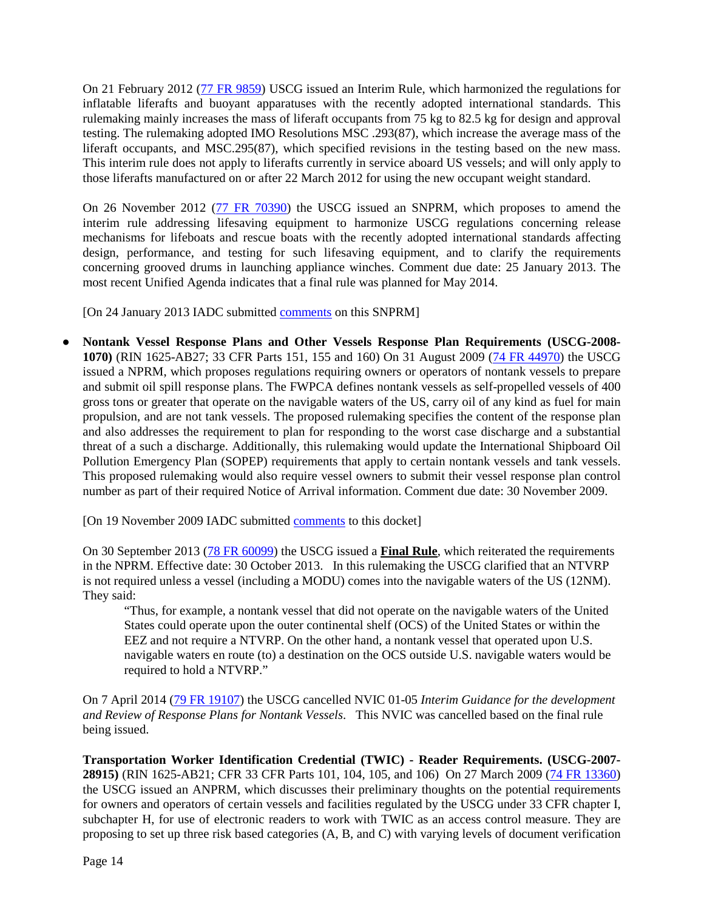On 21 February 2012 [\(77 FR 9859\)](http://www.gpo.gov/fdsys/pkg/FR-2012-02-21/pdf/2012-3869.pdf) USCG issued an Interim Rule, which harmonized the regulations for inflatable liferafts and buoyant apparatuses with the recently adopted international standards. This rulemaking mainly increases the mass of liferaft occupants from 75 kg to 82.5 kg for design and approval testing. The rulemaking adopted IMO Resolutions MSC .293(87), which increase the average mass of the liferaft occupants, and MSC.295(87), which specified revisions in the testing based on the new mass. This interim rule does not apply to liferafts currently in service aboard US vessels; and will only apply to those liferafts manufactured on or after 22 March 2012 for using the new occupant weight standard.

On 26 November 2012 [\(77 FR 70390\)](http://www.gpo.gov/fdsys/pkg/FR-2012-11-26/pdf/2012-28492.pdf) the USCG issued an SNPRM, which proposes to amend the interim rule addressing lifesaving equipment to harmonize USCG regulations concerning release mechanisms for lifeboats and rescue boats with the recently adopted international standards affecting design, performance, and testing for such lifesaving equipment, and to clarify the requirements concerning grooved drums in launching appliance winches. Comment due date: 25 January 2013. The most recent Unified Agenda indicates that a final rule was planned for May 2014.

[On 24 January 2013 IADC submitted [comments](http://www.iadc.org/offshore-operating-division/documents/) on this SNPRM]

**● Nontank Vessel Response Plans and Other Vessels Response Plan Requirements (USCG-2008- 1070)** (RIN 1625-AB27; 33 CFR Parts 151, 155 and 160) On 31 August 2009 [\(74 FR 44970\)](http://edocket.access.gpo.gov/2009/pdf/E9-20310.pdf) the USCG issued a NPRM, which proposes regulations requiring owners or operators of nontank vessels to prepare and submit oil spill response plans. The FWPCA defines nontank vessels as self-propelled vessels of 400 gross tons or greater that operate on the navigable waters of the US, carry oil of any kind as fuel for main propulsion, and are not tank vessels. The proposed rulemaking specifies the content of the response plan and also addresses the requirement to plan for responding to the worst case discharge and a substantial threat of a such a discharge. Additionally, this rulemaking would update the International Shipboard Oil Pollution Emergency Plan (SOPEP) requirements that apply to certain nontank vessels and tank vessels. This proposed rulemaking would also require vessel owners to submit their vessel response plan control number as part of their required Notice of Arrival information. Comment due date: 30 November 2009.

[On 19 November 2009 IADC submitted [comments](http://www.iadc.org/offshore-operating-division/documents/) to this docket]

On 30 September 2013 [\(78 FR 60099\)](http://www.gpo.gov/fdsys/pkg/FR-2013-09-30/pdf/2013-22059.pdf) the USCG issued a **Final Rule**, which reiterated the requirements in the NPRM. Effective date: 30 October 2013. In this rulemaking the USCG clarified that an NTVRP is not required unless a vessel (including a MODU) comes into the navigable waters of the US (12NM). They said:

"Thus, for example, a nontank vessel that did not operate on the navigable waters of the United States could operate upon the outer continental shelf (OCS) of the United States or within the EEZ and not require a NTVRP. On the other hand, a nontank vessel that operated upon U.S. navigable waters en route (to) a destination on the OCS outside U.S. navigable waters would be required to hold a NTVRP."

On 7 April 2014 [\(79 FR 19107\)](http://www.gpo.gov/fdsys/pkg/FR-2014-04-07/pdf/2014-07600.pdf) the USCG cancelled NVIC 01-05 *Interim Guidance for the development and Review of Response Plans for Nontank Vessels*. This NVIC was cancelled based on the final rule being issued.

**Transportation Worker Identification Credential (TWIC) - Reader Requirements. (USCG-2007- 28915)** (RIN 1625-AB21; CFR 33 CFR Parts 101, 104, 105, and 106) On 27 March 2009 [\(74 FR 13360\)](http://edocket.access.gpo.gov/2009/pdf/E9-6852.pdf) the USCG issued an ANPRM, which discusses their preliminary thoughts on the potential requirements for owners and operators of certain vessels and facilities regulated by the USCG under 33 CFR chapter I, subchapter H, for use of electronic readers to work with TWIC as an access control measure. They are proposing to set up three risk based categories (A, B, and C) with varying levels of document verification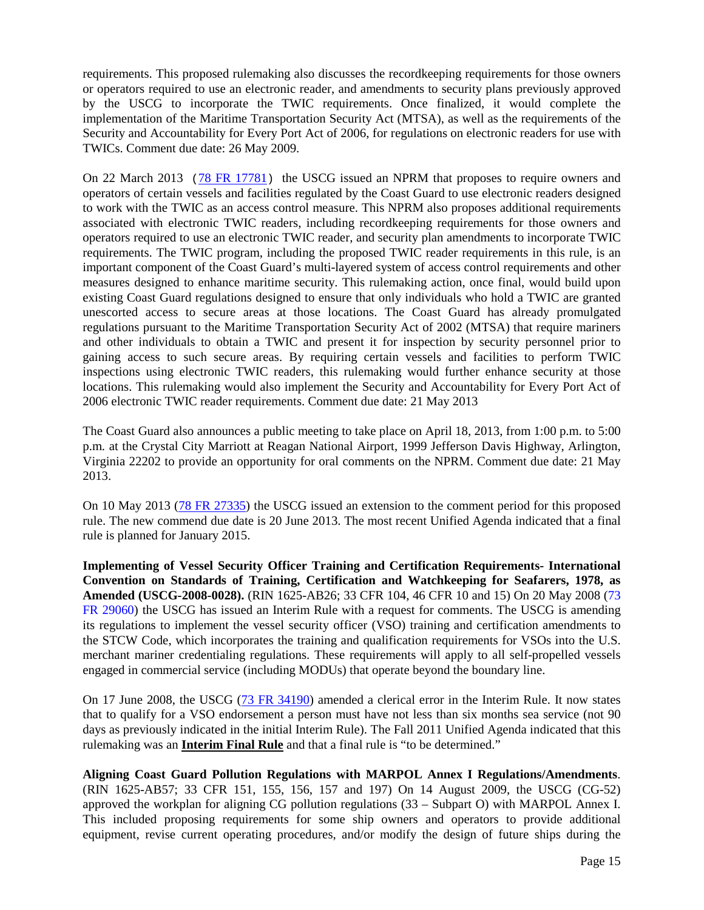requirements. This proposed rulemaking also discusses the recordkeeping requirements for those owners or operators required to use an electronic reader, and amendments to security plans previously approved by the USCG to incorporate the TWIC requirements. Once finalized, it would complete the implementation of the Maritime Transportation Security Act (MTSA), as well as the requirements of the Security and Accountability for Every Port Act of 2006, for regulations on electronic readers for use with TWICs. Comment due date: 26 May 2009.

On 22 March 2013 ([78 FR 17781](http://www.gpo.gov/fdsys/pkg/FR-2013-03-22/pdf/2013-06182.pdf)) the USCG issued an NPRM that proposes to require owners and operators of certain vessels and facilities regulated by the Coast Guard to use electronic readers designed to work with the TWIC as an access control measure. This NPRM also proposes additional requirements associated with electronic TWIC readers, including recordkeeping requirements for those owners and operators required to use an electronic TWIC reader, and security plan amendments to incorporate TWIC requirements. The TWIC program, including the proposed TWIC reader requirements in this rule, is an important component of the Coast Guard's multi-layered system of access control requirements and other measures designed to enhance maritime security. This rulemaking action, once final, would build upon existing Coast Guard regulations designed to ensure that only individuals who hold a TWIC are granted unescorted access to secure areas at those locations. The Coast Guard has already promulgated regulations pursuant to the Maritime Transportation Security Act of 2002 (MTSA) that require mariners and other individuals to obtain a TWIC and present it for inspection by security personnel prior to gaining access to such secure areas. By requiring certain vessels and facilities to perform TWIC inspections using electronic TWIC readers, this rulemaking would further enhance security at those locations. This rulemaking would also implement the Security and Accountability for Every Port Act of 2006 electronic TWIC reader requirements. Comment due date: 21 May 2013

The Coast Guard also announces a public meeting to take place on April 18, 2013, from 1:00 p.m. to 5:00 p.m. at the Crystal City Marriott at Reagan National Airport, 1999 Jefferson Davis Highway, Arlington, Virginia 22202 to provide an opportunity for oral comments on the NPRM. Comment due date: 21 May 2013.

On 10 May 2013 [\(78 FR 27335\)](http://www.gpo.gov/fdsys/pkg/FR-2013-05-10/pdf/2013-11227.pdf) the USCG issued an extension to the comment period for this proposed rule. The new commend due date is 20 June 2013. The most recent Unified Agenda indicated that a final rule is planned for January 2015.

**Implementing of Vessel Security Officer Training and Certification Requirements- International Convention on Standards of Training, Certification and Watchkeeping for Seafarers, 1978, as Amended (USCG-2008-0028).** (RIN 1625-AB26; 33 CFR 104, 46 CFR 10 and 15) On 20 May 2008 [\(73](http://edocket.access.gpo.gov/2008/pdf/E8-11225.pdf)  [FR 29060\)](http://edocket.access.gpo.gov/2008/pdf/E8-11225.pdf) the USCG has issued an Interim Rule with a request for comments. The USCG is amending its regulations to implement the vessel security officer (VSO) training and certification amendments to the STCW Code, which incorporates the training and qualification requirements for VSOs into the U.S. merchant mariner credentialing regulations. These requirements will apply to all self-propelled vessels engaged in commercial service (including MODUs) that operate beyond the boundary line.

On 17 June 2008, the USCG [\(73 FR 34190\)](http://edocket.access.gpo.gov/2008/pdf/E8-13552.pdf) amended a clerical error in the Interim Rule. It now states that to qualify for a VSO endorsement a person must have not less than six months sea service (not 90 days as previously indicated in the initial Interim Rule). The Fall 2011 Unified Agenda indicated that this rulemaking was an **Interim Final Rule** and that a final rule is "to be determined."

**Aligning Coast Guard Pollution Regulations with MARPOL Annex I Regulations/Amendments**. (RIN 1625-AB57; 33 CFR 151, 155, 156, 157 and 197) On 14 August 2009, the USCG (CG-52) approved the workplan for aligning CG pollution regulations (33 – Subpart O) with MARPOL Annex I. This included proposing requirements for some ship owners and operators to provide additional equipment, revise current operating procedures, and/or modify the design of future ships during the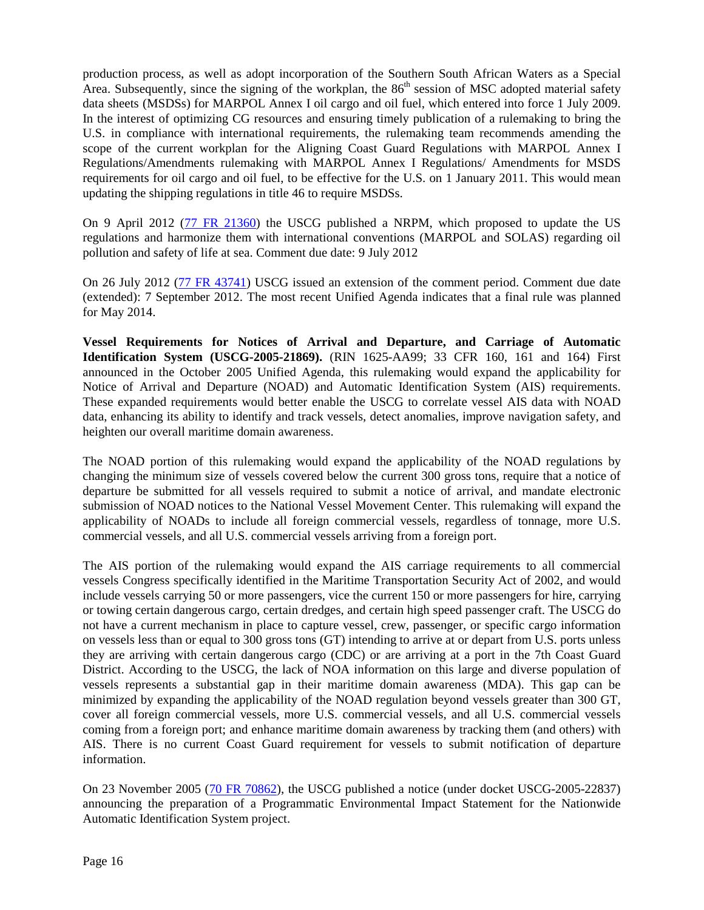production process, as well as adopt incorporation of the Southern South African Waters as a Special Area. Subsequently, since the signing of the workplan, the  $86<sup>th</sup>$  session of MSC adopted material safety data sheets (MSDSs) for MARPOL Annex I oil cargo and oil fuel, which entered into force 1 July 2009. In the interest of optimizing CG resources and ensuring timely publication of a rulemaking to bring the U.S. in compliance with international requirements, the rulemaking team recommends amending the scope of the current workplan for the Aligning Coast Guard Regulations with MARPOL Annex I Regulations/Amendments rulemaking with MARPOL Annex I Regulations/ Amendments for MSDS requirements for oil cargo and oil fuel, to be effective for the U.S. on 1 January 2011. This would mean updating the shipping regulations in title 46 to require MSDSs.

On 9 April 2012 (77 FR 21360) the USCG published a NRPM, which proposed to update the US regulations and harmonize them with international conventions (MARPOL and SOLAS) regarding oil pollution and safety of life at sea. Comment due date: 9 July 2012

On 26 July 2012 [\(77 FR 43741\)](http://www.gpo.gov/fdsys/pkg/FR-2012-07-26/pdf/2012-18226.pd) USCG issued an extension of the comment period. Comment due date (extended): 7 September 2012. The most recent Unified Agenda indicates that a final rule was planned for May 2014.

**Vessel Requirements for Notices of Arrival and Departure, and Carriage of Automatic Identification System (USCG-2005-21869).** (RIN 1625-AA99; 33 CFR 160, 161 and 164) First announced in the October 2005 Unified Agenda, this rulemaking would expand the applicability for Notice of Arrival and Departure (NOAD) and Automatic Identification System (AIS) requirements. These expanded requirements would better enable the USCG to correlate vessel AIS data with NOAD data, enhancing its ability to identify and track vessels, detect anomalies, improve navigation safety, and heighten our overall maritime domain awareness.

The NOAD portion of this rulemaking would expand the applicability of the NOAD regulations by changing the minimum size of vessels covered below the current 300 gross tons, require that a notice of departure be submitted for all vessels required to submit a notice of arrival, and mandate electronic submission of NOAD notices to the National Vessel Movement Center. This rulemaking will expand the applicability of NOADs to include all foreign commercial vessels, regardless of tonnage, more U.S. commercial vessels, and all U.S. commercial vessels arriving from a foreign port.

The AIS portion of the rulemaking would expand the AIS carriage requirements to all commercial vessels Congress specifically identified in the Maritime Transportation Security Act of 2002, and would include vessels carrying 50 or more passengers, vice the current 150 or more passengers for hire, carrying or towing certain dangerous cargo, certain dredges, and certain high speed passenger craft. The USCG do not have a current mechanism in place to capture vessel, crew, passenger, or specific cargo information on vessels less than or equal to 300 gross tons (GT) intending to arrive at or depart from U.S. ports unless they are arriving with certain dangerous cargo (CDC) or are arriving at a port in the 7th Coast Guard District. According to the USCG, the lack of NOA information on this large and diverse population of vessels represents a substantial gap in their maritime domain awareness (MDA). This gap can be minimized by expanding the applicability of the NOAD regulation beyond vessels greater than 300 GT, cover all foreign commercial vessels, more U.S. commercial vessels, and all U.S. commercial vessels coming from a foreign port; and enhance maritime domain awareness by tracking them (and others) with AIS. There is no current Coast Guard requirement for vessels to submit notification of departure information.

On 23 November 2005 [\(70 FR 70862\)](http://edocket.access.gpo.gov/2005/pdf/05-23233.pdf), the USCG published a notice (under docket USCG-2005-22837) announcing the preparation of a Programmatic Environmental Impact Statement for the Nationwide Automatic Identification System project.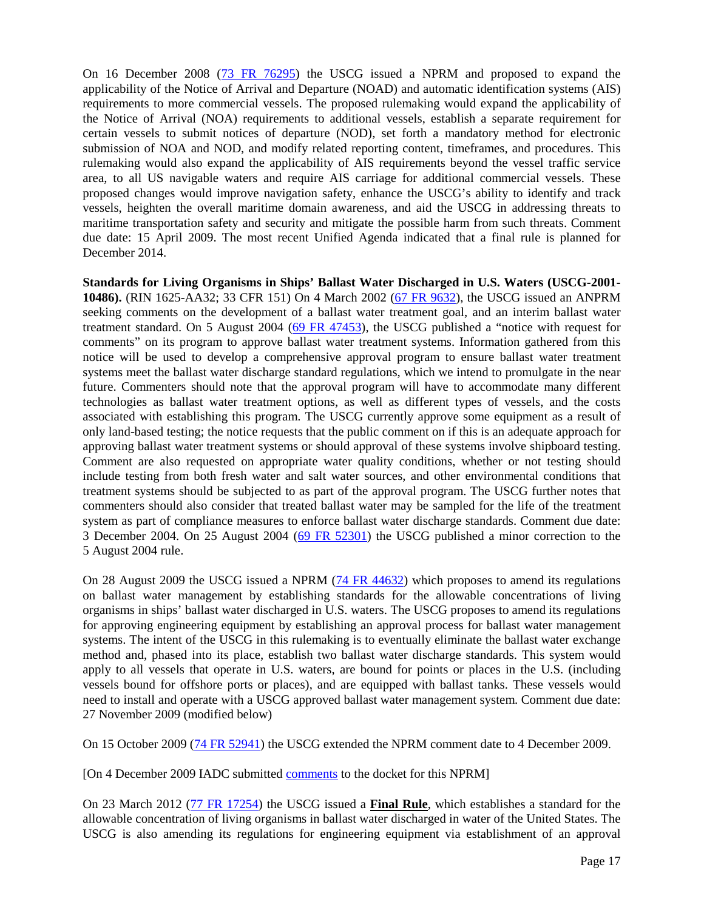On 16 December 2008 [\(73 FR 76295\)](http://edocket.access.gpo.gov/2008/pdf/E8-29698.pdf) the USCG issued a NPRM and proposed to expand the applicability of the Notice of Arrival and Departure (NOAD) and automatic identification systems (AIS) requirements to more commercial vessels. The proposed rulemaking would expand the applicability of the Notice of Arrival (NOA) requirements to additional vessels, establish a separate requirement for certain vessels to submit notices of departure (NOD), set forth a mandatory method for electronic submission of NOA and NOD, and modify related reporting content, timeframes, and procedures. This rulemaking would also expand the applicability of AIS requirements beyond the vessel traffic service area, to all US navigable waters and require AIS carriage for additional commercial vessels. These proposed changes would improve navigation safety, enhance the USCG's ability to identify and track vessels, heighten the overall maritime domain awareness, and aid the USCG in addressing threats to maritime transportation safety and security and mitigate the possible harm from such threats. Comment due date: 15 April 2009. The most recent Unified Agenda indicated that a final rule is planned for December 2014.

**Standards for Living Organisms in Ships' Ballast Water Discharged in U.S. Waters (USCG-2001- 10486).** (RIN 1625-AA32; 33 CFR 151) On 4 March 2002 [\(67 FR 9632\)](http://frwebgate.access.gpo.gov/cgi-bin/getdoc.cgi?dbname=2002_register&docid=02-5187-filed.pdf), the USCG issued an ANPRM seeking comments on the development of a ballast water treatment goal, and an interim ballast water treatment standard. On 5 August 2004 [\(69 FR 47453\)](http://edocket.access.gpo.gov/2004/pdf/04-17827.pdf), the USCG published a "notice with request for comments" on its program to approve ballast water treatment systems. Information gathered from this notice will be used to develop a comprehensive approval program to ensure ballast water treatment systems meet the ballast water discharge standard regulations, which we intend to promulgate in the near future. Commenters should note that the approval program will have to accommodate many different technologies as ballast water treatment options, as well as different types of vessels, and the costs associated with establishing this program. The USCG currently approve some equipment as a result of only land-based testing; the notice requests that the public comment on if this is an adequate approach for approving ballast water treatment systems or should approval of these systems involve shipboard testing. Comment are also requested on appropriate water quality conditions, whether or not testing should include testing from both fresh water and salt water sources, and other environmental conditions that treatment systems should be subjected to as part of the approval program. The USCG further notes that commenters should also consider that treated ballast water may be sampled for the life of the treatment system as part of compliance measures to enforce ballast water discharge standards. Comment due date: 3 December 2004. On 25 August 2004 [\(69 FR 52301\)](http://edocket.access.gpo.gov/2004/pdf/04-19452.pdf) the USCG published a minor correction to the 5 August 2004 rule.

On 28 August 2009 the USCG issued a NPRM [\(74 FR 44632\)](http://edocket.access.gpo.gov/2009/pdf/E9-20312.pdf) which proposes to amend its regulations on ballast water management by establishing standards for the allowable concentrations of living organisms in ships' ballast water discharged in U.S. waters. The USCG proposes to amend its regulations for approving engineering equipment by establishing an approval process for ballast water management systems. The intent of the USCG in this rulemaking is to eventually eliminate the ballast water exchange method and, phased into its place, establish two ballast water discharge standards. This system would apply to all vessels that operate in U.S. waters, are bound for points or places in the U.S. (including vessels bound for offshore ports or places), and are equipped with ballast tanks. These vessels would need to install and operate with a USCG approved ballast water management system. Comment due date: 27 November 2009 (modified below)

On 15 October 2009 [\(74 FR 52941\)](http://edocket.access.gpo.gov/2009/pdf/E9-24745.pdf) the USCG extended the NPRM comment date to 4 December 2009.

[On 4 December 2009 IADC submitted [comments](http://www.iadc.org/offshore-operating-division/documents/) to the docket for this NPRM]

On 23 March 2012 [\(77 FR 17254\)](http://www.gpo.gov/fdsys/pkg/FR-2012-03-23/pdf/2012-6579.pdf) the USCG issued a **Final Rule**, which establishes a standard for the allowable concentration of living organisms in ballast water discharged in water of the United States. The USCG is also amending its regulations for engineering equipment via establishment of an approval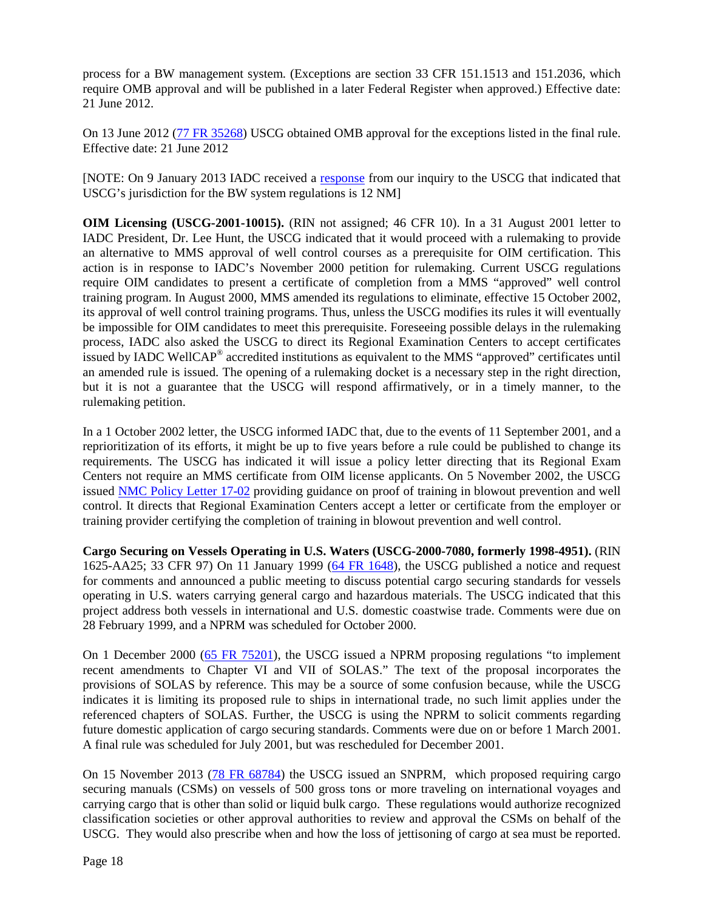process for a BW management system. (Exceptions are section 33 CFR 151.1513 and 151.2036, which require OMB approval and will be published in a later Federal Register when approved.) Effective date: 21 June 2012.

On 13 June 2012 [\(77 FR 35268\)](http://www.gpo.gov/fdsys/pkg/FR-2012-06-13/pdf/2012-14382.pdf) USCG obtained OMB approval for the exceptions listed in the final rule. Effective date: 21 June 2012

[NOTE: On 9 January 2013 IADC received a [response](http://www.iadc.org/committees/offshore/index.html) from our inquiry to the USCG that indicated that USCG's jurisdiction for the BW system regulations is 12 NM]

**OIM Licensing (USCG-2001-10015).** (RIN not assigned; 46 CFR 10). In a 31 August 2001 letter to IADC President, Dr. Lee Hunt, the USCG indicated that it would proceed with a rulemaking to provide an alternative to MMS approval of well control courses as a prerequisite for OIM certification. This action is in response to IADC's November 2000 petition for rulemaking. Current USCG regulations require OIM candidates to present a certificate of completion from a MMS "approved" well control training program. In August 2000, MMS amended its regulations to eliminate, effective 15 October 2002, its approval of well control training programs. Thus, unless the USCG modifies its rules it will eventually be impossible for OIM candidates to meet this prerequisite. Foreseeing possible delays in the rulemaking process, IADC also asked the USCG to direct its Regional Examination Centers to accept certificates issued by IADC WellCAP® accredited institutions as equivalent to the MMS "approved" certificates until an amended rule is issued. The opening of a rulemaking docket is a necessary step in the right direction, but it is not a guarantee that the USCG will respond affirmatively, or in a timely manner, to the rulemaking petition.

In a 1 October 2002 letter, the USCG informed IADC that, due to the events of 11 September 2001, and a reprioritization of its efforts, it might be up to five years before a rule could be published to change its requirements. The USCG has indicated it will issue a policy letter directing that its Regional Exam Centers not require an MMS certificate from OIM license applicants. On 5 November 2002, the USCG issued [NMC Policy Letter 17-02](http://www.uscg.mil/nmc/marpers/pag/17-02.pdf) providing guidance on proof of training in blowout prevention and well control. It directs that Regional Examination Centers accept a letter or certificate from the employer or training provider certifying the completion of training in blowout prevention and well control.

**Cargo Securing on Vessels Operating in U.S. Waters (USCG-2000-7080, formerly 1998-4951).** (RIN 1625-AA25; 33 CFR 97) On 11 January 1999 (64 [FR 1648\)](http://frwebgate.access.gpo.gov/cgi-bin/getdoc.cgi?dbname=1999_register&docid=99-535-filed.pdf), the USCG published a notice and request for comments and announced a public meeting to discuss potential cargo securing standards for vessels operating in U.S. waters carrying general cargo and hazardous materials. The USCG indicated that this project address both vessels in international and U.S. domestic coastwise trade. Comments were due on 28 February 1999, and a NPRM was scheduled for October 2000.

On 1 December 2000 [\(65 FR 75201\)](http://frwebgate.access.gpo.gov/cgi-bin/getdoc.cgi?dbname=2000_register&docid=00-30447-filed.pdf), the USCG issued a NPRM proposing regulations "to implement recent amendments to Chapter VI and VII of SOLAS." The text of the proposal incorporates the provisions of SOLAS by reference. This may be a source of some confusion because, while the USCG indicates it is limiting its proposed rule to ships in international trade, no such limit applies under the referenced chapters of SOLAS. Further, the USCG is using the NPRM to solicit comments regarding future domestic application of cargo securing standards. Comments were due on or before 1 March 2001. A final rule was scheduled for July 2001, but was rescheduled for December 2001.

On 15 November 2013 [\(78 FR 68784\)](http://www.gpo.gov/fdsys/pkg/FR-2013-11-15/pdf/2013-26886.pdf) the USCG issued an SNPRM, which proposed requiring cargo securing manuals (CSMs) on vessels of 500 gross tons or more traveling on international voyages and carrying cargo that is other than solid or liquid bulk cargo. These regulations would authorize recognized classification societies or other approval authorities to review and approval the CSMs on behalf of the USCG. They would also prescribe when and how the loss of jettisoning of cargo at sea must be reported.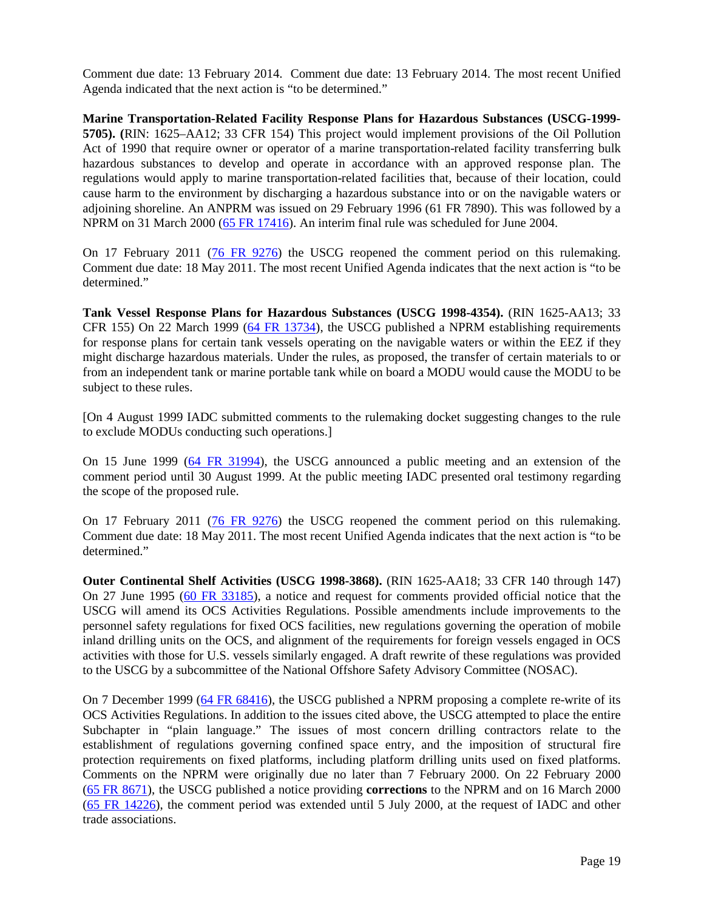Comment due date: 13 February 2014. Comment due date: 13 February 2014. The most recent Unified Agenda indicated that the next action is "to be determined."

**Marine Transportation-Related Facility Response Plans for Hazardous Substances (USCG-1999- 5705). (**RIN: 1625–AA12; 33 CFR 154) This project would implement provisions of the Oil Pollution Act of 1990 that require owner or operator of a marine transportation-related facility transferring bulk hazardous substances to develop and operate in accordance with an approved response plan. The regulations would apply to marine transportation-related facilities that, because of their location, could cause harm to the environment by discharging a hazardous substance into or on the navigable waters or adjoining shoreline. An ANPRM was issued on 29 February 1996 (61 FR 7890). This was followed by a NPRM on 31 March 2000 [\(65 FR 17416\)](http://frwebgate.access.gpo.gov/cgi-bin/getdoc.cgi?dbname=2000_register&docid=00-7638-filed.pdf). An interim final rule was scheduled for June 2004.

On 17 February 2011 [\(76 FR 9276\)](http://edocket.access.gpo.gov/2011/pdf/2011-3568.pdf) the USCG reopened the comment period on this rulemaking. Comment due date: 18 May 2011. The most recent Unified Agenda indicates that the next action is "to be determined."

**Tank Vessel Response Plans for Hazardous Substances (USCG 1998-4354).** (RIN 1625-AA13; 33 CFR 155) On 22 March 1999 [\(64 FR 13734\)](http://frwebgate.access.gpo.gov/cgi-bin/getdoc.cgi?dbname=1999_register&docid=99-4697-filed.pdf), the USCG published a NPRM establishing requirements for response plans for certain tank vessels operating on the navigable waters or within the EEZ if they might discharge hazardous materials. Under the rules, as proposed, the transfer of certain materials to or from an independent tank or marine portable tank while on board a MODU would cause the MODU to be subject to these rules.

[On 4 August 1999 IADC submitted comments to the rulemaking docket suggesting changes to the rule to exclude MODUs conducting such operations.]

On 15 June 1999 [\(64 FR 31994\)](http://frwebgate.access.gpo.gov/cgi-bin/getdoc.cgi?dbname=1999_register&docid=99-15138-filed.pdf), the USCG announced a public meeting and an extension of the comment period until 30 August 1999. At the public meeting IADC presented oral testimony regarding the scope of the proposed rule.

On 17 February 2011 [\(76 FR 9276\)](http://edocket.access.gpo.gov/2011/pdf/2011-3568.pdf) the USCG reopened the comment period on this rulemaking. Comment due date: 18 May 2011. The most recent Unified Agenda indicates that the next action is "to be determined."

**Outer Continental Shelf Activities (USCG 1998-3868).** (RIN 1625-AA18; 33 CFR 140 through 147) On 27 June 1995 [\(60 FR 33185\)](http://frwebgate5.access.gpo.gov/cgi-bin/PDFgate.cgi?WAISdocID=139877476276+2+2+0&WAISaction=retrieve), a notice and request for comments provided official notice that the USCG will amend its OCS Activities Regulations. Possible amendments include improvements to the personnel safety regulations for fixed OCS facilities, new regulations governing the operation of mobile inland drilling units on the OCS, and alignment of the requirements for foreign vessels engaged in OCS activities with those for U.S. vessels similarly engaged. A draft rewrite of these regulations was provided to the USCG by a subcommittee of the National Offshore Safety Advisory Committee (NOSAC).

On 7 December 1999 [\(64 FR 68416\)](http://frwebgate.access.gpo.gov/cgi-bin/getdoc.cgi?dbname=1999_register&docid=99-30895-filed.pdf), the USCG published a NPRM proposing a complete re-write of its OCS Activities Regulations. In addition to the issues cited above, the USCG attempted to place the entire Subchapter in "plain language." The issues of most concern drilling contractors relate to the establishment of regulations governing confined space entry, and the imposition of structural fire protection requirements on fixed platforms, including platform drilling units used on fixed platforms. Comments on the NPRM were originally due no later than 7 February 2000. On 22 February 2000 (65 [FR 8671\)](http://frwebgate.access.gpo.gov/cgi-bin/getdoc.cgi?dbname=2000_register&docid=00-3825-filed.pdf), the USCG published a notice providing **corrections** to the NPRM and on 16 March 2000 [\(65 FR 14226\)](http://frwebgate.access.gpo.gov/cgi-bin/getdoc.cgi?dbname=2000_register&docid=00-6546-filed.pdf), the comment period was extended until 5 July 2000, at the request of IADC and other trade associations.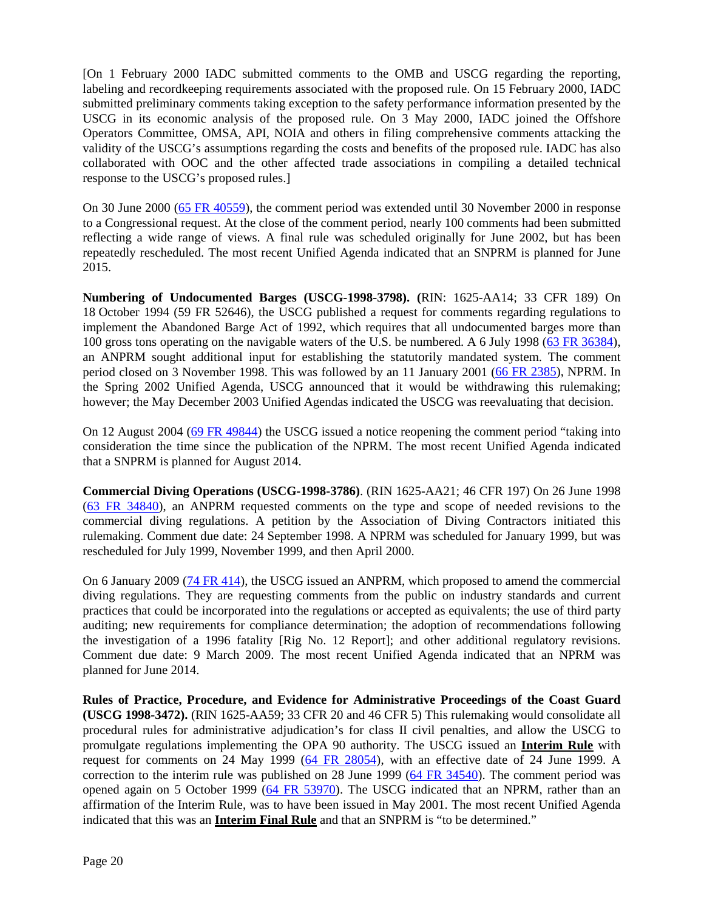[On 1 February 2000 IADC submitted comments to the OMB and USCG regarding the reporting, labeling and recordkeeping requirements associated with the proposed rule. On 15 February 2000, IADC submitted preliminary comments taking exception to the safety performance information presented by the USCG in its economic analysis of the proposed rule. On 3 May 2000, IADC joined the Offshore Operators Committee, OMSA, API, NOIA and others in filing comprehensive comments attacking the validity of the USCG's assumptions regarding the costs and benefits of the proposed rule. IADC has also collaborated with OOC and the other affected trade associations in compiling a detailed technical response to the USCG's proposed rules.]

On 30 June 2000 [\(65 FR 40559\)](http://frwebgate.access.gpo.gov/cgi-bin/getdoc.cgi?dbname=2000_register&docid=00-16658-filed.pdf), the comment period was extended until 30 November 2000 in response to a Congressional request. At the close of the comment period, nearly 100 comments had been submitted reflecting a wide range of views. A final rule was scheduled originally for June 2002, but has been repeatedly rescheduled. The most recent Unified Agenda indicated that an SNPRM is planned for June 2015.

**Numbering of Undocumented Barges (USCG-1998-3798). (**RIN: 1625-AA14; 33 CFR 189) On 18 October 1994 (59 FR 52646), the USCG published a request for comments regarding regulations to implement the Abandoned Barge Act of 1992, which requires that all undocumented barges more than 100 gross tons operating on the navigable waters of the U.S. be numbered. A 6 July 1998 [\(63 FR 36384\)](http://frwebgate.access.gpo.gov/cgi-bin/getdoc.cgi?dbname=1998_register&docid=98-17814-filed.pdf), an ANPRM sought additional input for establishing the statutorily mandated system. The comment period closed on 3 November 1998. This was followed by an 11 January 2001 [\(66 FR 2385\)](http://frwebgate.access.gpo.gov/cgi-bin/getdoc.cgi?dbname=2001_register&docid=01-870-filed.pdf), NPRM. In the Spring 2002 Unified Agenda, USCG announced that it would be withdrawing this rulemaking; however; the May December 2003 Unified Agendas indicated the USCG was reevaluating that decision.

On 12 August 2004 [\(69 FR 49844\)](http://edocket.access.gpo.gov/2004/pdf/04-18471.pdf) the USCG issued a notice reopening the comment period "taking into consideration the time since the publication of the NPRM. The most recent Unified Agenda indicated that a SNPRM is planned for August 2014.

**Commercial Diving Operations (USCG-1998-3786)**. (RIN 1625-AA21; 46 CFR 197) On 26 June 1998 [\(63 FR 34840\)](http://frwebgate.access.gpo.gov/cgi-bin/getdoc.cgi?dbname=1998_register&docid=98-17069-filed.pdf), an ANPRM requested comments on the type and scope of needed revisions to the commercial diving regulations. A petition by the Association of Diving Contractors initiated this rulemaking. Comment due date: 24 September 1998. A NPRM was scheduled for January 1999, but was rescheduled for July 1999, November 1999, and then April 2000.

On 6 January 2009 [\(74 FR 414\)](http://edocket.access.gpo.gov/2009/pdf/E8-31415.pdf), the USCG issued an ANPRM, which proposed to amend the commercial diving regulations. They are requesting comments from the public on industry standards and current practices that could be incorporated into the regulations or accepted as equivalents; the use of third party auditing; new requirements for compliance determination; the adoption of recommendations following the investigation of a 1996 fatality [Rig No. 12 Report]; and other additional regulatory revisions. Comment due date: 9 March 2009. The most recent Unified Agenda indicated that an NPRM was planned for June 2014.

**Rules of Practice, Procedure, and Evidence for Administrative Proceedings of the Coast Guard (USCG 1998-3472).** (RIN 1625-AA59; 33 CFR 20 and 46 CFR 5) This rulemaking would consolidate all procedural rules for administrative adjudication's for class II civil penalties, and allow the USCG to promulgate regulations implementing the OPA 90 authority. The USCG issued an **Interim Rule** with request for comments on 24 May 1999 [\(64 FR 28054\)](http://frwebgate.access.gpo.gov/cgi-bin/getdoc.cgi?dbname=1999_register&docid=99-12750-filed.pdf), with an effective date of 24 June 1999. A correction to the interim rule was published on 28 June 1999 [\(64 FR 34540\)](http://frwebgate.access.gpo.gov/cgi-bin/getdoc.cgi?dbname=1999_register&docid=99-16358-filed.pdf). The comment period was opened again on 5 October 1999 [\(64 FR 53970\)](http://frwebgate.access.gpo.gov/cgi-bin/getdoc.cgi?dbname=1999_register&docid=99-25865-filed.pdf). The USCG indicated that an NPRM, rather than an affirmation of the Interim Rule, was to have been issued in May 2001. The most recent Unified Agenda indicated that this was an **Interim Final Rule** and that an SNPRM is "to be determined."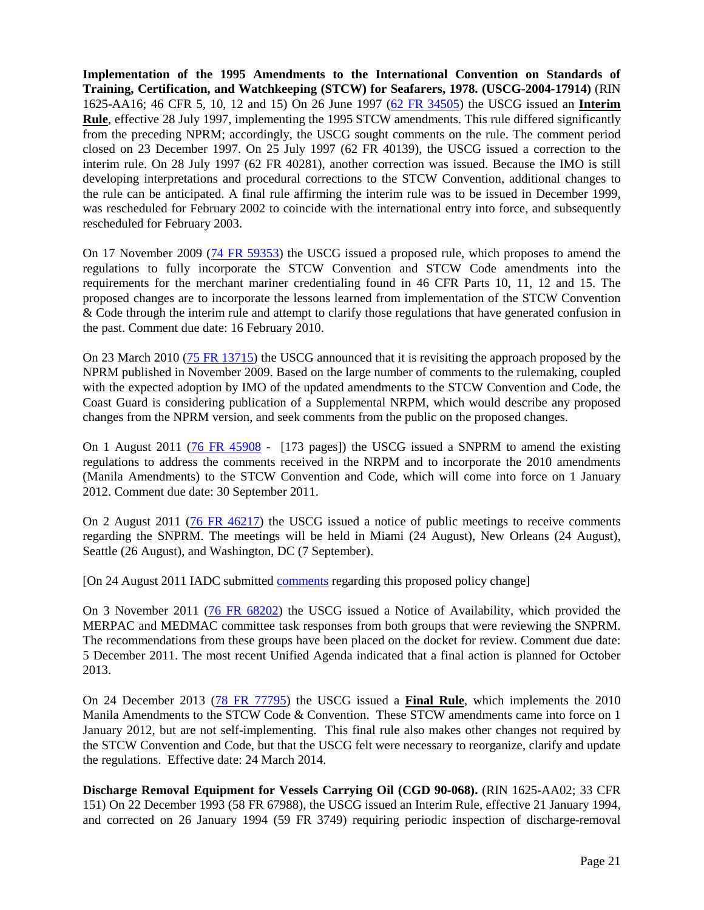**Implementation of the 1995 Amendments to the International Convention on Standards of Training, Certification, and Watchkeeping (STCW) for Seafarers, 1978. (USCG-2004-17914)** (RIN 1625-AA16; 46 CFR 5, 10, 12 and 15) On 26 June 1997 [\(62 FR 34505\)](http://frwebgate6.access.gpo.gov/cgi-bin/PDFgate.cgi?WAISdocID=140612444901+0+2+0&WAISaction=retrieve) the USCG issued an **Interim Rule**, effective 28 July 1997, implementing the 1995 STCW amendments. This rule differed significantly from the preceding NPRM; accordingly, the USCG sought comments on the rule. The comment period closed on 23 December 1997. On 25 July 1997 (62 FR 40139), the USCG issued a correction to the interim rule. On 28 July 1997 (62 FR 40281), another correction was issued. Because the IMO is still developing interpretations and procedural corrections to the STCW Convention, additional changes to the rule can be anticipated. A final rule affirming the interim rule was to be issued in December 1999, was rescheduled for February 2002 to coincide with the international entry into force, and subsequently rescheduled for February 2003.

On 17 November 2009 [\(74 FR 59353\)](http://edocket.access.gpo.gov/2009/pdf/E9-26821.pdf) the USCG issued a proposed rule, which proposes to amend the regulations to fully incorporate the STCW Convention and STCW Code amendments into the requirements for the merchant mariner credentialing found in 46 CFR Parts 10, 11, 12 and 15. The proposed changes are to incorporate the lessons learned from implementation of the STCW Convention & Code through the interim rule and attempt to clarify those regulations that have generated confusion in the past. Comment due date: 16 February 2010.

On 23 March 2010 [\(75 FR 13715\)](http://edocket.access.gpo.gov/2010/pdf/2010-6297.pdf) the USCG announced that it is revisiting the approach proposed by the NPRM published in November 2009. Based on the large number of comments to the rulemaking, coupled with the expected adoption by IMO of the updated amendments to the STCW Convention and Code, the Coast Guard is considering publication of a Supplemental NRPM, which would describe any proposed changes from the NPRM version, and seek comments from the public on the proposed changes.

On 1 August 2011 [\(76 FR 45908](http://www.gpo.gov/fdsys/pkg/FR-2011-08-01/pdf/2011-17093.pdf) - [173 pages]) the USCG issued a SNPRM to amend the existing regulations to address the comments received in the NRPM and to incorporate the 2010 amendments (Manila Amendments) to the STCW Convention and Code, which will come into force on 1 January 2012. Comment due date: 30 September 2011.

On 2 August 2011 [\(76 FR 46217\)](http://www.gpo.gov/fdsys/pkg/FR-2011-08-02/pdf/2011-19459.pdf) the USCG issued a notice of public meetings to receive comments regarding the SNPRM. The meetings will be held in Miami (24 August), New Orleans (24 August), Seattle (26 August), and Washington, DC (7 September).

[On 24 August 2011 IADC submitted [comments](http://www.iadc.org/offshore-operating-division/documents/) regarding this proposed policy change]

On 3 November 2011 [\(76 FR 68202\)](http://www.gpo.gov/fdsys/pkg/FR-2011-11-03/pdf/2011-28440.pdf) the USCG issued a Notice of Availability, which provided the MERPAC and MEDMAC committee task responses from both groups that were reviewing the SNPRM. The recommendations from these groups have been placed on the docket for review. Comment due date: 5 December 2011. The most recent Unified Agenda indicated that a final action is planned for October 2013.

On 24 December 2013 [\(78 FR 77795\)](http://www.gpo.gov/fdsys/pkg/FR-2013-12-24/pdf/2013-28032.pdf) the USCG issued a **Final Rule**, which implements the 2010 Manila Amendments to the STCW Code & Convention. These STCW amendments came into force on 1 January 2012, but are not self-implementing. This final rule also makes other changes not required by the STCW Convention and Code, but that the USCG felt were necessary to reorganize, clarify and update the regulations. Effective date: 24 March 2014.

**Discharge Removal Equipment for Vessels Carrying Oil (CGD 90-068).** (RIN 1625-AA02; 33 CFR 151) On 22 December 1993 (58 FR 67988), the USCG issued an Interim Rule, effective 21 January 1994, and corrected on 26 January 1994 (59 FR 3749) requiring periodic inspection of discharge-removal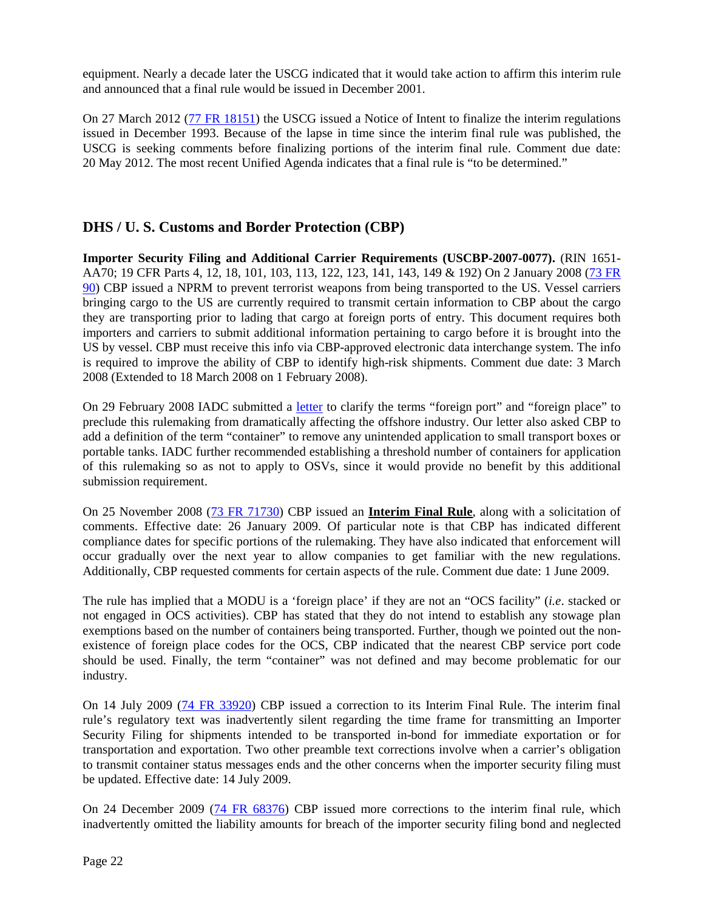equipment. Nearly a decade later the USCG indicated that it would take action to affirm this interim rule and announced that a final rule would be issued in December 2001.

On 27 March 2012 [\(77 FR 18151\)](http://www.gpo.gov/fdsys/pkg/FR-2012-03-27/pdf/2012-7344.pdf) the USCG issued a Notice of Intent to finalize the interim regulations issued in December 1993. Because of the lapse in time since the interim final rule was published, the USCG is seeking comments before finalizing portions of the interim final rule. Comment due date: 20 May 2012. The most recent Unified Agenda indicates that a final rule is "to be determined."

### **DHS / U. S. Customs and Border Protection (CBP)**

**Importer Security Filing and Additional Carrier Requirements (USCBP-2007-0077).** (RIN 1651- AA70; 19 CFR Parts 4, 12, 18, 101, 103, 113, 122, 123, 141, 143, 149 & 192) On 2 January 2008 [\(73 FR](http://edocket.access.gpo.gov/2008/pdf/E7-25306.pdf)  [90\)](http://edocket.access.gpo.gov/2008/pdf/E7-25306.pdf) CBP issued a NPRM to prevent terrorist weapons from being transported to the US. Vessel carriers bringing cargo to the US are currently required to transmit certain information to CBP about the cargo they are transporting prior to lading that cargo at foreign ports of entry. This document requires both importers and carriers to submit additional information pertaining to cargo before it is brought into the US by vessel. CBP must receive this info via CBP-approved electronic data interchange system. The info is required to improve the ability of CBP to identify high-risk shipments. Comment due date: 3 March 2008 (Extended to 18 March 2008 on 1 February 2008).

On 29 February 2008 IADC submitted a [letter](http://www.iadc.org/committees/offshore/index.html) to clarify the terms "foreign port" and "foreign place" to preclude this rulemaking from dramatically affecting the offshore industry. Our letter also asked CBP to add a definition of the term "container" to remove any unintended application to small transport boxes or portable tanks. IADC further recommended establishing a threshold number of containers for application of this rulemaking so as not to apply to OSVs, since it would provide no benefit by this additional submission requirement.

On 25 November 2008 [\(73 FR 71730\)](http://edocket.access.gpo.gov/2008/pdf/E8-27048.pdf) CBP issued an **Interim Final Rule**, along with a solicitation of comments. Effective date: 26 January 2009. Of particular note is that CBP has indicated different compliance dates for specific portions of the rulemaking. They have also indicated that enforcement will occur gradually over the next year to allow companies to get familiar with the new regulations. Additionally, CBP requested comments for certain aspects of the rule. Comment due date: 1 June 2009.

The rule has implied that a MODU is a 'foreign place' if they are not an "OCS facility" (*i.e*. stacked or not engaged in OCS activities). CBP has stated that they do not intend to establish any stowage plan exemptions based on the number of containers being transported. Further, though we pointed out the nonexistence of foreign place codes for the OCS, CBP indicated that the nearest CBP service port code should be used. Finally, the term "container" was not defined and may become problematic for our industry.

On 14 July 2009 [\(74 FR 33920\)](http://edocket.access.gpo.gov/2009/pdf/E9-16539.pdf) CBP issued a correction to its Interim Final Rule. The interim final rule's regulatory text was inadvertently silent regarding the time frame for transmitting an Importer Security Filing for shipments intended to be transported in-bond for immediate exportation or for transportation and exportation. Two other preamble text corrections involve when a carrier's obligation to transmit container status messages ends and the other concerns when the importer security filing must be updated. Effective date: 14 July 2009.

On 24 December 2009 [\(74 FR 68376\)](http://edocket.access.gpo.gov/2009/pdf/E9-30570.pdf) CBP issued more corrections to the interim final rule, which inadvertently omitted the liability amounts for breach of the importer security filing bond and neglected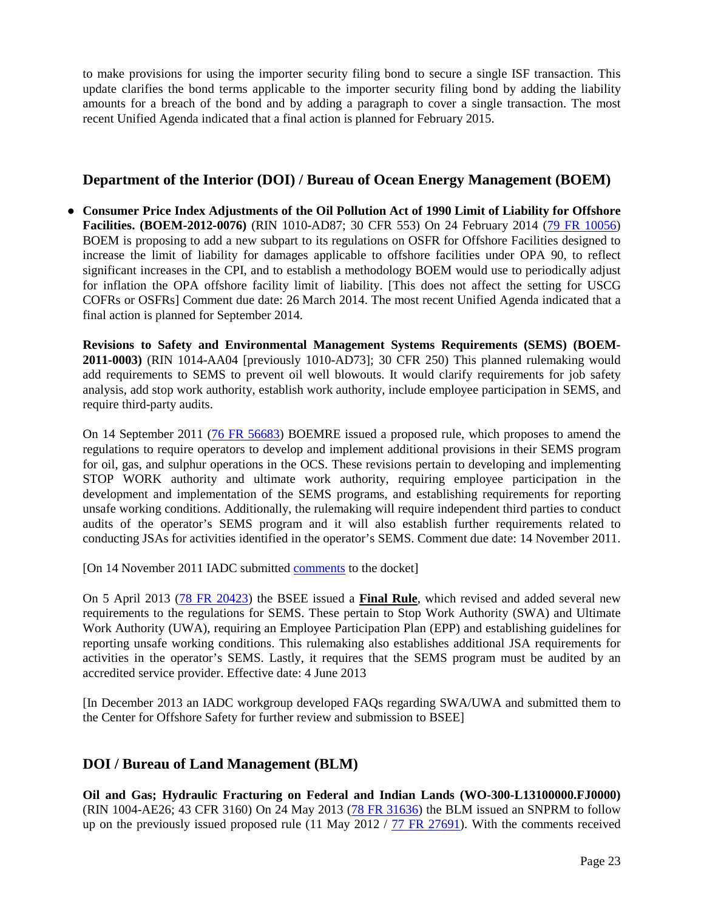to make provisions for using the importer security filing bond to secure a single ISF transaction. This update clarifies the bond terms applicable to the importer security filing bond by adding the liability amounts for a breach of the bond and by adding a paragraph to cover a single transaction. The most recent Unified Agenda indicated that a final action is planned for February 2015.

### **Department of the Interior (DOI) / Bureau of Ocean Energy Management (BOEM)**

**● Consumer Price Index Adjustments of the Oil Pollution Act of 1990 Limit of Liability for Offshore Facilities. (BOEM-2012-0076)** (RIN 1010-AD87; 30 CFR 553) On 24 February 2014 (79 FR 10056) BOEM is proposing to add a new subpart to its regulations on OSFR for Offshore Facilities designed to increase the limit of liability for damages applicable to offshore facilities under OPA 90, to reflect significant increases in the CPI, and to establish a methodology BOEM would use to periodically adjust for inflation the OPA offshore facility limit of liability. [This does not affect the setting for USCG COFRs or OSFRs] Comment due date: 26 March 2014. The most recent Unified Agenda indicated that a final action is planned for September 2014.

**Revisions to Safety and Environmental Management Systems Requirements (SEMS) (BOEM-2011-0003)** (RIN 1014-AA04 [previously 1010-AD73]; 30 CFR 250) This planned rulemaking would add requirements to SEMS to prevent oil well blowouts. It would clarify requirements for job safety analysis, add stop work authority, establish work authority, include employee participation in SEMS, and require third-party audits.

On 14 September 2011 [\(76 FR 56683\)](http://www.gpo.gov/fdsys/pkg/FR-2011-09-14/pdf/2011-23537.pdf) BOEMRE issued a proposed rule, which proposes to amend the regulations to require operators to develop and implement additional provisions in their SEMS program for oil, gas, and sulphur operations in the OCS. These revisions pertain to developing and implementing STOP WORK authority and ultimate work authority, requiring employee participation in the development and implementation of the SEMS programs, and establishing requirements for reporting unsafe working conditions. Additionally, the rulemaking will require independent third parties to conduct audits of the operator's SEMS program and it will also establish further requirements related to conducting JSAs for activities identified in the operator's SEMS. Comment due date: 14 November 2011.

[On 14 November 2011 IADC submitted [comments](http://www.iadc.org/offshore-operating-division/documents/) to the docket]

On 5 April 2013 [\(78 FR 20423\)](http://www.gpo.gov/fdsys/pkg/FR-2013-04-05/pdf/2013-07738.pdf) the BSEE issued a **Final Rule**, which revised and added several new requirements to the regulations for SEMS. These pertain to Stop Work Authority (SWA) and Ultimate Work Authority (UWA), requiring an Employee Participation Plan (EPP) and establishing guidelines for reporting unsafe working conditions. This rulemaking also establishes additional JSA requirements for activities in the operator's SEMS. Lastly, it requires that the SEMS program must be audited by an accredited service provider. Effective date: 4 June 2013

[In December 2013 an IADC workgroup developed FAQs regarding SWA/UWA and submitted them to the Center for Offshore Safety for further review and submission to BSEE]

### **DOI / Bureau of Land Management (BLM)**

**Oil and Gas; Hydraulic Fracturing on Federal and Indian Lands (WO-300-L13100000.FJ0000)** (RIN 1004-AE26; 43 CFR 3160) On 24 May 2013 [\(78 FR 3163](http://www.gpo.gov/fdsys/pkg/FR-2013-05-24/pdf/2013-12154.pdf)6) the BLM issued an SNPRM to follow up on the previously issued proposed rule (11 May 2012 / [77 FR 27691\)](http://www.gpo.gov/fdsys/pkg/FR-2012-05-11/pdf/2012-11304.pdf). With the comments received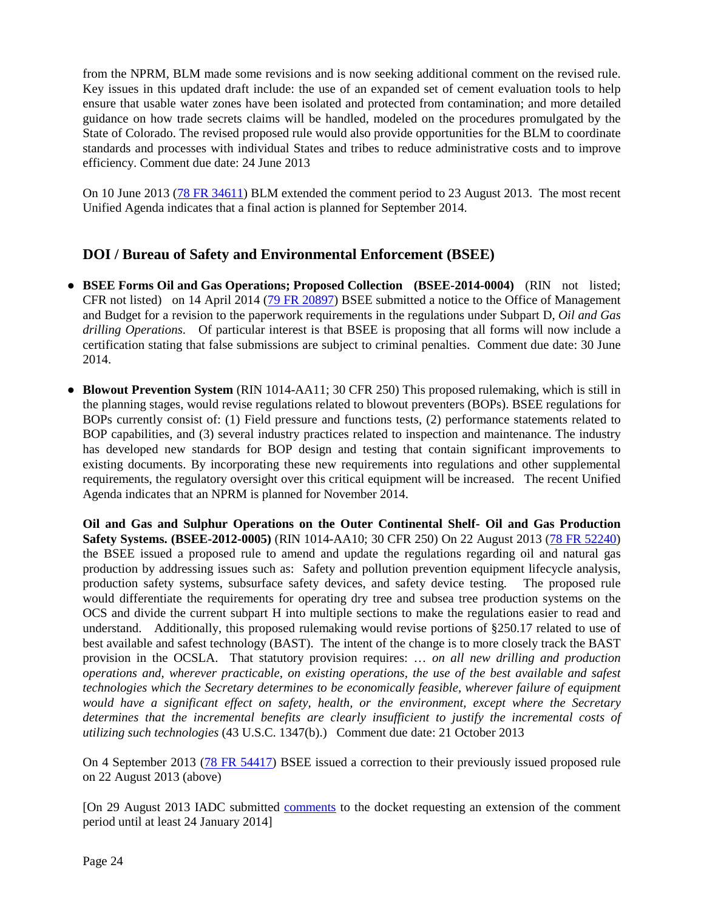from the NPRM, BLM made some revisions and is now seeking additional comment on the revised rule. Key issues in this updated draft include: the use of an expanded set of cement evaluation tools to help ensure that usable water zones have been isolated and protected from contamination; and more detailed guidance on how trade secrets claims will be handled, modeled on the procedures promulgated by the State of Colorado. The revised proposed rule would also provide opportunities for the BLM to coordinate standards and processes with individual States and tribes to reduce administrative costs and to improve efficiency. Comment due date: 24 June 2013

On 10 June 2013 [\(78 FR 34611\)](http://www.gpo.gov/fdsys/pkg/FR-2013-06-10/pdf/2013-13708.pdf) BLM extended the comment period to 23 August 2013. The most recent Unified Agenda indicates that a final action is planned for September 2014.

### **DOI / Bureau of Safety and Environmental Enforcement (BSEE)**

- **BSEE Forms Oil and Gas Operations; Proposed Collection (BSEE-2014-0004)** (RIN not listed; CFR not listed) on 14 April 2014 [\(79 FR 20897\)](http://www.gpo.gov/fdsys/pkg/FR-2014-04-14/pdf/2014-08332.pdf) BSEE submitted a notice to the Office of Management and Budget for a revision to the paperwork requirements in the regulations under Subpart D, *Oil and Gas drilling Operations*. Of particular interest is that BSEE is proposing that all forms will now include a certification stating that false submissions are subject to criminal penalties. Comment due date: 30 June 2014.
- **● Blowout Prevention System** (RIN 1014-AA11; 30 CFR 250) This proposed rulemaking, which is still in the planning stages, would revise regulations related to blowout preventers (BOPs). BSEE regulations for BOPs currently consist of: (1) Field pressure and functions tests, (2) performance statements related to BOP capabilities, and (3) several industry practices related to inspection and maintenance. The industry has developed new standards for BOP design and testing that contain significant improvements to existing documents. By incorporating these new requirements into regulations and other supplemental requirements, the regulatory oversight over this critical equipment will be increased. The recent Unified Agenda indicates that an NPRM is planned for November 2014.

**Oil and Gas and Sulphur Operations on the Outer Continental Shelf- Oil and Gas Production Safety Systems. (BSEE-2012-0005)** (RIN 1014-AA10; 30 CFR 250) On 22 August 2013 [\(78 FR 52240\)](http://www.gpo.gov/fdsys/pkg/FR-2013-08-22/pdf/2013-19861.pdf) the BSEE issued a proposed rule to amend and update the regulations regarding oil and natural gas production by addressing issues such as: Safety and pollution prevention equipment lifecycle analysis, production safety systems, subsurface safety devices, and safety device testing. The proposed rule production safety systems, subsurface safety devices, and safety device testing. would differentiate the requirements for operating dry tree and subsea tree production systems on the OCS and divide the current subpart H into multiple sections to make the regulations easier to read and understand. Additionally, this proposed rulemaking would revise portions of §250.17 related to use of best available and safest technology (BAST). The intent of the change is to more closely track the BAST provision in the OCSLA. That statutory provision requires: … *on all new drilling and production operations and, wherever practicable, on existing operations, the use of the best available and safest technologies which the Secretary determines to be economically feasible, wherever failure of equipment would have a significant effect on safety, health, or the environment, except where the Secretary determines that the incremental benefits are clearly insufficient to justify the incremental costs of utilizing such technologies* (43 U.S.C. 1347(b).) Comment due date: 21 October 2013

On 4 September 2013 [\(78 FR 54417\)](http://www.gpo.gov/fdsys/pkg/FR-2013-09-04/pdf/C1-2013-19861.pdf) BSEE issued a correction to their previously issued proposed rule on 22 August 2013 (above)

[On 29 August 2013 IADC submitted [comments](http://www.iadc.org/offshore-operating-division/documents/) to the docket requesting an extension of the comment period until at least 24 January 2014]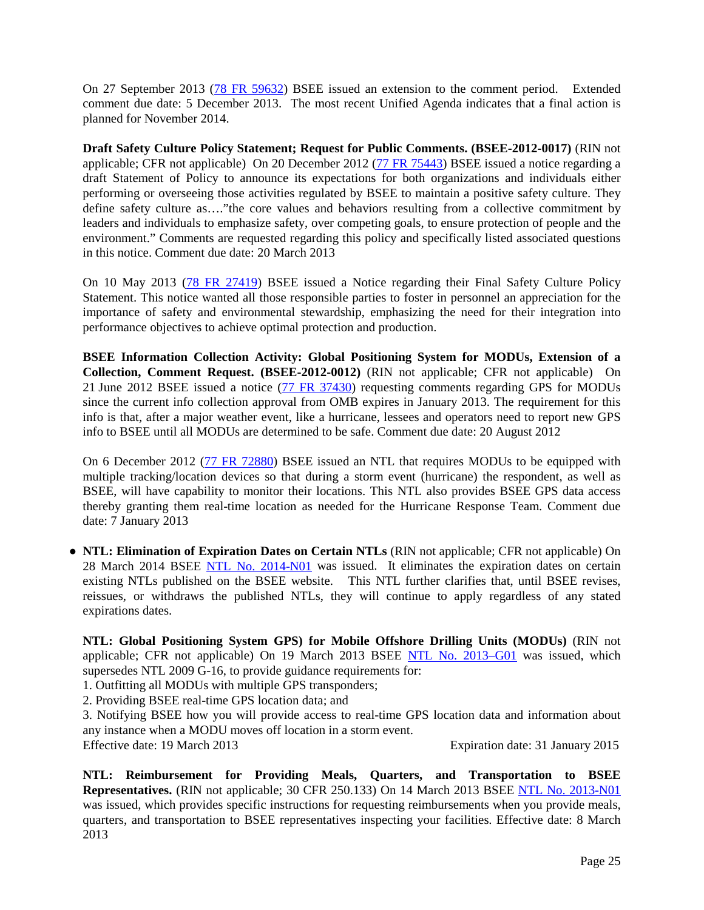On 27 September 2013 [\(78 FR 59632\)](http://www.gpo.gov/fdsys/pkg/FR-2013-09-27/pdf/2013-23520.pdf) BSEE issued an extension to the comment period. Extended comment due date: 5 December 2013. The most recent Unified Agenda indicates that a final action is planned for November 2014.

**Draft Safety Culture Policy Statement; Request for Public Comments. (BSEE-2012-0017)** (RIN not applicable; CFR not applicable) On 20 December 2012 [\(77 FR 75443\)](http://www.gpo.gov/fdsys/pkg/FR-2012-12-20/pdf/2012-30670.pdf) BSEE issued a notice regarding a draft Statement of Policy to announce its expectations for both organizations and individuals either performing or overseeing those activities regulated by BSEE to maintain a positive safety culture. They define safety culture as…."the core values and behaviors resulting from a collective commitment by leaders and individuals to emphasize safety, over competing goals, to ensure protection of people and the environment." Comments are requested regarding this policy and specifically listed associated questions in this notice. Comment due date: 20 March 2013

On 10 May 2013 [\(78 FR 27419\)](http://www.gpo.gov/fdsys/pkg/FR-2013-05-10/pdf/2013-11117.pdf) BSEE issued a Notice regarding their Final Safety Culture Policy Statement. This notice wanted all those responsible parties to foster in personnel an appreciation for the importance of safety and environmental stewardship, emphasizing the need for their integration into performance objectives to achieve optimal protection and production.

**BSEE Information Collection Activity: Global Positioning System for MODUs, Extension of a Collection, Comment Request. (BSEE-2012-0012)** (RIN not applicable; CFR not applicable) On 21 June 2012 BSEE issued a notice [\(77 FR 37430\)](http://www.gpo.gov/fdsys/pkg/FR-2012-06-21/pdf/2012-15218.pdf) requesting comments regarding GPS for MODUs since the current info collection approval from OMB expires in January 2013. The requirement for this info is that, after a major weather event, like a hurricane, lessees and operators need to report new GPS info to BSEE until all MODUs are determined to be safe. Comment due date: 20 August 2012

On 6 December 2012 [\(77 FR 72880\)](http://www.gpo.gov/fdsys/pkg/FR-2012-12-06/pdf/2012-29422.pdf) BSEE issued an NTL that requires MODUs to be equipped with multiple tracking/location devices so that during a storm event (hurricane) the respondent, as well as BSEE, will have capability to monitor their locations. This NTL also provides BSEE GPS data access thereby granting them real-time location as needed for the Hurricane Response Team. Comment due date: 7 January 2013

**● NTL: Elimination of Expiration Dates on Certain NTLs** (RIN not applicable; CFR not applicable) On 28 March 2014 BSEE [NTL No. 2014-N01](http://www.bsee.gov/Regulations-and-Guidance/Notices-to-Lessees-and-Operators/) was issued. It eliminates the expiration dates on certain existing NTLs published on the BSEE website. This NTL further clarifies that, until BSEE revises, reissues, or withdraws the published NTLs, they will continue to apply regardless of any stated expirations dates.

**NTL: Global Positioning System GPS) for Mobile Offshore Drilling Units (MODUs)** (RIN not applicable; CFR not applicable) On 19 March 2013 BSEE [NTL No. 2013–G01](http://www.bsee.gov/uploadedFiles/BSEE/Regulations/Notices_to_Lessees/NTL2013-G01.pdf) was issued, which supersedes NTL 2009 G-16, to provide guidance requirements for:

1. Outfitting all MODUs with multiple GPS transponders;

2. Providing BSEE real-time GPS location data; and

3. Notifying BSEE how you will provide access to real-time GPS location data and information about any instance when a MODU moves off location in a storm event.

Effective date: 19 March 2013 Expiration date: 31 January 2015

**NTL: Reimbursement for Providing Meals, Quarters, and Transportation to BSEE Representatives.** (RIN not applicable; 30 CFR 250.133) On 14 March 2013 BSEE [NTL No. 2013-N01](http://www.bsee.gov/Regulations-and-Guidance/Notices-to-Lessees-and-Operators.aspx) was issued, which provides specific instructions for requesting reimbursements when you provide meals, quarters, and transportation to BSEE representatives inspecting your facilities. Effective date: 8 March 2013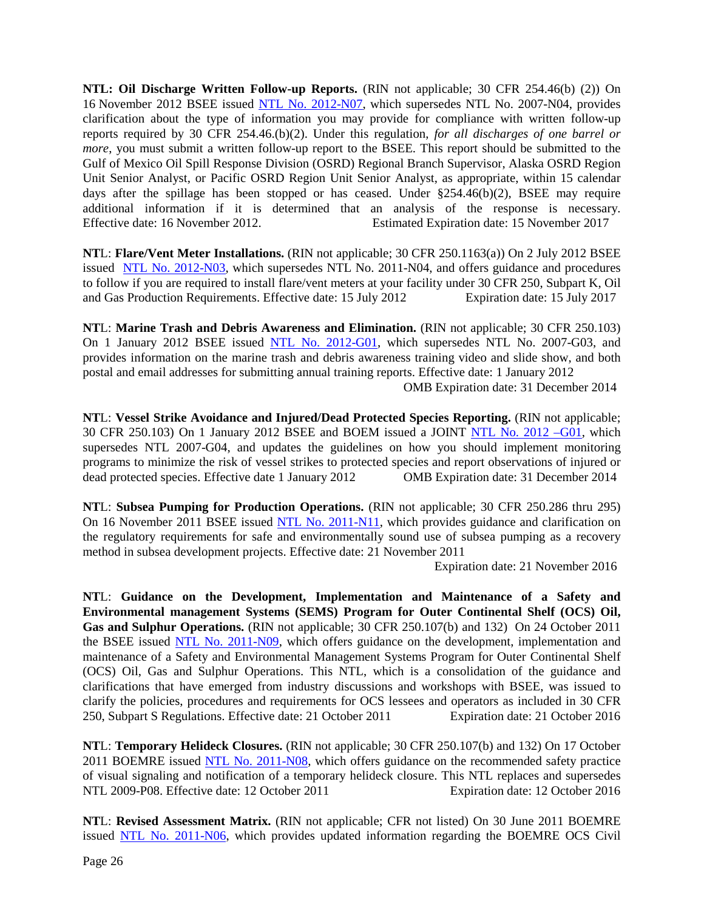**NTL: Oil Discharge Written Follow-up Reports.** (RIN not applicable; 30 CFR 254.46(b) (2)) On 16 November 2012 BSEE issued [NTL No. 2012-N07,](http://www.bsee.gov/Regulations-and-Guidance/Notices-to-Lessees-and-Operators.aspx) which supersedes NTL No. 2007-N04, provides clarification about the type of information you may provide for compliance with written follow-up reports required by 30 CFR 254.46.(b)(2). Under this regulation, *for all discharges of one barrel or more*, you must submit a written follow-up report to the BSEE. This report should be submitted to the Gulf of Mexico Oil Spill Response Division (OSRD) Regional Branch Supervisor, Alaska OSRD Region Unit Senior Analyst, or Pacific OSRD Region Unit Senior Analyst, as appropriate, within 15 calendar days after the spillage has been stopped or has ceased. Under  $\S254.46(b)(2)$ , BSEE may require additional information if it is determined that an analysis of the response is necessary. Effective date: 16 November 2012. Estimated Expiration date: 15 November 2017

**NT**L: **Flare/Vent Meter Installations.** (RIN not applicable; 30 CFR 250.1163(a)) On 2 July 2012 BSEE issued [NTL No. 2012-N03,](http://www.bsee.gov/uploadedFiles/BSEE/Regulations_and_Guidance/Notices_to_Lessees/2012/NTL2012-N03.pdf) which supersedes NTL No. 2011-N04, and offers guidance and procedures to follow if you are required to install flare/vent meters at your facility under 30 CFR 250, Subpart K, Oil and Gas Production Requirements. Effective date: 15 July 2012 Expiration date: 15 July 2017

**NT**L: **Marine Trash and Debris Awareness and Elimination.** (RIN not applicable; 30 CFR 250.103) On 1 January 2012 BSEE issued [NTL No. 2012-G01,](http://www.bsee.gov/Regulations-and-Guidance/Notices-to-Lessees-and-Operators.aspx) which supersedes NTL No. 2007-G03, and provides information on the marine trash and debris awareness training video and slide show, and both postal and email addresses for submitting annual training reports. Effective date: 1 January 2012

OMB Expiration date: 31 December 2014

**NT**L: **Vessel Strike Avoidance and Injured/Dead Protected Species Reporting.** (RIN not applicable; 30 CFR 250.103) On 1 January 2012 BSEE and BOEM issued a JOINT [NTL No. 2012 –G01,](http://www.bsee.gov/Regulations-and-Guidance/Notices-to-Lessees-and-Operators.aspx) which supersedes NTL 2007-G04, and updates the guidelines on how you should implement monitoring programs to minimize the risk of vessel strikes to protected species and report observations of injured or dead protected species. Effective date 1 January 2012 OMB Expiration date: 31 December 2014 dead protected species. Effective date 1 January 2012

**NT**L: **Subsea Pumping for Production Operations.** (RIN not applicable; 30 CFR 250.286 thru 295) On 16 November 2011 BSEE issued [NTL No. 2011-N11,](http://www.bsee.gov/Regulations-and-Guidance/Notices-to-Lessees-and-Operators.aspx) which provides guidance and clarification on the regulatory requirements for safe and environmentally sound use of subsea pumping as a recovery method in subsea development projects. Effective date: 21 November 2011

Expiration date: 21 November 2016

**NT**L: **Guidance on the Development, Implementation and Maintenance of a Safety and Environmental management Systems (SEMS) Program for Outer Continental Shelf (OCS) Oil, Gas and Sulphur Operations.** (RIN not applicable; 30 CFR 250.107(b) and 132) On 24 October 2011 the BSEE issued [NTL No. 2011-N09,](http://www.bsee.gov/Regulations-and-Guidance/Notices-to-Lessees-and-Operators.aspx) which offers guidance on the development, implementation and maintenance of a Safety and Environmental Management Systems Program for Outer Continental Shelf (OCS) Oil, Gas and Sulphur Operations. This NTL, which is a consolidation of the guidance and clarifications that have emerged from industry discussions and workshops with BSEE, was issued to clarify the policies, procedures and requirements for OCS lessees and operators as included in 30 CFR 250, Subpart S Regulations. Effective date: 21 October 2011 Expiration date: 21 October 2016

**NT**L: **Temporary Helideck Closures.** (RIN not applicable; 30 CFR 250.107(b) and 132) On 17 October 2011 BOEMRE issued [NTL No. 2011-N08,](http://www.bsee.gov/Regulations-and-Guidance/Notices-to-Lessees-and-Operators.aspx) which offers guidance on the recommended safety practice of visual signaling and notification of a temporary helideck closure. This NTL replaces and supersedes NTL 2009-P08. Effective date: 12 October 2011 Expiration date: 12 October 2016

**NT**L: **Revised Assessment Matrix.** (RIN not applicable; CFR not listed) On 30 June 2011 BOEMRE issued [NTL No. 2011-N06,](http://www.bsee.gov/Regulations-and-Guidance/Notices-to-Lessees-and-Operators.aspx) which provides updated information regarding the BOEMRE OCS Civil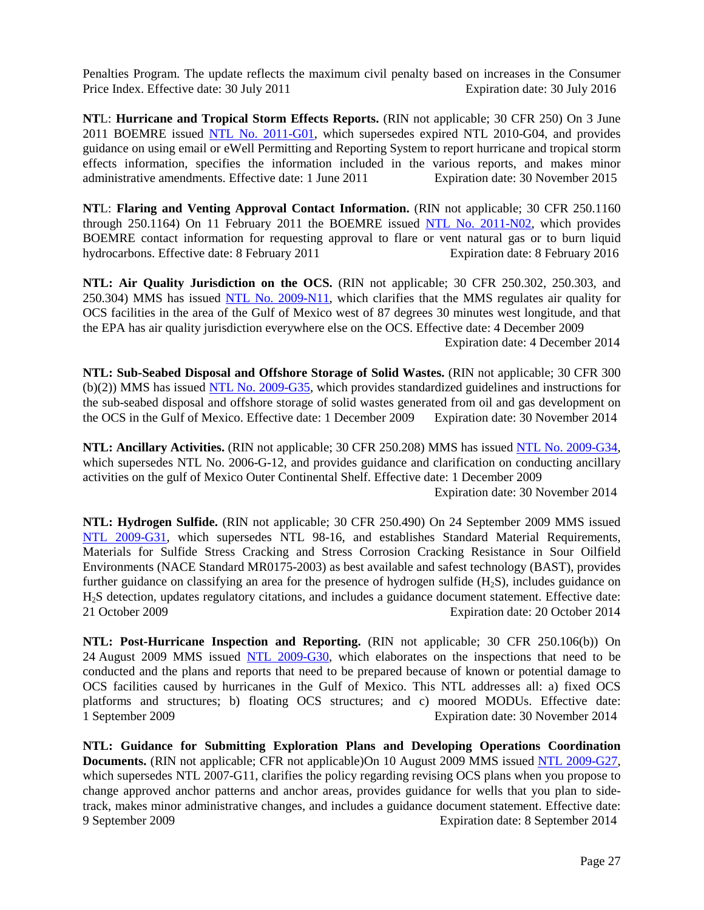Penalties Program. The update reflects the maximum civil penalty based on increases in the Consumer Price Index. Effective date: 30 July 2011 Expiration date: 30 July 2016

**NT**L: **Hurricane and Tropical Storm Effects Reports.** (RIN not applicable; 30 CFR 250) On 3 June 2011 BOEMRE issued NTL [No. 2011-G01,](http://www.bsee.gov/Regulations-and-Guidance/Notices-to-Lessees-and-Operators.aspx) which supersedes expired NTL 2010-G04, and provides guidance on using email or eWell Permitting and Reporting System to report hurricane and tropical storm effects information, specifies the information included in the various reports, and makes minor administrative amendments. Effective date: 1 June 2011 Expiration date: 30 November 2015

**NT**L: **Flaring and Venting Approval Contact Information.** (RIN not applicable; 30 CFR 250.1160 through 250.1164) On 11 February 2011 the BOEMRE issued [NTL No. 2011-N02,](http://www.bsee.gov/Regulations-and-Guidance/Notices-to-Lessees-and-Operators.aspx) which provides BOEMRE contact information for requesting approval to flare or vent natural gas or to burn liquid hydrocarbons. Effective date: 8 February 2011 Expiration date: 8 February 2016

**NTL: Air Quality Jurisdiction on the OCS.** (RIN not applicable; 30 CFR 250.302, 250.303, and 250.304) MMS has issued [NTL No. 2009-N11,](http://www.bsee.gov/Regulations-and-Guidance/Notices-to-Lessees-and-Operators.aspx) which clarifies that the MMS regulates air quality for OCS facilities in the area of the Gulf of Mexico west of 87 degrees 30 minutes west longitude, and that the EPA has air quality jurisdiction everywhere else on the OCS. Effective date: 4 December 2009

Expiration date: 4 December 2014

**NTL: Sub-Seabed Disposal and Offshore Storage of Solid Wastes.** (RIN not applicable; 30 CFR 300 (b)(2)) MMS has issued [NTL No. 2009-G35,](http://www.bsee.gov/Regulations-and-Guidance/Notices-to-Lessees-and-Operators.aspx) which provides standardized guidelines and instructions for the sub-seabed disposal and offshore storage of solid wastes generated from oil and gas development on the OCS in the Gulf of Mexico. Effective date: 1 December 2009 Expiration date: 30 November 2014

NTL: Ancillary Activities. (RIN not applicable; 30 CFR 250.208) MMS has issued [NTL No. 2009-G34,](http://www.bsee.gov/Regulations-and-Guidance/Notices-to-Lessees-and-Operators.aspx) which supersedes NTL No. 2006-G-12, and provides guidance and clarification on conducting ancillary activities on the gulf of Mexico Outer Continental Shelf. Effective date: 1 December 2009

Expiration date: 30 November 2014

**NTL: Hydrogen Sulfide.** (RIN not applicable; 30 CFR 250.490) On 24 September 2009 MMS issued [NTL 2009-G31,](http://www.bsee.gov/Regulations-and-Guidance/Notices-to-Lessees-and-Operators.aspx) which supersedes NTL 98-16, and establishes Standard Material Requirements, Materials for Sulfide Stress Cracking and Stress Corrosion Cracking Resistance in Sour Oilfield Environments (NACE Standard MR0175-2003) as best available and safest technology (BAST), provides further guidance on classifying an area for the presence of hydrogen sulfide  $(H<sub>2</sub>S)$ , includes guidance on H2S detection, updates regulatory citations, and includes a guidance document statement. Effective date: 21 October 2009 Expiration date: 20 October 2014

**NTL: Post-Hurricane Inspection and Reporting.** (RIN not applicable; 30 CFR 250.106(b)) On 24 August 2009 MMS issued [NTL 2009-G30,](http://www.bsee.gov/Regulations-and-Guidance/Notices-to-Lessees-and-Operators.aspx) which elaborates on the inspections that need to be conducted and the plans and reports that need to be prepared because of known or potential damage to OCS facilities caused by hurricanes in the Gulf of Mexico. This NTL addresses all: a) fixed OCS platforms and structures; b) floating OCS structures; and c) moored MODUs. Effective date: 1 September 2009 Expiration date: 30 November 2014

**NTL: Guidance for Submitting Exploration Plans and Developing Operations Coordination Documents.** (RIN not applicable; CFR not applicable)On 10 August 2009 MMS issued [NTL 2009-G27,](http://www.bsee.gov/Regulations-and-Guidance/Notices-to-Lessees-and-Operators.aspx) which supersedes NTL 2007-G11, clarifies the policy regarding revising OCS plans when you propose to change approved anchor patterns and anchor areas, provides guidance for wells that you plan to sidetrack, makes minor administrative changes, and includes a guidance document statement. Effective date: 9 September 2009 Expiration date: 8 September 2014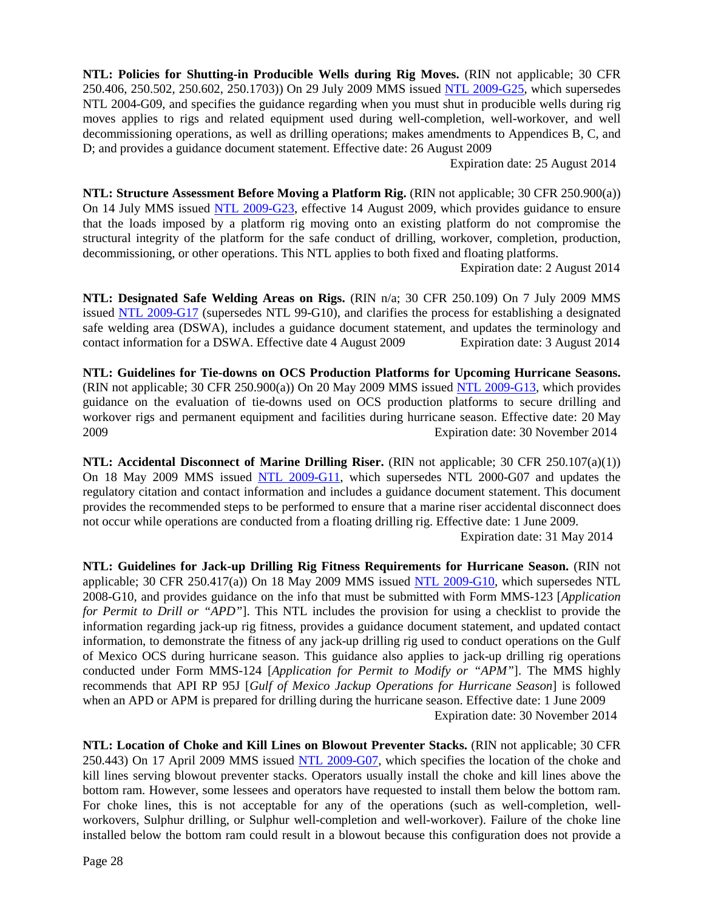**NTL: Policies for Shutting-in Producible Wells during Rig Moves.** (RIN not applicable; 30 CFR 250.406, 250.502, 250.602, 250.1703)) On 29 July 2009 MMS issued [NTL 2009-G25,](http://www.bsee.gov/Regulations-and-Guidance/Notices-to-Lessees-and-Operators.aspx) which supersedes NTL 2004-G09, and specifies the guidance regarding when you must shut in producible wells during rig moves applies to rigs and related equipment used during well-completion, well-workover, and well decommissioning operations, as well as drilling operations; makes amendments to Appendices B, C, and D; and provides a guidance document statement. Effective date: 26 August 2009

Expiration date: 25 August 2014

**NTL: Structure Assessment Before Moving a Platform Rig.** (RIN not applicable: 30 CFR 250.900(a)) On 14 July MMS issued [NTL 2009-G23,](http://www.bsee.gov/Regulations-and-Guidance/Notices-to-Lessees-and-Operators.aspx) effective 14 August 2009, which provides guidance to ensure that the loads imposed by a platform rig moving onto an existing platform do not compromise the structural integrity of the platform for the safe conduct of drilling, workover, completion, production, decommissioning, or other operations. This NTL applies to both fixed and floating platforms.

Expiration date: 2 August 2014

**NTL: Designated Safe Welding Areas on Rigs.** (RIN n/a; 30 CFR 250.109) On 7 July 2009 MMS issued [NTL 2009-G17](http://www.bsee.gov/Regulations-and-Guidance/Notices-to-Lessees-and-Operators.aspx) (supersedes NTL 99-G10), and clarifies the process for establishing a designated safe welding area (DSWA), includes a guidance document statement, and updates the terminology and contact information for a DSWA. Effective date 4 August 2009 Expiration date: 3 August 2014

**NTL: Guidelines for Tie-downs on OCS Production Platforms for Upcoming Hurricane Seasons.** (RIN not applicable; 30 CFR 250.900(a)) On 20 May 2009 MMS issued [NTL 2009-G13,](http://www.bsee.gov/Regulations-and-Guidance/Notices-to-Lessees-and-Operators.aspx) which provides guidance on the evaluation of tie-downs used on OCS production platforms to secure drilling and workover rigs and permanent equipment and facilities during hurricane season. Effective date: 20 May 2009 Expiration date: 30 November 2014

**NTL: Accidental Disconnect of Marine Drilling Riser.** (RIN not applicable; 30 CFR 250.107(a)(1)) On 18 May 2009 MMS issued [NTL 2009-G11,](http://www.bsee.gov/Regulations-and-Guidance/Notices-to-Lessees-and-Operators.aspx) which supersedes NTL 2000-G07 and updates the regulatory citation and contact information and includes a guidance document statement. This document provides the recommended steps to be performed to ensure that a marine riser accidental disconnect does not occur while operations are conducted from a floating drilling rig. Effective date: 1 June 2009.

Expiration date: 31 May 2014

**NTL: Guidelines for Jack-up Drilling Rig Fitness Requirements for Hurricane Season.** (RIN not applicable; 30 CFR 250.417(a)) On 18 May 2009 MMS issued [NTL 2009-G10,](http://www.bsee.gov/Regulations-and-Guidance/Notices-to-Lessees-and-Operators.aspx) which supersedes NTL 2008-G10, and provides guidance on the info that must be submitted with Form MMS-123 [*Application for Permit to Drill or "APD"*]. This NTL includes the provision for using a checklist to provide the information regarding jack-up rig fitness, provides a guidance document statement, and updated contact information, to demonstrate the fitness of any jack-up drilling rig used to conduct operations on the Gulf of Mexico OCS during hurricane season. This guidance also applies to jack-up drilling rig operations conducted under Form MMS-124 [*Application for Permit to Modify or "APM"*]. The MMS highly recommends that API RP 95J [*Gulf of Mexico Jackup Operations for Hurricane Season*] is followed when an APD or APM is prepared for drilling during the hurricane season. Effective date: 1 June 2009 Expiration date: 30 November 2014

**NTL: Location of Choke and Kill Lines on Blowout Preventer Stacks.** (RIN not applicable; 30 CFR 250.443) On 17 April 2009 MMS issued [NTL 2009-G07,](http://www.bsee.gov/Regulations-and-Guidance/Notices-to-Lessees-and-Operators.aspx) which specifies the location of the choke and kill lines serving blowout preventer stacks. Operators usually install the choke and kill lines above the bottom ram. However, some lessees and operators have requested to install them below the bottom ram. For choke lines, this is not acceptable for any of the operations (such as well-completion, wellworkovers, Sulphur drilling, or Sulphur well-completion and well-workover). Failure of the choke line installed below the bottom ram could result in a blowout because this configuration does not provide a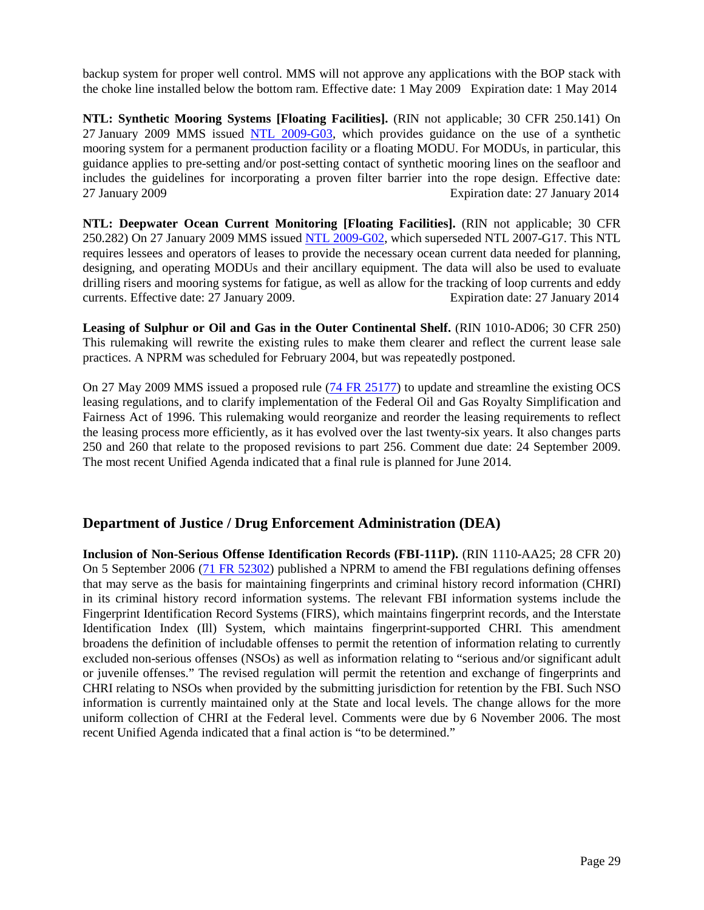backup system for proper well control. MMS will not approve any applications with the BOP stack with the choke line installed below the bottom ram. Effective date: 1 May 2009 Expiration date: 1 May 2014

**NTL: Synthetic Mooring Systems [Floating Facilities].** (RIN not applicable; 30 CFR 250.141) On 27 January 2009 MMS issued [NTL 2009-G03,](http://www.bsee.gov/Regulations-and-Guidance/Notices-to-Lessees-and-Operators.aspx) which provides guidance on the use of a synthetic mooring system for a permanent production facility or a floating MODU. For MODUs, in particular, this guidance applies to pre-setting and/or post-setting contact of synthetic mooring lines on the seafloor and includes the guidelines for incorporating a proven filter barrier into the rope design. Effective date: 27 January 2009 Expiration date: 27 January 2014

**NTL: Deepwater Ocean Current Monitoring [Floating Facilities].** (RIN not applicable; 30 CFR 250.282) On 27 January 2009 MMS issued [NTL 2009-G02,](http://www.bsee.gov/Regulations-and-Guidance/Notices-to-Lessees-and-Operators.aspx) which superseded NTL 2007-G17. This NTL requires lessees and operators of leases to provide the necessary ocean current data needed for planning, designing, and operating MODUs and their ancillary equipment. The data will also be used to evaluate drilling risers and mooring systems for fatigue, as well as allow for the tracking of loop currents and eddy currents. Effective date: 27 January 2009. Expiration date: 27 January 2014 currents. Effective date: 27 January 2009.

**Leasing of Sulphur or Oil and Gas in the Outer Continental Shelf.** (RIN 1010-AD06; 30 CFR 250) This rulemaking will rewrite the existing rules to make them clearer and reflect the current lease sale practices. A NPRM was scheduled for February 2004, but was repeatedly postponed.

On 27 May 2009 MMS issued a proposed rule [\(74 FR 25177\)](http://edocket.access.gpo.gov/2009/pdf/E9-12155.pdf) to update and streamline the existing OCS leasing regulations, and to clarify implementation of the Federal Oil and Gas Royalty Simplification and Fairness Act of 1996. This rulemaking would reorganize and reorder the leasing requirements to reflect the leasing process more efficiently, as it has evolved over the last twenty-six years. It also changes parts 250 and 260 that relate to the proposed revisions to part 256. Comment due date: 24 September 2009. The most recent Unified Agenda indicated that a final rule is planned for June 2014.

#### **Department of Justice / Drug Enforcement Administration (DEA)**

**Inclusion of Non-Serious Offense Identification Records (FBI-111P).** (RIN 1110-AA25; 28 CFR 20) On 5 September 2006 [\(71 FR 52302\)](http://edocket.access.gpo.gov/2006/pdf/E6-14605.pdf) published a NPRM to amend the FBI regulations defining offenses that may serve as the basis for maintaining fingerprints and criminal history record information (CHRI) in its criminal history record information systems. The relevant FBI information systems include the Fingerprint Identification Record Systems (FIRS), which maintains fingerprint records, and the Interstate Identification Index (Ill) System, which maintains fingerprint-supported CHRI. This amendment broadens the definition of includable offenses to permit the retention of information relating to currently excluded non-serious offenses (NSOs) as well as information relating to "serious and/or significant adult or juvenile offenses." The revised regulation will permit the retention and exchange of fingerprints and CHRI relating to NSOs when provided by the submitting jurisdiction for retention by the FBI. Such NSO information is currently maintained only at the State and local levels. The change allows for the more uniform collection of CHRI at the Federal level. Comments were due by 6 November 2006. The most recent Unified Agenda indicated that a final action is "to be determined."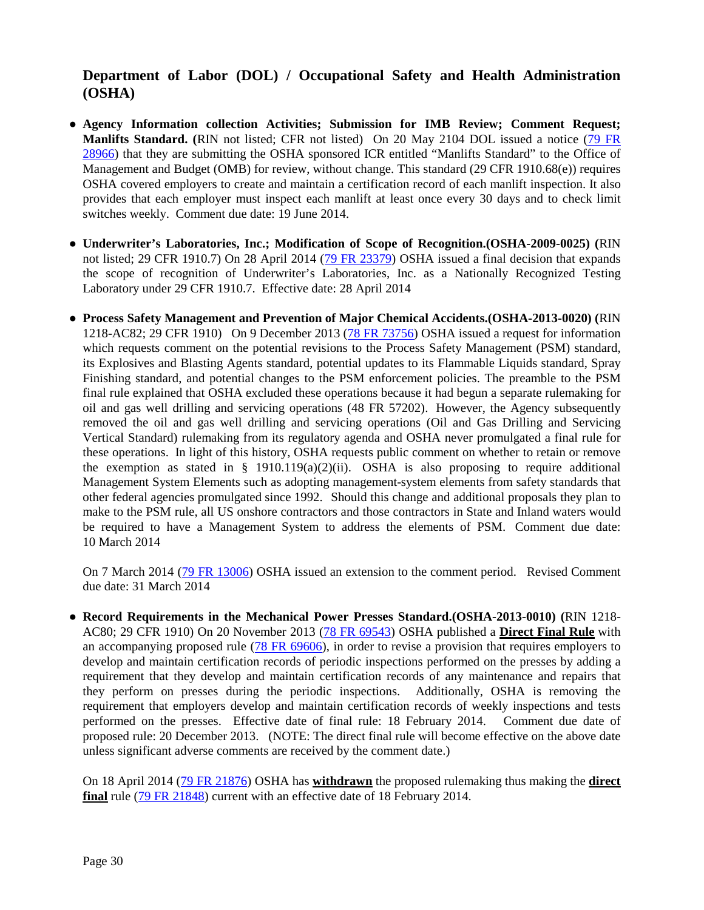### **Department of Labor (DOL) / Occupational Safety and Health Administration (OSHA)**

- **Agency Information collection Activities; Submission for IMB Review; Comment Request; Manlifts Standard. (**RIN not listed; CFR not listed) On 20 May 2104 DOL issued a notice [\(79 FR](http://www.gpo.gov/fdsys/pkg/FR-2014-05-20/pdf/2014-11526.pdf)  [28966\)](http://www.gpo.gov/fdsys/pkg/FR-2014-05-20/pdf/2014-11526.pdf) that they are submitting the OSHA sponsored ICR entitled "Manlifts Standard" to the Office of Management and Budget (OMB) for review, without change. This standard (29 CFR 1910.68(e)) requires OSHA covered employers to create and maintain a certification record of each manlift inspection. It also provides that each employer must inspect each manlift at least once every 30 days and to check limit switches weekly. Comment due date: 19 June 2014.
- **Underwriter's Laboratories, Inc.; Modification of Scope of Recognition.(OSHA-2009-0025) (**RIN not listed; 29 CFR 1910.7) On 28 April 2014 [\(79 FR 23379\)](http://www.gpo.gov/fdsys/pkg/FR-2014-04-28/pdf/2014-09530.pdf) OSHA issued a final decision that expands the scope of recognition of Underwriter's Laboratories, Inc. as a Nationally Recognized Testing Laboratory under 29 CFR 1910.7. Effective date: 28 April 2014
- **Process Safety Management and Prevention of Major Chemical Accidents.(OSHA-2013-0020) (**RIN 1218-AC82; 29 CFR 1910) On 9 December 2013 [\(78 FR 73756\)](http://www.gpo.gov/fdsys/pkg/FR-2013-12-09/pdf/2013-29197.pdf) OSHA issued a request for information which requests comment on the potential revisions to the Process Safety Management (PSM) standard, its Explosives and Blasting Agents standard, potential updates to its Flammable Liquids standard, Spray Finishing standard, and potential changes to the PSM enforcement policies. The preamble to the PSM final rule explained that OSHA excluded these operations because it had begun a separate rulemaking for oil and gas well drilling and servicing operations (48 FR 57202). However, the Agency subsequently removed the oil and gas well drilling and servicing operations (Oil and Gas Drilling and Servicing Vertical Standard) rulemaking from its regulatory agenda and OSHA never promulgated a final rule for these operations. In light of this history, OSHA requests public comment on whether to retain or remove the exemption as stated in § 1910.119(a)(2)(ii). OSHA is also proposing to require additional Management System Elements such as adopting management-system elements from safety standards that other federal agencies promulgated since 1992. Should this change and additional proposals they plan to make to the PSM rule, all US onshore contractors and those contractors in State and Inland waters would be required to have a Management System to address the elements of PSM. Comment due date: 10 March 2014

On 7 March 2014 [\(79 FR 13006\)](http://www.gpo.gov/fdsys/pkg/FR-2014-03-07/pdf/2014-04983.pdf) OSHA issued an extension to the comment period. Revised Comment due date: 31 March 2014

● **Record Requirements in the Mechanical Power Presses Standard.(OSHA-2013-0010) (**RIN 1218- AC80; 29 CFR 1910) On 20 November 2013 [\(78 FR 69543\)](http://www.gpo.gov/fdsys/pkg/FR-2013-11-20/pdf/2013-27695.pdf) OSHA published a **Direct Final Rule** with an accompanying proposed rule [\(78 FR 69606\)](http://www.gpo.gov/fdsys/pkg/FR-2013-11-20/pdf/2013-27694.pdf), in order to revise a provision that requires employers to develop and maintain certification records of periodic inspections performed on the presses by adding a requirement that they develop and maintain certification records of any maintenance and repairs that they perform on presses during the periodic inspections. Additionally, OSHA is removing the requirement that employers develop and maintain certification records of weekly inspections and tests performed on the presses. Effective date of final rule: 18 February 2014. Comment due date of proposed rule: 20 December 2013. (NOTE: The direct final rule will become effective on the above date unless significant adverse comments are received by the comment date.)

On 18 April 2014 [\(79 FR 21876\)](http://www.gpo.gov/fdsys/pkg/FR-2014-04-18/pdf/2014-08863.pdf) OSHA has **withdrawn** the proposed rulemaking thus making the **direct final** rule [\(79 FR 21848\)](http://www.gpo.gov/fdsys/pkg/FR-2014-04-18/pdf/2014-08864.pdf) current with an effective date of 18 February 2014.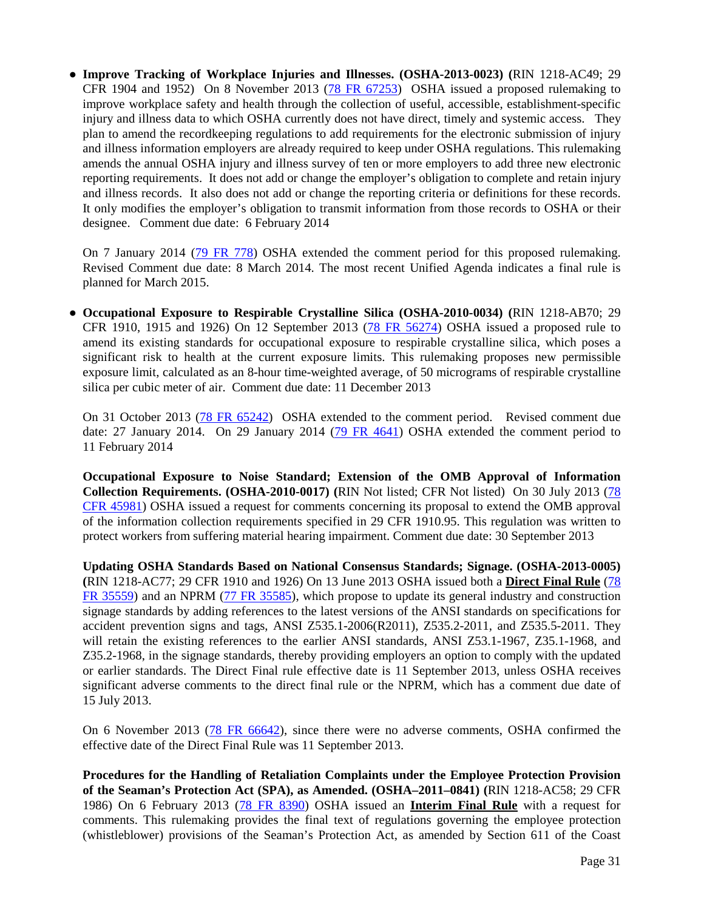● **Improve Tracking of Workplace Injuries and Illnesses. (OSHA-2013-0023) (**RIN 1218-AC49; 29 CFR 1904 and 1952) On 8 November 2013 [\(78 FR 67253\)](http://www.gpo.gov/fdsys/pkg/FR-2013-11-08/pdf/2013-26711.pdf) OSHA issued a proposed rulemaking to improve workplace safety and health through the collection of useful, accessible, establishment-specific injury and illness data to which OSHA currently does not have direct, timely and systemic access. They plan to amend the recordkeeping regulations to add requirements for the electronic submission of injury and illness information employers are already required to keep under OSHA regulations. This rulemaking amends the annual OSHA injury and illness survey of ten or more employers to add three new electronic reporting requirements. It does not add or change the employer's obligation to complete and retain injury and illness records. It also does not add or change the reporting criteria or definitions for these records. It only modifies the employer's obligation to transmit information from those records to OSHA or their designee. Comment due date: 6 February 2014

On 7 January 2014 [\(79 FR 778\)](http://www.gpo.gov/fdsys/pkg/FR-2014-01-07/pdf/2014-00010.pdf) OSHA extended the comment period for this proposed rulemaking. Revised Comment due date: 8 March 2014. The most recent Unified Agenda indicates a final rule is planned for March 2015.

● **Occupational Exposure to Respirable Crystalline Silica (OSHA-2010-0034) (**RIN 1218-AB70; 29 CFR 1910, 1915 and 1926) On 12 September 2013 [\(78 FR 56274\)](http://www.gpo.gov/fdsys/pkg/FR-2013-09-12/pdf/2013-20997.pdf) OSHA issued a proposed rule to amend its existing standards for occupational exposure to respirable crystalline silica, which poses a significant risk to health at the current exposure limits. This rulemaking proposes new permissible exposure limit, calculated as an 8-hour time-weighted average, of 50 micrograms of respirable crystalline silica per cubic meter of air. Comment due date: 11 December 2013

On 31 October 2013 [\(78 FR 65242\)](http://www.gpo.gov/fdsys/pkg/FR-2013-10-31/pdf/2013-25863.pdf) OSHA extended to the comment period. Revised comment due date: 27 January 2014. On 29 January 2014 [\(79 FR 4641\)](http://www.gpo.gov/fdsys/pkg/FR-2014-01-29/pdf/2014-01728.pdf) OSHA extended the comment period to 11 February 2014

**Occupational Exposure to Noise Standard; Extension of the OMB Approval of Information Collection Requirements. (OSHA-2010-0017) (**RIN Not listed; CFR Not listed) On 30 July 2013 [\(78](http://www.gpo.gov/fdsys/pkg/FR-2013-07-30/pdf/2013-18280.pdf)  [CFR 45981\)](http://www.gpo.gov/fdsys/pkg/FR-2013-07-30/pdf/2013-18280.pdf) OSHA issued a request for comments concerning its proposal to extend the OMB approval of the information collection requirements specified in 29 CFR 1910.95. This regulation was written to protect workers from suffering material hearing impairment. Comment due date: 30 September 2013

**Updating OSHA Standards Based on National Consensus Standards; Signage. (OSHA-2013-0005) (**RIN 1218-AC77; 29 CFR 1910 and 1926) On 13 June 2013 OSHA issued both a **Direct Final Rule** [\(78](http://www.gpo.gov/fdsys/pkg/FR-2013-06-13/pdf/2013-13909.pdf)  [FR 35559\)](http://www.gpo.gov/fdsys/pkg/FR-2013-06-13/pdf/2013-13909.pdf) and an NPRM [\(77 FR 35585\)](http://www.gpo.gov/fdsys/pkg/FR-2013-06-13/pdf/2013-13910.pdf), which propose to update its general industry and construction signage standards by adding references to the latest versions of the ANSI standards on specifications for accident prevention signs and tags, ANSI Z535.1-2006(R2011), Z535.2-2011, and Z535.5-2011. They will retain the existing references to the earlier ANSI standards, ANSI Z53.1-1967, Z35.1-1968, and Z35.2-1968, in the signage standards, thereby providing employers an option to comply with the updated or earlier standards. The Direct Final rule effective date is 11 September 2013, unless OSHA receives significant adverse comments to the direct final rule or the NPRM, which has a comment due date of 15 July 2013.

On 6 November 2013 [\(78 FR 66642\)](http://www.gpo.gov/fdsys/pkg/FR-2013-11-06/pdf/2013-26336.pdf), since there were no adverse comments, OSHA confirmed the effective date of the Direct Final Rule was 11 September 2013.

**Procedures for the Handling of Retaliation Complaints under the Employee Protection Provision of the Seaman's Protection Act (SPA), as Amended. (OSHA–2011–0841) (**RIN 1218-AC58; 29 CFR 1986) On 6 February 2013 (78 [FR 8390\)](http://www.gpo.gov/fdsys/pkg/FR-2013-02-06/pdf/2013-02539.pdf) OSHA issued an **Interim Final Rule** with a request for comments. This rulemaking provides the final text of regulations governing the employee protection (whistleblower) provisions of the Seaman's Protection Act, as amended by Section 611 of the Coast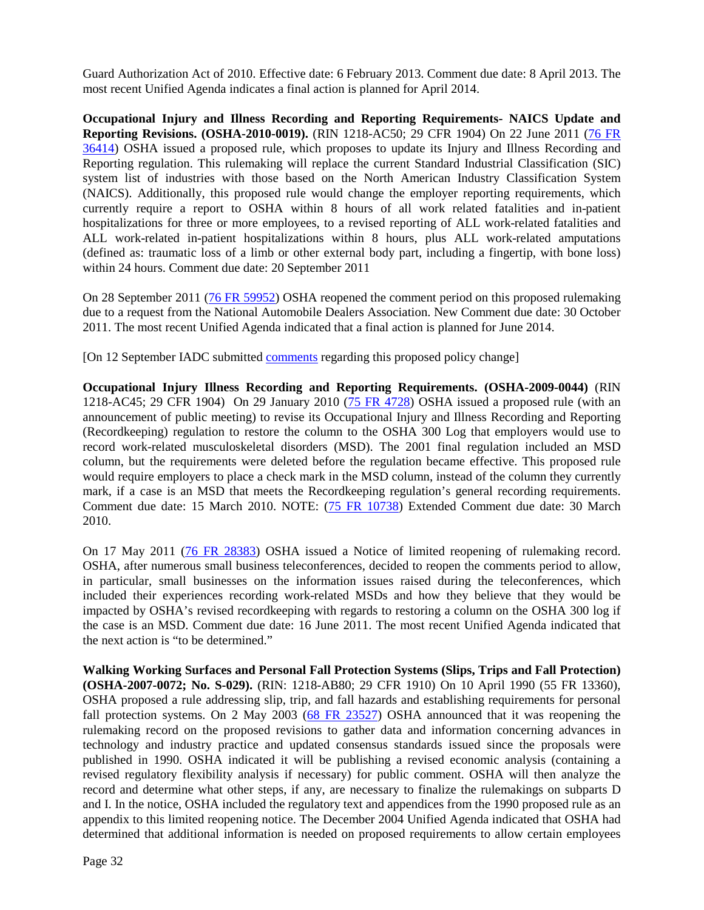Guard Authorization Act of 2010. Effective date: 6 February 2013. Comment due date: 8 April 2013. The most recent Unified Agenda indicates a final action is planned for April 2014.

**Occupational Injury and Illness Recording and Reporting Requirements- NAICS Update and Reporting Revisions. (OSHA-2010-0019).** (RIN 1218-AC50; 29 CFR 1904) On 22 June 2011 [\(76 FR](http://www.gpo.gov/fdsys/pkg/FR-2011-06-22/pdf/2011-15277.pdf)  [36414\)](http://www.gpo.gov/fdsys/pkg/FR-2011-06-22/pdf/2011-15277.pdf) OSHA issued a proposed rule, which proposes to update its Injury and Illness Recording and Reporting regulation. This rulemaking will replace the current Standard Industrial Classification (SIC) system list of industries with those based on the North American Industry Classification System (NAICS). Additionally, this proposed rule would change the employer reporting requirements, which currently require a report to OSHA within 8 hours of all work related fatalities and in-patient hospitalizations for three or more employees, to a revised reporting of ALL work-related fatalities and ALL work-related in-patient hospitalizations within 8 hours, plus ALL work-related amputations (defined as: traumatic loss of a limb or other external body part, including a fingertip, with bone loss) within 24 hours. Comment due date: 20 September 2011

On 28 September 2011 [\(76 FR 59952\)](http://www.gpo.gov/fdsys/pkg/FR-2011-09-28/pdf/2011-24779.pdf) OSHA reopened the comment period on this proposed rulemaking due to a request from the National Automobile Dealers Association. New Comment due date: 30 October 2011. The most recent Unified Agenda indicated that a final action is planned for June 2014.

[On 12 September IADC submitted [comments](http://www.iadc.org/offshore-operating-division/documents/) regarding this proposed policy change]

**Occupational Injury Illness Recording and Reporting Requirements. (OSHA-2009-0044)** (RIN 1218-AC45; 29 CFR 1904) On 29 January 2010 [\(75 FR 4728\)](http://edocket.access.gpo.gov/2010/pdf/2010-2010.pdf) OSHA issued a proposed rule (with an announcement of public meeting) to revise its Occupational Injury and Illness Recording and Reporting (Recordkeeping) regulation to restore the column to the OSHA 300 Log that employers would use to record work-related musculoskeletal disorders (MSD). The 2001 final regulation included an MSD column, but the requirements were deleted before the regulation became effective. This proposed rule would require employers to place a check mark in the MSD column, instead of the column they currently mark, if a case is an MSD that meets the Recordkeeping regulation's general recording requirements. Comment due date: 15 March 2010. NOTE: [\(75 FR 10738\)](http://edocket.access.gpo.gov/2010/pdf/2010-4988.pdf) Extended Comment due date: 30 March 2010.

On 17 May 2011 [\(76 FR 28383\)](http://www.gpo.gov/fdsys/pkg/FR-2011-05-17/pdf/2011-11965.pdf) OSHA issued a Notice of limited reopening of rulemaking record. OSHA, after numerous small business teleconferences, decided to reopen the comments period to allow, in particular, small businesses on the information issues raised during the teleconferences, which included their experiences recording work-related MSDs and how they believe that they would be impacted by OSHA's revised recordkeeping with regards to restoring a column on the OSHA 300 log if the case is an MSD. Comment due date: 16 June 2011. The most recent Unified Agenda indicated that the next action is "to be determined."

**Walking Working Surfaces and Personal Fall Protection Systems (Slips, Trips and Fall Protection) (OSHA-2007-0072; No. S-029).** (RIN: 1218-AB80; 29 CFR 1910) On 10 April 1990 (55 FR 13360), OSHA proposed a rule addressing slip, trip, and fall hazards and establishing requirements for personal fall protection systems. On 2 May 2003 [\(68 FR](http://edocket.access.gpo.gov/2003/pdf/03-10617.pdf) 23527) OSHA announced that it was reopening the rulemaking record on the proposed revisions to gather data and information concerning advances in technology and industry practice and updated consensus standards issued since the proposals were published in 1990. OSHA indicated it will be publishing a revised economic analysis (containing a revised regulatory flexibility analysis if necessary) for public comment. OSHA will then analyze the record and determine what other steps, if any, are necessary to finalize the rulemakings on subparts D and I. In the notice, OSHA included the regulatory text and appendices from the 1990 proposed rule as an appendix to this limited reopening notice. The December 2004 Unified Agenda indicated that OSHA had determined that additional information is needed on proposed requirements to allow certain employees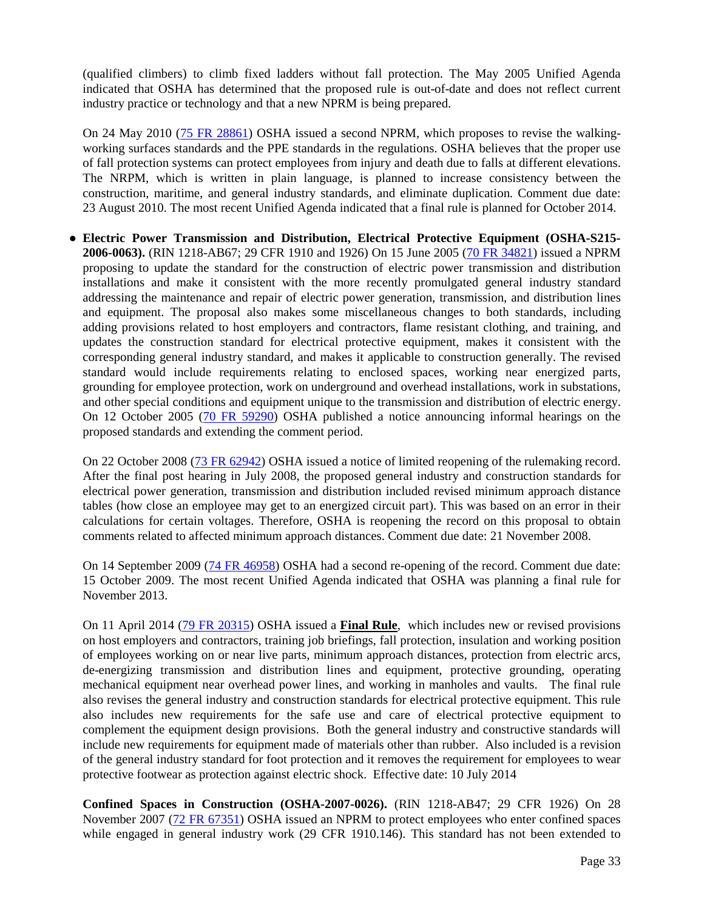(qualified climbers) to climb fixed ladders without fall protection. The May 2005 Unified Agenda indicated that OSHA has determined that the proposed rule is out-of-date and does not reflect current industry practice or technology and that a new NPRM is being prepared.

On 24 May 2010 [\(75 FR 28861\)](http://edocket.access.gpo.gov/2010/pdf/2010-10418.pdf) OSHA issued a second NPRM, which proposes to revise the walkingworking surfaces standards and the PPE standards in the regulations. OSHA believes that the proper use of fall protection systems can protect employees from injury and death due to falls at different elevations. The NRPM, which is written in plain language, is planned to increase consistency between the construction, maritime, and general industry standards, and eliminate duplication. Comment due date: 23 August 2010. The most recent Unified Agenda indicated that a final rule is planned for October 2014.

**● Electric Power Transmission and Distribution, Electrical Protective Equipment (OSHA-S215- 2006-0063).** (RIN 1218-AB67; 29 CFR 1910 and 1926) On 15 June 2005 [\(70 FR 34821\)](http://edocket.access.gpo.gov/2005/pdf/05-11585.pdf) issued a NPRM proposing to update the standard for the construction of electric power transmission and distribution installations and make it consistent with the more recently promulgated general industry standard addressing the maintenance and repair of electric power generation, transmission, and distribution lines and equipment. The proposal also makes some miscellaneous changes to both standards, including adding provisions related to host employers and contractors, flame resistant clothing, and training, and updates the construction standard for electrical protective equipment, makes it consistent with the corresponding general industry standard, and makes it applicable to construction generally. The revised standard would include requirements relating to enclosed spaces, working near energized parts, grounding for employee protection, work on underground and overhead installations, work in substations, and other special conditions and equipment unique to the transmission and distribution of electric energy. On 12 October 2005 [\(70 FR 59290\)](http://edocket.access.gpo.gov/2005/pdf/05-20421.pdf) OSHA published a notice announcing informal hearings on the proposed standards and extending the comment period.

On 22 October 2008 [\(73 FR 62942\)](http://edocket.access.gpo.gov/2008/pdf/E8-25079.pdf) OSHA issued a notice of limited reopening of the rulemaking record. After the final post hearing in July 2008, the proposed general industry and construction standards for electrical power generation, transmission and distribution included revised minimum approach distance tables (how close an employee may get to an energized circuit part). This was based on an error in their calculations for certain voltages. Therefore, OSHA is reopening the record on this proposal to obtain comments related to affected minimum approach distances. Comment due date: 21 November 2008.

On 14 September 2009 [\(74 FR 46958\)](http://edocket.access.gpo.gov/2009/pdf/E9-22002.pdf) OSHA had a second re-opening of the record. Comment due date: 15 October 2009. The most recent Unified Agenda indicated that OSHA was planning a final rule for November 2013.

On 11 April 2014 [\(79 FR 20315\)](http://www.gpo.gov/fdsys/pkg/FR-2014-04-11/pdf/2013-29579.pdf) OSHA issued a **Final Rule**, which includes new or revised provisions on host employers and contractors, training job briefings, fall protection, insulation and working position of employees working on or near live parts, minimum approach distances, protection from electric arcs, de-energizing transmission and distribution lines and equipment, protective grounding, operating mechanical equipment near overhead power lines, and working in manholes and vaults. The final rule also revises the general industry and construction standards for electrical protective equipment. This rule also includes new requirements for the safe use and care of electrical protective equipment to complement the equipment design provisions. Both the general industry and constructive standards will include new requirements for equipment made of materials other than rubber. Also included is a revision of the general industry standard for foot protection and it removes the requirement for employees to wear protective footwear as protection against electric shock. Effective date: 10 July 2014

**Confined Spaces in Construction (OSHA-2007-0026).** (RIN 1218-AB47; 29 CFR 1926) On 28 November 2007 [\(72 FR 67351\)](http://www.gpo.gov/fdsys/pkg/FR-2007-11-28/pdf/E7-21893.pdf) OSHA issued an NPRM to protect employees who enter confined spaces while engaged in general industry work (29 CFR 1910.146). This standard has not been extended to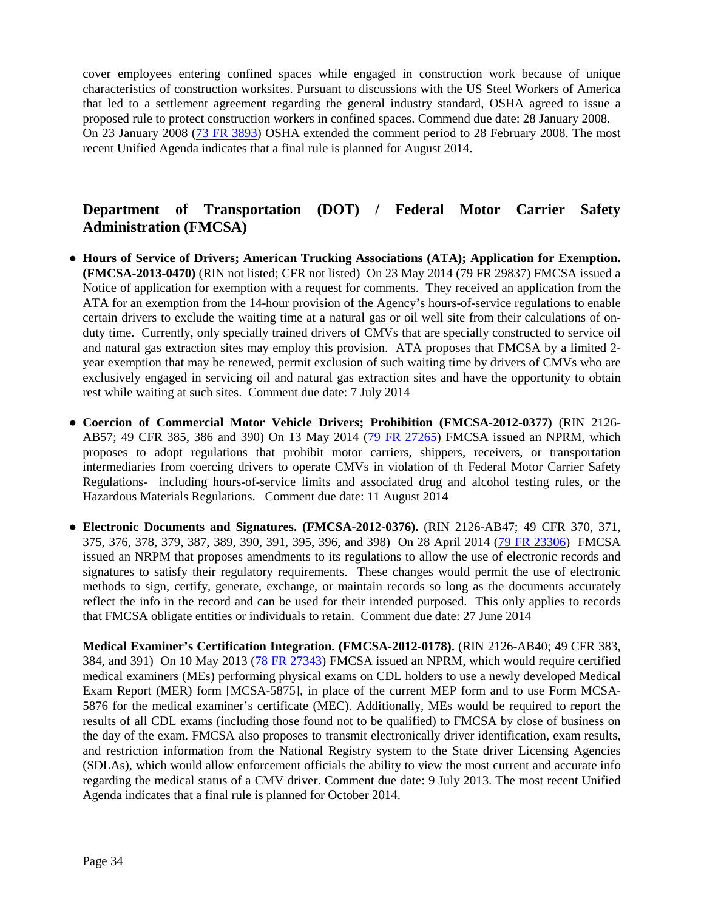cover employees entering confined spaces while engaged in construction work because of unique characteristics of construction worksites. Pursuant to discussions with the US Steel Workers of America that led to a settlement agreement regarding the general industry standard, OSHA agreed to issue a proposed rule to protect construction workers in confined spaces. Commend due date: 28 January 2008. On 23 January 2008 [\(73 FR 3893\)](http://www.gpo.gov/fdsys/pkg/FR-2008-01-23/pdf/E8-1081.pdf) OSHA extended the comment period to 28 February 2008. The most recent Unified Agenda indicates that a final rule is planned for August 2014.

### **Department of Transportation (DOT) / Federal Motor Carrier Safety Administration (FMCSA)**

- **Hours of Service of Drivers; American Trucking Associations (ATA); Application for Exemption. (FMCSA-2013-0470)** (RIN not listed; CFR not listed) On 23 May 2014 (79 FR 29837) FMCSA issued a Notice of application for exemption with a request for comments. They received an application from the ATA for an exemption from the 14-hour provision of the Agency's hours-of-service regulations to enable certain drivers to exclude the waiting time at a natural gas or oil well site from their calculations of onduty time. Currently, only specially trained drivers of CMVs that are specially constructed to service oil and natural gas extraction sites may employ this provision. ATA proposes that FMCSA by a limited 2 year exemption that may be renewed, permit exclusion of such waiting time by drivers of CMVs who are exclusively engaged in servicing oil and natural gas extraction sites and have the opportunity to obtain rest while waiting at such sites. Comment due date: 7 July 2014
- **Coercion of Commercial Motor Vehicle Drivers; Prohibition (FMCSA-2012-0377)** (RIN 2126- AB57; 49 CFR 385, 386 and 390) On 13 May 2014 [\(79 FR 27265\)](http://www.gpo.gov/fdsys/pkg/FR-2014-05-13/pdf/2014-10722.pdf) FMCSA issued an NPRM, which proposes to adopt regulations that prohibit motor carriers, shippers, receivers, or transportation intermediaries from coercing drivers to operate CMVs in violation of th Federal Motor Carrier Safety Regulations- including hours-of-service limits and associated drug and alcohol testing rules, or the Hazardous Materials Regulations. Comment due date: 11 August 2014
- **● Electronic Documents and Signatures. (FMCSA-2012-0376).** (RIN 2126-AB47; 49 CFR 370, 371, 375, 376, 378, 379, 387, 389, 390, 391, 395, 396, and 398) On 28 April 2014 [\(79 FR 23306\)](http://www.gpo.gov/fdsys/pkg/FR-2014-04-28/pdf/2014-09376.pdf) FMCSA issued an NRPM that proposes amendments to its regulations to allow the use of electronic records and signatures to satisfy their regulatory requirements. These changes would permit the use of electronic methods to sign, certify, generate, exchange, or maintain records so long as the documents accurately reflect the info in the record and can be used for their intended purposed. This only applies to records that FMCSA obligate entities or individuals to retain. Comment due date: 27 June 2014

**Medical Examiner's Certification Integration. (FMCSA-2012-0178).** (RIN 2126-AB40; 49 CFR 383, 384, and 391) On 10 May 2013 [\(78 FR 27343\)](http://www.gpo.gov/fdsys/pkg/FR-2013-05-10/pdf/2013-11080.pdf) FMCSA issued an NPRM, which would require certified medical examiners (MEs) performing physical exams on CDL holders to use a newly developed Medical Exam Report (MER) form [MCSA-5875], in place of the current MEP form and to use Form MCSA-5876 for the medical examiner's certificate (MEC). Additionally, MEs would be required to report the results of all CDL exams (including those found not to be qualified) to FMCSA by close of business on the day of the exam. FMCSA also proposes to transmit electronically driver identification, exam results, and restriction information from the National Registry system to the State driver Licensing Agencies (SDLAs), which would allow enforcement officials the ability to view the most current and accurate info regarding the medical status of a CMV driver. Comment due date: 9 July 2013. The most recent Unified Agenda indicates that a final rule is planned for October 2014.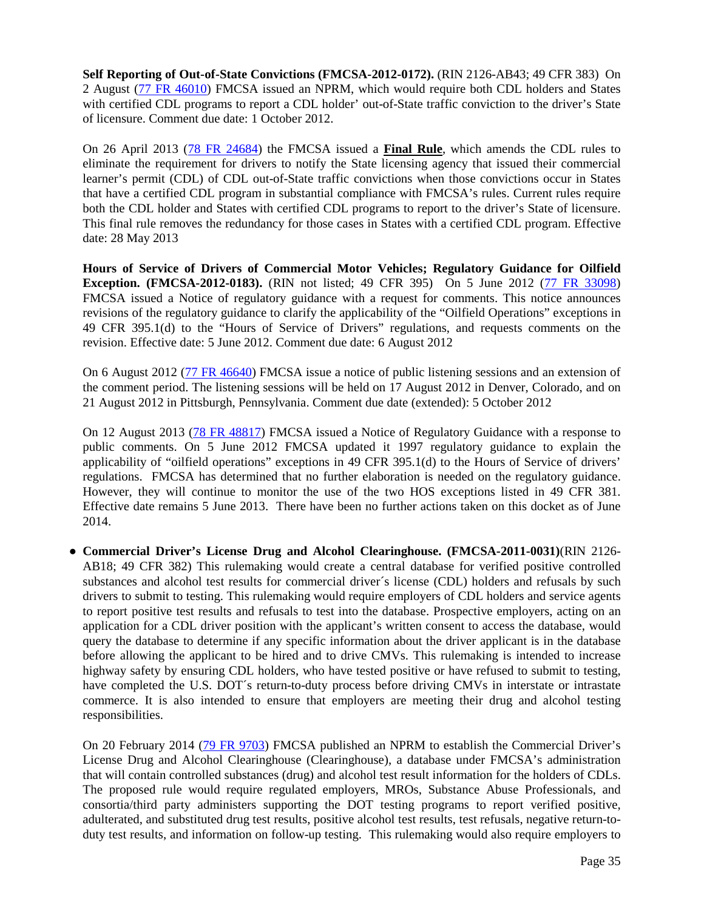**Self Reporting of Out-of-State Convictions (FMCSA-2012-0172).** (RIN 2126-AB43; 49 CFR 383) On 2 August [\(77 FR 46010\)](http://www.gpo.gov/fdsys/pkg/FR-2012-08-02/pdf/2012-18902.pdf) FMCSA issued an NPRM, which would require both CDL holders and States with certified CDL programs to report a CDL holder' out-of-State traffic conviction to the driver's State of licensure. Comment due date: 1 October 2012.

On 26 April 2013 [\(78 FR 24684\)](http://www.gpo.gov/fdsys/pkg/FR-2013-04-26/pdf/2013-09915.pdf) the FMCSA issued a **Final Rule**, which amends the CDL rules to eliminate the requirement for drivers to notify the State licensing agency that issued their commercial learner's permit (CDL) of CDL out-of-State traffic convictions when those convictions occur in States that have a certified CDL program in substantial compliance with FMCSA's rules. Current rules require both the CDL holder and States with certified CDL programs to report to the driver's State of licensure. This final rule removes the redundancy for those cases in States with a certified CDL program. Effective date: 28 May 2013

**Hours of Service of Drivers of Commercial Motor Vehicles; Regulatory Guidance for Oilfield Exception. (FMCSA-2012-0183).** (RIN not listed; 49 CFR 395) On 5 June 2012 [\(77 FR 33098\)](http://www.gpo.gov/fdsys/pkg/FR-2012-06-05/pdf/2012-13584.pdf) FMCSA issued a Notice of regulatory guidance with a request for comments. This notice announces revisions of the regulatory guidance to clarify the applicability of the "Oilfield Operations" exceptions in 49 CFR 395.1(d) to the "Hours of Service of Drivers" regulations, and requests comments on the revision. Effective date: 5 June 2012. Comment due date: 6 August 2012

On 6 August 2012 [\(77 FR 46640\)](http://www.gpo.gov/fdsys/pkg/FR-2012-08-06/pdf/2012-19303.pdf) FMCSA issue a notice of public listening sessions and an extension of the comment period. The listening sessions will be held on 17 August 2012 in Denver, Colorado, and on 21 August 2012 in Pittsburgh, Pennsylvania. Comment due date (extended): 5 October 2012

On 12 August 2013 [\(78 FR 48817\)](http://www.gpo.gov/fdsys/pkg/FR-2013-08-12/pdf/2013-19402.pdf) FMCSA issued a Notice of Regulatory Guidance with a response to public comments. On 5 June 2012 FMCSA updated it 1997 regulatory guidance to explain the applicability of "oilfield operations" exceptions in 49 CFR 395.1(d) to the Hours of Service of drivers' regulations. FMCSA has determined that no further elaboration is needed on the regulatory guidance. However, they will continue to monitor the use of the two HOS exceptions listed in 49 CFR 381. Effective date remains 5 June 2013. There have been no further actions taken on this docket as of June 2014.

**● Commercial Driver's License Drug and Alcohol Clearinghouse. (FMCSA-2011-0031)**(RIN 2126- AB18; 49 CFR 382) This rulemaking would create a central database for verified positive controlled substances and alcohol test results for commercial driver´s license (CDL) holders and refusals by such drivers to submit to testing. This rulemaking would require employers of CDL holders and service agents to report positive test results and refusals to test into the database. Prospective employers, acting on an application for a CDL driver position with the applicant's written consent to access the database, would query the database to determine if any specific information about the driver applicant is in the database before allowing the applicant to be hired and to drive CMVs. This rulemaking is intended to increase highway safety by ensuring CDL holders, who have tested positive or have refused to submit to testing, have completed the U.S. DOT's return-to-duty process before driving CMVs in interstate or intrastate commerce. It is also intended to ensure that employers are meeting their drug and alcohol testing responsibilities.

On 20 February 2014 [\(79 FR 9703\)](http://www.gpo.gov/fdsys/pkg/FR-2014-02-20/pdf/2014-03213.pdf) FMCSA published an NPRM to establish the Commercial Driver's License Drug and Alcohol Clearinghouse (Clearinghouse), a database under FMCSA's administration that will contain controlled substances (drug) and alcohol test result information for the holders of CDLs. The proposed rule would require regulated employers, MROs, Substance Abuse Professionals, and consortia/third party administers supporting the DOT testing programs to report verified positive, adulterated, and substituted drug test results, positive alcohol test results, test refusals, negative return-toduty test results, and information on follow-up testing. This rulemaking would also require employers to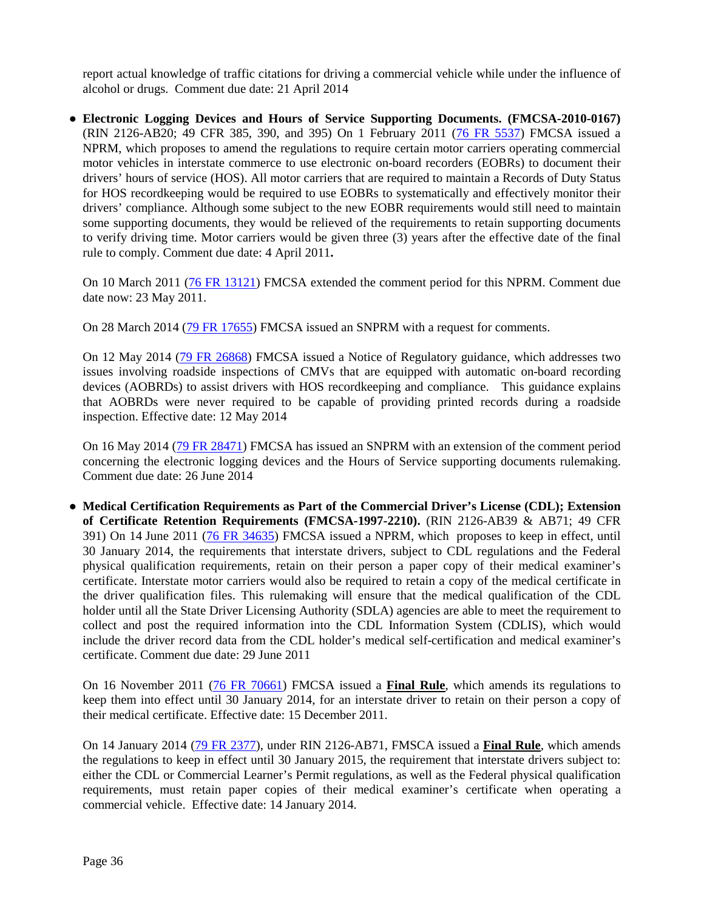report actual knowledge of traffic citations for driving a commercial vehicle while under the influence of alcohol or drugs. Comment due date: 21 April 2014

**● Electronic Logging Devices and Hours of Service Supporting Documents. (FMCSA-2010-0167)**  (RIN 2126-AB20; 49 CFR 385, 390, and 395) On 1 February 2011 [\(76 FR 5537\)](http://edocket.access.gpo.gov/2011/pdf/2011-2093.pdf) FMCSA issued a NPRM, which proposes to amend the regulations to require certain motor carriers operating commercial motor vehicles in interstate commerce to use electronic on-board recorders (EOBRs) to document their drivers' hours of service (HOS). All motor carriers that are required to maintain a Records of Duty Status for HOS recordkeeping would be required to use EOBRs to systematically and effectively monitor their drivers' compliance. Although some subject to the new EOBR requirements would still need to maintain some supporting documents, they would be relieved of the requirements to retain supporting documents to verify driving time. Motor carriers would be given three (3) years after the effective date of the final rule to comply. Comment due date: 4 April 2011**.** 

On 10 March 2011 [\(76 FR 13121\)](http://edocket.access.gpo.gov/2011/pdf/2011-5421.pdf) FMCSA extended the comment period for this NPRM. Comment due date now: 23 May 2011.

On 28 March 2014 [\(79 FR 17655\)](http://www.gpo.gov/fdsys/pkg/FR-2014-03-28/pdf/2014-05827.pdf) FMCSA issued an SNPRM with a request for comments.

On 12 May 2014 [\(79 FR 26868\)](http://www.gpo.gov/fdsys/pkg/FR-2014-05-12/pdf/2014-10822.pdf) FMCSA issued a Notice of Regulatory guidance, which addresses two issues involving roadside inspections of CMVs that are equipped with automatic on-board recording devices (AOBRDs) to assist drivers with HOS recordkeeping and compliance. This guidance explains that AOBRDs were never required to be capable of providing printed records during a roadside inspection. Effective date: 12 May 2014

On 16 May 2014 [\(79 FR 28471\)](http://www.gpo.gov/fdsys/pkg/FR-2014-05-16/pdf/2014-11244.pdf) FMCSA has issued an SNPRM with an extension of the comment period concerning the electronic logging devices and the Hours of Service supporting documents rulemaking. Comment due date: 26 June 2014

**● Medical Certification Requirements as Part of the Commercial Driver's License (CDL); Extension of Certificate Retention Requirements (FMCSA-1997-2210).** (RIN 2126-AB39 & AB71; 49 CFR 391) On 14 June 2011 [\(76 FR 34635\)](http://www.gpo.gov/fdsys/pkg/FR-2011-06-14/pdf/2011-14653.pdf) FMCSA issued a NPRM, which proposes to keep in effect, until 30 January 2014, the requirements that interstate drivers, subject to CDL regulations and the Federal physical qualification requirements, retain on their person a paper copy of their medical examiner's certificate. Interstate motor carriers would also be required to retain a copy of the medical certificate in the driver qualification files. This rulemaking will ensure that the medical qualification of the CDL holder until all the State Driver Licensing Authority (SDLA) agencies are able to meet the requirement to collect and post the required information into the CDL Information System (CDLIS), which would include the driver record data from the CDL holder's medical self-certification and medical examiner's certificate. Comment due date: 29 June 2011

On 16 November 2011 [\(76 FR 70661\)](http://www.gpo.gov/fdsys/pkg/FR-2011-11-15/pdf/2011-29481.pdf) FMCSA issued a **Final Rule**, which amends its regulations to keep them into effect until 30 January 2014, for an interstate driver to retain on their person a copy of their medical certificate. Effective date: 15 December 2011.

On 14 January 2014 [\(79 FR 2377\)](http://www.gpo.gov/fdsys/pkg/FR-2014-01-14/pdf/2014-00445.pdf), under RIN 2126-AB71, FMSCA issued a **Final Rule**, which amends the regulations to keep in effect until 30 January 2015, the requirement that interstate drivers subject to: either the CDL or Commercial Learner's Permit regulations, as well as the Federal physical qualification requirements, must retain paper copies of their medical examiner's certificate when operating a commercial vehicle. Effective date: 14 January 2014.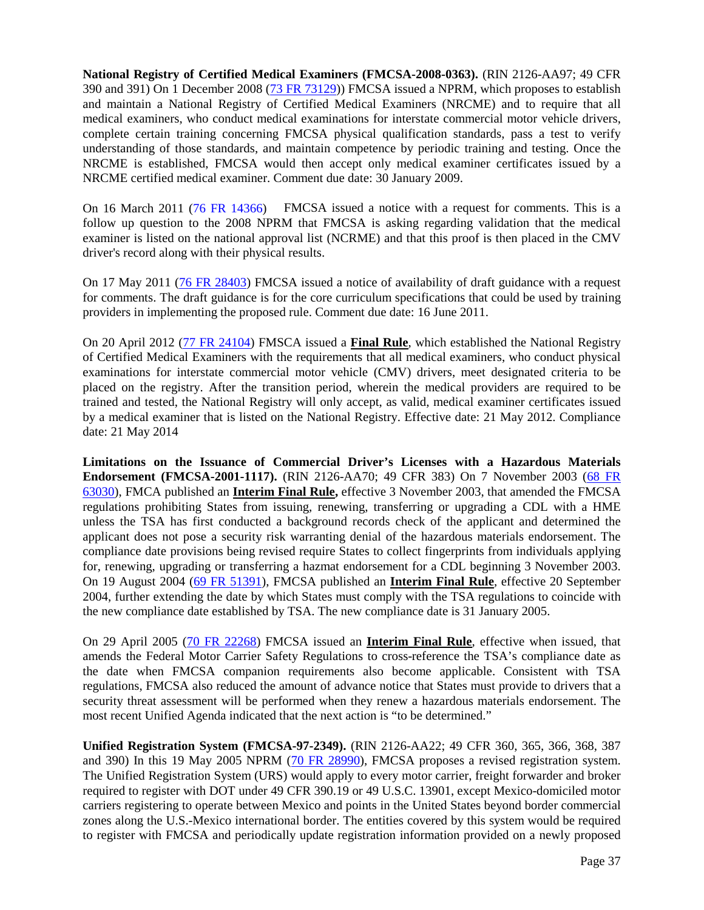**National Registry of Certified Medical Examiners (FMCSA-2008-0363).** (RIN 2126-AA97; 49 CFR 390 and 391) On 1 December 2008 [\(73 FR 73129\)](http://edocket.access.gpo.gov/2008/pdf/E8-28172.pdf)) FMCSA issued a NPRM, which proposes to establish and maintain a National Registry of Certified Medical Examiners (NRCME) and to require that all medical examiners, who conduct medical examinations for interstate commercial motor vehicle drivers, complete certain training concerning FMCSA physical qualification standards, pass a test to verify understanding of those standards, and maintain competence by periodic training and testing. Once the NRCME is established, FMCSA would then accept only medical examiner certificates issued by a NRCME certified medical examiner. Comment due date: 30 January 2009.

On 16 March 2011 [\(76 FR 14366\)](http://edocket.access.gpo.gov/2011/pdf/2011-5885.pdf) FMCSA issued a notice with a request for comments. This is a follow up question to the 2008 NPRM that FMCSA is asking regarding validation that the medical examiner is listed on the national approval list (NCRME) and that this proof is then placed in the CMV driver's record along with their physical results.

On 17 May 2011 [\(76 FR 28403\)](http://www.gpo.gov/fdsys/pkg/FR-2011-05-17/pdf/2011-11934.pdf) FMCSA issued a notice of availability of draft guidance with a request for comments. The draft guidance is for the core curriculum specifications that could be used by training providers in implementing the proposed rule. Comment due date: 16 June 2011.

On 20 April 2012 [\(77 FR 24104\)](http://www.gpo.gov/fdsys/pkg/FR-2012-04-20/pdf/2012-9034.pdf) FMSCA issued a **Final Rule**, which established the National Registry of Certified Medical Examiners with the requirements that all medical examiners, who conduct physical examinations for interstate commercial motor vehicle (CMV) drivers, meet designated criteria to be placed on the registry. After the transition period, wherein the medical providers are required to be trained and tested, the National Registry will only accept, as valid, medical examiner certificates issued by a medical examiner that is listed on the National Registry. Effective date: 21 May 2012. Compliance date: 21 May 2014

**Limitations on the Issuance of Commercial Driver's Licenses with a Hazardous Materials Endorsement (FMCSA-2001-1117).** (RIN 2126-AA70; 49 CFR 383) On 7 November 2003 [\(68 FR](http://a257.g.akamaitech.net/7/257/2422/14mar20010800/edocket.access.gpo.gov/2003/pdf/03-28175.pdf)  [63030\)](http://a257.g.akamaitech.net/7/257/2422/14mar20010800/edocket.access.gpo.gov/2003/pdf/03-28175.pdf), FMCA published an **Interim Final Rule,** effective 3 November 2003, that amended the FMCSA regulations prohibiting States from issuing, renewing, transferring or upgrading a CDL with a HME unless the TSA has first conducted a background records check of the applicant and determined the applicant does not pose a security risk warranting denial of the hazardous materials endorsement. The compliance date provisions being revised require States to collect fingerprints from individuals applying for, renewing, upgrading or transferring a hazmat endorsement for a CDL beginning 3 November 2003. On 19 August 2004 [\(69 FR 51391\)](http://edocket.access.gpo.gov/2004/pdf/04-19004.pdf), FMCSA published an **Interim Final Rule**, effective 20 September 2004, further extending the date by which States must comply with the TSA regulations to coincide with the new compliance date established by TSA. The new compliance date is 31 January 2005.

On 29 April 2005 [\(70 FR 22268\)](http://edocket.access.gpo.gov/2005/pdf/05-8572.pdf) FMCSA issued an **Interim Final Rule**, effective when issued, that amends the Federal Motor Carrier Safety Regulations to cross-reference the TSA's compliance date as the date when FMCSA companion requirements also become applicable. Consistent with TSA regulations, FMCSA also reduced the amount of advance notice that States must provide to drivers that a security threat assessment will be performed when they renew a hazardous materials endorsement. The most recent Unified Agenda indicated that the next action is "to be determined."

**Unified Registration System (FMCSA-97-2349).** (RIN 2126-AA22; 49 CFR 360, 365, 366, 368, 387 and 390) In this 19 May 2005 NPRM [\(70 FR 28990\)](http://edocket.access.gpo.gov/2005/pdf/05-9692.pdf), FMCSA proposes a revised registration system. The Unified Registration System (URS) would apply to every motor carrier, freight forwarder and broker required to register with DOT under 49 CFR 390.19 or 49 U.S.C. 13901, except Mexico-domiciled motor carriers registering to operate between Mexico and points in the United States beyond border commercial zones along the U.S.-Mexico international border. The entities covered by this system would be required to register with FMCSA and periodically update registration information provided on a newly proposed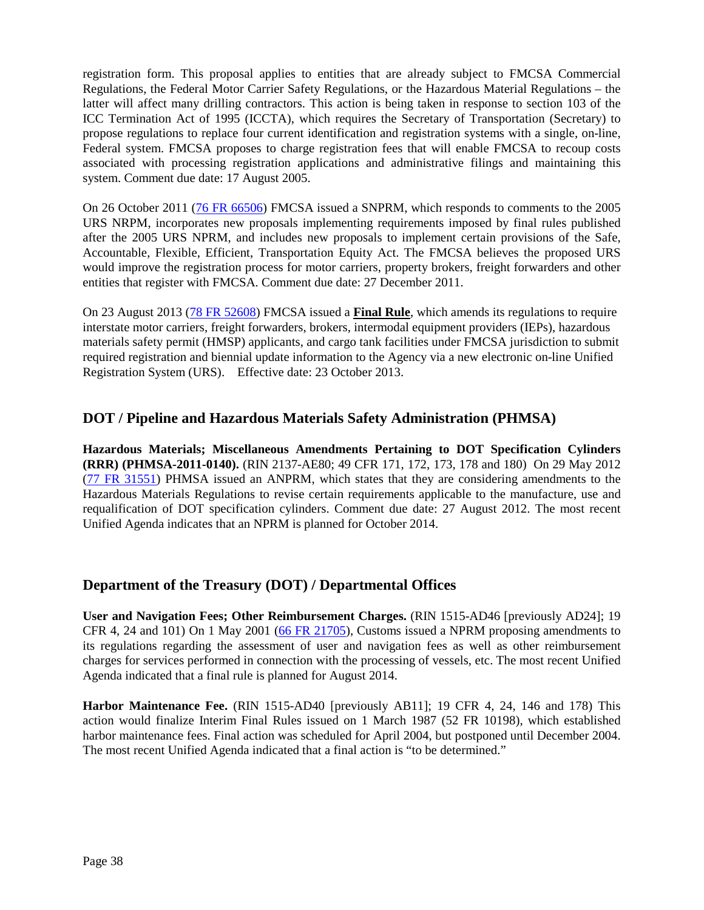registration form. This proposal applies to entities that are already subject to FMCSA Commercial Regulations, the Federal Motor Carrier Safety Regulations, or the Hazardous Material Regulations – the latter will affect many drilling contractors. This action is being taken in response to section 103 of the ICC Termination Act of 1995 (ICCTA), which requires the Secretary of Transportation (Secretary) to propose regulations to replace four current identification and registration systems with a single, on-line, Federal system. FMCSA proposes to charge registration fees that will enable FMCSA to recoup costs associated with processing registration applications and administrative filings and maintaining this system. Comment due date: 17 August 2005.

On 26 October 2011 [\(76 FR 66506\)](http://www.gpo.gov/fdsys/pkg/FR-2011-10-26/pdf/2011-26958.pdf) FMCSA issued a SNPRM, which responds to comments to the 2005 URS NRPM, incorporates new proposals implementing requirements imposed by final rules published after the 2005 URS NPRM, and includes new proposals to implement certain provisions of the Safe, Accountable, Flexible, Efficient, Transportation Equity Act. The FMCSA believes the proposed URS would improve the registration process for motor carriers, property brokers, freight forwarders and other entities that register with FMCSA. Comment due date: 27 December 2011.

On 23 August 2013 [\(78 FR 52608\)](http://www.gpo.gov/fdsys/pkg/FR-2013-08-23/pdf/2013-20446.pdf) FMCSA issued a **Final Rule**, which amends its regulations to require interstate motor carriers, freight forwarders, brokers, intermodal equipment providers (IEPs), hazardous materials safety permit (HMSP) applicants, and cargo tank facilities under FMCSA jurisdiction to submit required registration and biennial update information to the Agency via a new electronic on-line Unified Registration System (URS). Effective date: 23 October 2013.

### **DOT / Pipeline and Hazardous Materials Safety Administration (PHMSA)**

**Hazardous Materials; Miscellaneous Amendments Pertaining to DOT Specification Cylinders (RRR) (PHMSA-2011-0140).** (RIN 2137-AE80; 49 CFR 171, 172, 173, 178 and 180) On 29 May 2012 [\(77 FR 31551\)](http://www.gpo.gov/fdsys/pkg/FR-2012-05-29/pdf/2012-12832.pdf) PHMSA issued an ANPRM, which states that they are considering amendments to the Hazardous Materials Regulations to revise certain requirements applicable to the manufacture, use and requalification of DOT specification cylinders. Comment due date: 27 August 2012. The most recent Unified Agenda indicates that an NPRM is planned for October 2014.

### **Department of the Treasury (DOT) / Departmental Offices**

**User and Navigation Fees; Other Reimbursement Charges.** (RIN 1515-AD46 [previously AD24]; 19 CFR 4, 24 and 101) On 1 May 2001 [\(66 FR 21705\)](http://frwebgate.access.gpo.gov/cgi-bin/getdoc.cgi?dbname=2001_register&docid=01-10718-filed.pdf), Customs issued a NPRM proposing amendments to its regulations regarding the assessment of user and navigation fees as well as other reimbursement charges for services performed in connection with the processing of vessels, etc. The most recent Unified Agenda indicated that a final rule is planned for August 2014.

**Harbor Maintenance Fee.** (RIN 1515-AD40 [previously AB11]; 19 CFR 4, 24, 146 and 178) This action would finalize Interim Final Rules issued on 1 March 1987 (52 FR 10198), which established harbor maintenance fees. Final action was scheduled for April 2004, but postponed until December 2004. The most recent Unified Agenda indicated that a final action is "to be determined."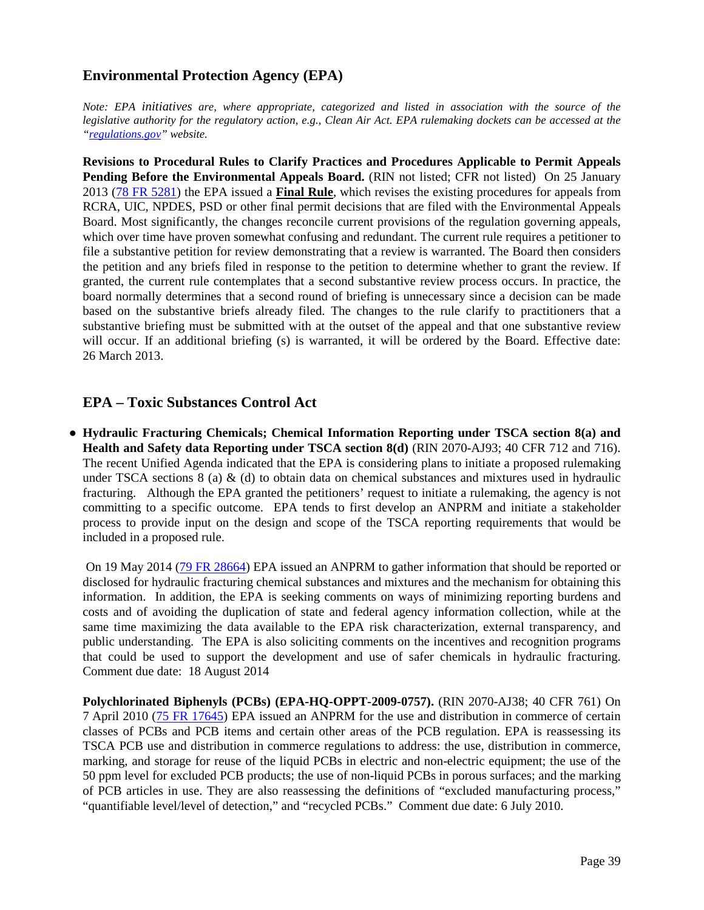#### **Environmental Protection Agency (EPA)**

*Note: EPA initiatives are, where appropriate, categorized and listed in association with the source of the legislative authority for the regulatory action, e.g., Clean Air Act. EPA rulemaking dockets can be accessed at the ["regulations.gov"](http://www.regulations.gov/fdmspublic/component/main) website.*

**Revisions to Procedural Rules to Clarify Practices and Procedures Applicable to Permit Appeals**  Pending Before the Environmental Appeals Board. (RIN not listed; CFR not listed) On 25 January 2013 [\(78 FR 5281\)](http://www.gpo.gov/fdsys/pkg/FR-2013-01-25/pdf/2013-01318.pdf) the EPA issued a **Final Rule**, which revises the existing procedures for appeals from RCRA, UIC, NPDES, PSD or other final permit decisions that are filed with the Environmental Appeals Board. Most significantly, the changes reconcile current provisions of the regulation governing appeals, which over time have proven somewhat confusing and redundant. The current rule requires a petitioner to file a substantive petition for review demonstrating that a review is warranted. The Board then considers the petition and any briefs filed in response to the petition to determine whether to grant the review. If granted, the current rule contemplates that a second substantive review process occurs. In practice, the board normally determines that a second round of briefing is unnecessary since a decision can be made based on the substantive briefs already filed. The changes to the rule clarify to practitioners that a substantive briefing must be submitted with at the outset of the appeal and that one substantive review will occur. If an additional briefing (s) is warranted, it will be ordered by the Board. Effective date: 26 March 2013.

#### **EPA – Toxic Substances Control Act**

**● Hydraulic Fracturing Chemicals; Chemical Information Reporting under TSCA section 8(a) and Health and Safety data Reporting under TSCA section 8(d)** (RIN 2070-AJ93; 40 CFR 712 and 716). The recent Unified Agenda indicated that the EPA is considering plans to initiate a proposed rulemaking under TSCA sections  $8$  (a)  $\&$  (d) to obtain data on chemical substances and mixtures used in hydraulic fracturing. Although the EPA granted the petitioners' request to initiate a rulemaking, the agency is not committing to a specific outcome. EPA tends to first develop an ANPRM and initiate a stakeholder process to provide input on the design and scope of the TSCA reporting requirements that would be included in a proposed rule.

On 19 May 2014 [\(79 FR 28664\)](http://www.gpo.gov/fdsys/pkg/FR-2014-05-19/pdf/2014-11501.pdf) EPA issued an ANPRM to gather information that should be reported or disclosed for hydraulic fracturing chemical substances and mixtures and the mechanism for obtaining this information. In addition, the EPA is seeking comments on ways of minimizing reporting burdens and costs and of avoiding the duplication of state and federal agency information collection, while at the same time maximizing the data available to the EPA risk characterization, external transparency, and public understanding. The EPA is also soliciting comments on the incentives and recognition programs that could be used to support the development and use of safer chemicals in hydraulic fracturing. Comment due date: 18 August 2014

**Polychlorinated Biphenyls (PCBs) (EPA-HQ-OPPT-2009-0757).** (RIN 2070-AJ38; 40 CFR 761) On 7 April 2010 [\(75 FR 17645\)](http://edocket.access.gpo.gov/2010/pdf/2010-7751.pdf) EPA issued an ANPRM for the use and distribution in commerce of certain classes of PCBs and PCB items and certain other areas of the PCB regulation. EPA is reassessing its TSCA PCB use and distribution in commerce regulations to address: the use, distribution in commerce, marking, and storage for reuse of the liquid PCBs in electric and non-electric equipment; the use of the 50 ppm level for excluded PCB products; the use of non-liquid PCBs in porous surfaces; and the marking of PCB articles in use. They are also reassessing the definitions of "excluded manufacturing process," "quantifiable level/level of detection," and "recycled PCBs." Comment due date: 6 July 2010.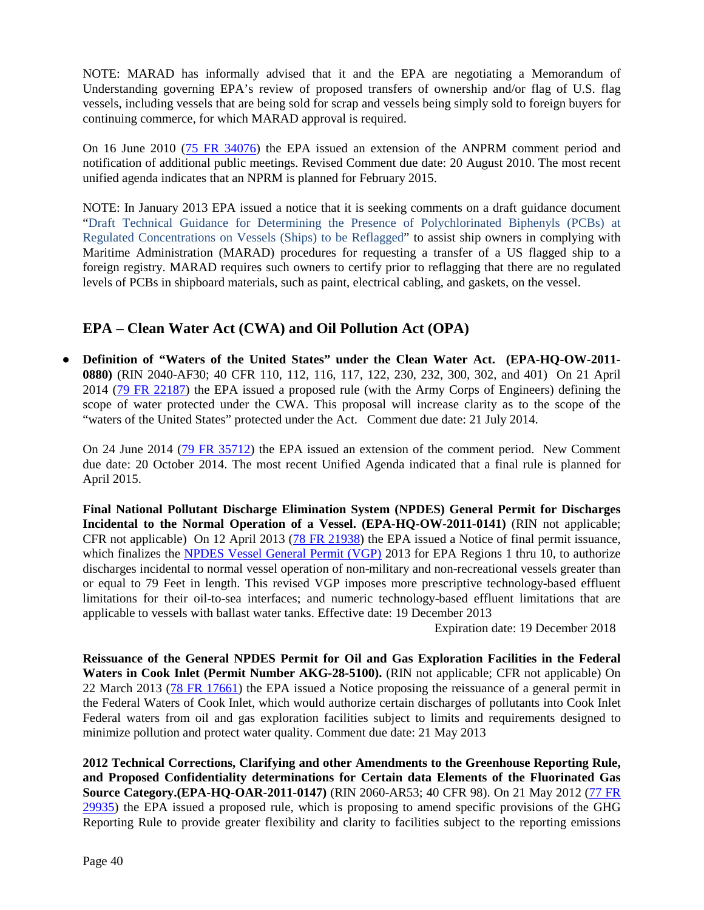NOTE: MARAD has informally advised that it and the EPA are negotiating a Memorandum of Understanding governing EPA's review of proposed transfers of ownership and/or flag of U.S. flag vessels, including vessels that are being sold for scrap and vessels being simply sold to foreign buyers for continuing commerce, for which MARAD approval is required.

On 16 June 2010 [\(75 FR 34076\)](http://edocket.access.gpo.gov/2010/pdf/2010-14522.pdf) the EPA issued an extension of the ANPRM comment period and notification of additional public meetings. Revised Comment due date: 20 August 2010. The most recent unified agenda indicates that an NPRM is planned for February 2015.

NOTE: In January 2013 EPA issued a notice that it is seeking comments on a draft guidance document ["Draft Technical Guidance for Determining the Presence of Polychlorinated Biphenyls \(PCBs\) at](http://www.epa.gov/waste/hazard/tsd/pcbs/pdf/draft-pcb-ships-guidance.pdf)  [Regulated Concentrations on Vessels \(Ships\) to be Reflagged"](http://www.epa.gov/waste/hazard/tsd/pcbs/pdf/draft-pcb-ships-guidance.pdf) to assist ship owners in complying with Maritime Administration (MARAD) procedures for requesting a transfer of a US flagged ship to a foreign registry. MARAD requires such owners to certify prior to reflagging that there are no regulated levels of PCBs in shipboard materials, such as paint, electrical cabling, and gaskets, on the vessel.

### **EPA – Clean Water Act (CWA) and Oil Pollution Act (OPA)**

● **Definition of "Waters of the United States" under the Clean Water Act. (EPA-HQ-OW-2011- 0880)** (RIN 2040-AF30; 40 CFR 110, 112, 116, 117, 122, 230, 232, 300, 302, and 401) On 21 April 2014 [\(79 FR 22187\)](http://www.gpo.gov/fdsys/pkg/FR-2014-04-21/pdf/2014-07142.pdf) the EPA issued a proposed rule (with the Army Corps of Engineers) defining the scope of water protected under the CWA. This proposal will increase clarity as to the scope of the "waters of the United States" protected under the Act. Comment due date: 21 July 2014.

On 24 June 2014 [\(79 FR 35712\)](http://www.gpo.gov/fdsys/pkg/FR-2014-06-24/pdf/2014-14674.pdf) the EPA issued an extension of the comment period. New Comment due date: 20 October 2014. The most recent Unified Agenda indicated that a final rule is planned for April 2015.

**Final National Pollutant Discharge Elimination System (NPDES) General Permit for Discharges Incidental to the Normal Operation of a Vessel. (EPA-HQ-OW-2011-0141)** (RIN not applicable; CFR not applicable) On 12 April 2013 [\(78 FR 21938\)](http://www.gpo.gov/fdsys/pkg/FR-2013-04-12/pdf/2013-08662.pdf) the EPA issued a Notice of final permit issuance, which finalizes the [NPDES Vessel General Permit \(VGP\)](http://www.epa.gov/npdes/pubs/vgp_permit2013.pdf) 2013 for EPA Regions 1 thru 10, to authorize discharges incidental to normal vessel operation of non-military and non-recreational vessels greater than or equal to 79 Feet in length. This revised VGP imposes more prescriptive technology-based effluent limitations for their oil-to-sea interfaces; and numeric technology-based effluent limitations that are applicable to vessels with ballast water tanks. Effective date: 19 December 2013

Expiration date: 19 December 2018

**Reissuance of the General NPDES Permit for Oil and Gas Exploration Facilities in the Federal Waters in Cook Inlet (Permit Number AKG-28-5100).** (RIN not applicable; CFR not applicable) On 22 March 2013 [\(78 FR 17661\)](http://www.gpo.gov/fdsys/pkg/FR-2013-03-22/pdf/2013-06669.pdf) the EPA issued a Notice proposing the reissuance of a general permit in the Federal Waters of Cook Inlet, which would authorize certain discharges of pollutants into Cook Inlet Federal waters from oil and gas exploration facilities subject to limits and requirements designed to minimize pollution and protect water quality. Comment due date: 21 May 2013

**2012 Technical Corrections, Clarifying and other Amendments to the Greenhouse Reporting Rule, and Proposed Confidentiality determinations for Certain data Elements of the Fluorinated Gas Source Category.(EPA-HQ-OAR-2011-0147)** (RIN 2060-AR53; 40 CFR 98). On 21 May 2012 [\(77 FR](http://www.gpo.gov/fdsys/pkg/FR-2012-05-21/pdf/2012-12193.pdf)  [29935\)](http://www.gpo.gov/fdsys/pkg/FR-2012-05-21/pdf/2012-12193.pdf) the EPA issued a proposed rule, which is proposing to amend specific provisions of the GHG Reporting Rule to provide greater flexibility and clarity to facilities subject to the reporting emissions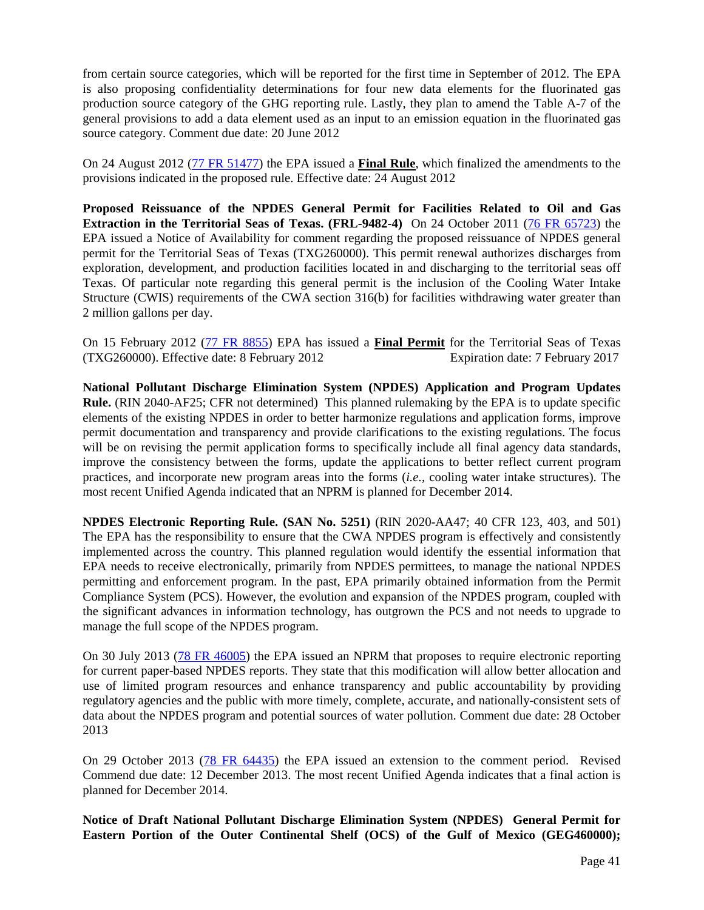from certain source categories, which will be reported for the first time in September of 2012. The EPA is also proposing confidentiality determinations for four new data elements for the fluorinated gas production source category of the GHG reporting rule. Lastly, they plan to amend the Table A-7 of the general provisions to add a data element used as an input to an emission equation in the fluorinated gas source category. Comment due date: 20 June 2012

On 24 August 2012 [\(77 FR 51477\)](http://www.gpo.gov/fdsys/pkg/FR-2012-08-24/pdf/2012-19957.pdf) the EPA issued a **Final Rule**, which finalized the amendments to the provisions indicated in the proposed rule. Effective date: 24 August 2012

**Proposed Reissuance of the NPDES General Permit for Facilities Related to Oil and Gas Extraction in the Territorial Seas of Texas. (FRL-9482-4)** On 24 October 2011 [\(76 FR 65723\)](http://www.gpo.gov/fdsys/pkg/FR-2011-10-24/pdf/2011-27421.pdf) the EPA issued a Notice of Availability for comment regarding the proposed reissuance of NPDES general permit for the Territorial Seas of Texas (TXG260000). This permit renewal authorizes discharges from exploration, development, and production facilities located in and discharging to the territorial seas off Texas. Of particular note regarding this general permit is the inclusion of the Cooling Water Intake Structure (CWIS) requirements of the CWA section 316(b) for facilities withdrawing water greater than 2 million gallons per day.

On 15 February 2012 [\(77 FR 8855\)](http://www.gpo.gov/fdsys/pkg/FR-2012-02-15/pdf/2012-3584.pdf) EPA has issued a **Final Permit** for the Territorial Seas of Texas (TXG260000). Effective date: 8 February 2012 Expiration date: 7 February 2017

**National Pollutant Discharge Elimination System (NPDES) Application and Program Updates Rule.** (RIN 2040-AF25; CFR not determined) This planned rulemaking by the EPA is to update specific elements of the existing NPDES in order to better harmonize regulations and application forms, improve permit documentation and transparency and provide clarifications to the existing regulations. The focus will be on revising the permit application forms to specifically include all final agency data standards, improve the consistency between the forms, update the applications to better reflect current program practices, and incorporate new program areas into the forms (*i.e.*, cooling water intake structures). The most recent Unified Agenda indicated that an NPRM is planned for December 2014.

**NPDES Electronic Reporting Rule. (SAN No. 5251)** (RIN 2020-AA47; 40 CFR 123, 403, and 501) The EPA has the responsibility to ensure that the CWA NPDES program is effectively and consistently implemented across the country. This planned regulation would identify the essential information that EPA needs to receive electronically, primarily from NPDES permittees, to manage the national NPDES permitting and enforcement program. In the past, EPA primarily obtained information from the Permit Compliance System (PCS). However, the evolution and expansion of the NPDES program, coupled with the significant advances in information technology, has outgrown the PCS and not needs to upgrade to manage the full scope of the NPDES program.

On 30 July 2013 [\(78 FR 46005\)](http://www.gpo.gov/fdsys/pkg/FR-2013-07-30/pdf/2013-17551.pdf) the EPA issued an NPRM that proposes to require electronic reporting for current paper-based NPDES reports. They state that this modification will allow better allocation and use of limited program resources and enhance transparency and public accountability by providing regulatory agencies and the public with more timely, complete, accurate, and nationally-consistent sets of data about the NPDES program and potential sources of water pollution. Comment due date: 28 October 2013

On 29 October 2013 [\(78 FR 64435\)](http://www.gpo.gov/fdsys/pkg/FR-2013-10-29/html/2013-25577.htm) the EPA issued an extension to the comment period. Revised Commend due date: 12 December 2013. The most recent Unified Agenda indicates that a final action is planned for December 2014.

**Notice of Draft National Pollutant Discharge Elimination System (NPDES) General Permit for Eastern Portion of the Outer Continental Shelf (OCS) of the Gulf of Mexico (GEG460000);**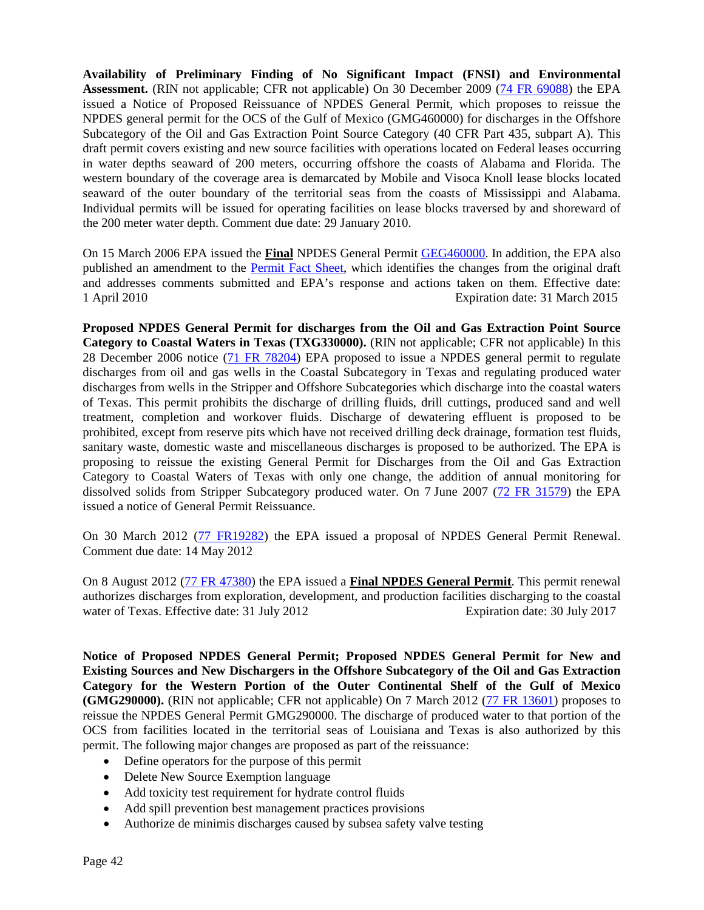**Availability of Preliminary Finding of No Significant Impact (FNSI) and Environmental**  Assessment. (RIN not applicable; CFR not applicable) On 30 December 2009 [\(74 FR 69088\)](http://edocket.access.gpo.gov/2009/pdf/E9-30852.pdf) the EPA issued a Notice of Proposed Reissuance of NPDES General Permit, which proposes to reissue the NPDES general permit for the OCS of the Gulf of Mexico (GMG460000) for discharges in the Offshore Subcategory of the Oil and Gas Extraction Point Source Category (40 CFR Part 435, subpart A). This draft permit covers existing and new source facilities with operations located on Federal leases occurring in water depths seaward of 200 meters, occurring offshore the coasts of Alabama and Florida. The western boundary of the coverage area is demarcated by Mobile and Visoca Knoll lease blocks located seaward of the outer boundary of the territorial seas from the coasts of Mississippi and Alabama. Individual permits will be issued for operating facilities on lease blocks traversed by and shoreward of the 200 meter water depth. Comment due date: 29 January 2010.

On 15 March 2006 EPA issued the **Final** NPDES General Permit [GEG460000.](http://www.epa.gov/region4/water/permits/documents/final_r4_ocspermit_03152010.pdf) In addition, the EPA also published an amendment to the [Permit Fact Sheet,](http://www.epa.gov/region4/water/permits/documents/epa_amendment_permit_fact_sheet_031510.pdf) which identifies the changes from the original draft and addresses comments submitted and EPA's response and actions taken on them. Effective date:<br>1 April 2010 Expiration date: 31 March 2015 Expiration date: 31 March 2015

**Proposed NPDES General Permit for discharges from the Oil and Gas Extraction Point Source Category to Coastal Waters in Texas (TXG330000).** (RIN not applicable; CFR not applicable) In this 28 December 2006 notice [\(71 FR 78204\)](http://edocket.access.gpo.gov/2006/pdf/E6-22154.pdf) EPA proposed to issue a NPDES general permit to regulate discharges from oil and gas wells in the Coastal Subcategory in Texas and regulating produced water discharges from wells in the Stripper and Offshore Subcategories which discharge into the coastal waters of Texas. This permit prohibits the discharge of drilling fluids, drill cuttings, produced sand and well treatment, completion and workover fluids. Discharge of dewatering effluent is proposed to be prohibited, except from reserve pits which have not received drilling deck drainage, formation test fluids, sanitary waste, domestic waste and miscellaneous discharges is proposed to be authorized. The EPA is proposing to reissue the existing General Permit for Discharges from the Oil and Gas Extraction Category to Coastal Waters of Texas with only one change, the addition of annual monitoring for dissolved solids from Stripper Subcategory produced water. On 7 June 2007 [\(72 FR 31579\)](http://edocket.access.gpo.gov/2007/pdf/E7-11034.pdf) the EPA issued a notice of General Permit Reissuance.

On 30 March 2012 [\(77 FR19282\)](http://www.gpo.gov/fdsys/pkg/FR-2012-03-30/pdf/2012-7686.pdf) the EPA issued a proposal of NPDES General Permit Renewal. Comment due date: 14 May 2012

On 8 August 2012 [\(77 FR 47380\)](http://www.gpo.gov/fdsys/pkg/FR-2012-08-08/pdf/2012-19398.pdf) the EPA issued a **Final NPDES General Permit**. This permit renewal authorizes discharges from exploration, development, and production facilities discharging to the coastal water of Texas. Effective date: 31 July 2012 Expiration date: 30 July 2017

**Notice of Proposed NPDES General Permit; Proposed NPDES General Permit for New and Existing Sources and New Dischargers in the Offshore Subcategory of the Oil and Gas Extraction Category for the Western Portion of the Outer Continental Shelf of the Gulf of Mexico (GMG290000).** (RIN not applicable; CFR not applicable) On 7 March 2012 [\(77 FR 13601\)](http://www.gpo.gov/fdsys/pkg/FR-2012-03-07/pdf/2012-5534.pdf) proposes to reissue the NPDES General Permit GMG290000. The discharge of produced water to that portion of the OCS from facilities located in the territorial seas of Louisiana and Texas is also authorized by this permit. The following major changes are proposed as part of the reissuance:

- Define operators for the purpose of this permit
- Delete New Source Exemption language
- Add toxicity test requirement for hydrate control fluids
- Add spill prevention best management practices provisions
- Authorize de minimis discharges caused by subsea safety valve testing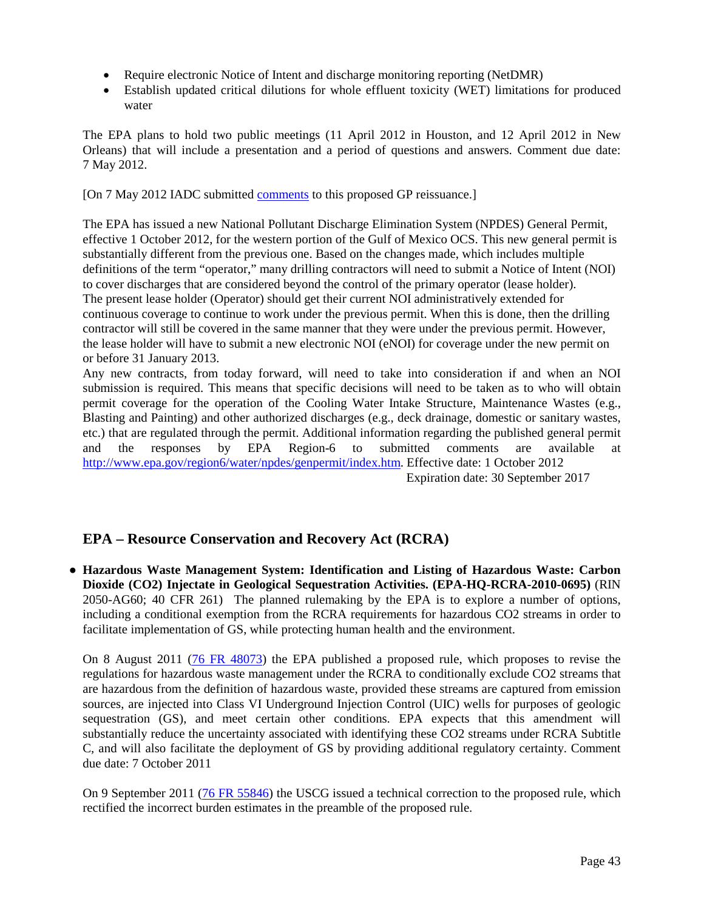- Require electronic Notice of Intent and discharge monitoring reporting (NetDMR)
- Establish updated critical dilutions for whole effluent toxicity (WET) limitations for produced water

The EPA plans to hold two public meetings (11 April 2012 in Houston, and 12 April 2012 in New Orleans) that will include a presentation and a period of questions and answers. Comment due date: 7 May 2012.

[On 7 May 2012 IADC submitted [comments](http://www.iadc.org/offshore-operating-division/documents/) to this proposed GP reissuance.]

The EPA has issued a new National Pollutant Discharge Elimination System (NPDES) General Permit, effective 1 October 2012, for the western portion of the Gulf of Mexico OCS. This new general permit is substantially different from the previous one. Based on the changes made, which includes multiple definitions of the term "operator," many drilling contractors will need to submit a Notice of Intent (NOI) to cover discharges that are considered beyond the control of the primary operator (lease holder). The present lease holder (Operator) should get their current NOI administratively extended for continuous coverage to continue to work under the previous permit. When this is done, then the drilling contractor will still be covered in the same manner that they were under the previous permit. However, the lease holder will have to submit a new electronic NOI (eNOI) for coverage under the new permit on or before 31 January 2013.

Any new contracts, from today forward, will need to take into consideration if and when an NOI submission is required. This means that specific decisions will need to be taken as to who will obtain permit coverage for the operation of the Cooling Water Intake Structure, Maintenance Wastes (e.g., Blasting and Painting) and other authorized discharges (e.g., deck drainage, domestic or sanitary wastes, etc.) that are regulated through the permit. Additional information regarding the published general permit and the responses by EPA Region-6 to submitted comments are available at [http://www.epa.gov/region6/water/npdes/genpermit/index.htm.](http://www.epa.gov/region6/water/npdes/genpermit/index.htm) Effective date: 1 October 2012

Expiration date: 30 September 2017

### **EPA – Resource Conservation and Recovery Act (RCRA)**

**● Hazardous Waste Management System: Identification and Listing of Hazardous Waste: Carbon Dioxide (CO2) Injectate in Geological Sequestration Activities. (EPA-HQ-RCRA-2010-0695)** (RIN 2050-AG60; 40 CFR 261) The planned rulemaking by the EPA is to explore a number of options, including a conditional exemption from the RCRA requirements for hazardous CO2 streams in order to facilitate implementation of GS, while protecting human health and the environment.

On 8 August 2011 [\(76 FR 48073\)](http://www.gpo.gov/fdsys/pkg/FR-2011-08-08/pdf/2011-19915.pdf) the EPA published a proposed rule, which proposes to revise the regulations for hazardous waste management under the RCRA to conditionally exclude CO2 streams that are hazardous from the definition of hazardous waste, provided these streams are captured from emission sources, are injected into Class VI Underground Injection Control (UIC) wells for purposes of geologic sequestration (GS), and meet certain other conditions. EPA expects that this amendment will substantially reduce the uncertainty associated with identifying these CO2 streams under RCRA Subtitle C, and will also facilitate the deployment of GS by providing additional regulatory certainty. Comment due date: 7 October 2011

On 9 September 2011 [\(76 FR 55846\)](http://www.gpo.gov/fdsys/pkg/FR-2011-09-09/pdf/2011-23156.pdf) the USCG issued a technical correction to the proposed rule, which rectified the incorrect burden estimates in the preamble of the proposed rule.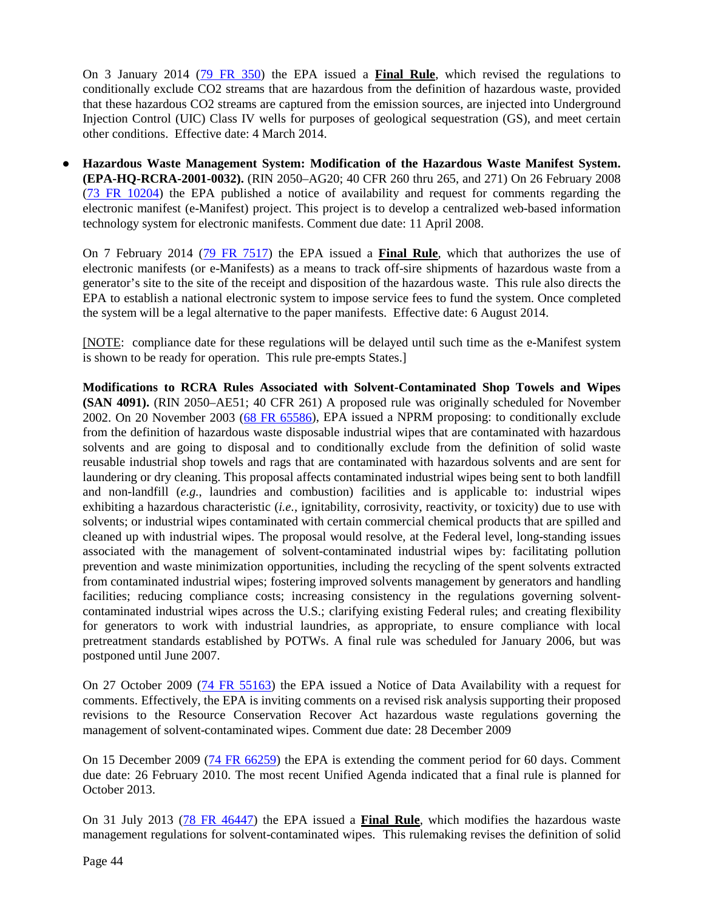On 3 January 2014 [\(79 FR 350\)](http://www.gpo.gov/fdsys/pkg/FR-2014-01-03/pdf/2013-31246.pdf) the EPA issued a **Final Rule**, which revised the regulations to conditionally exclude CO2 streams that are hazardous from the definition of hazardous waste, provided that these hazardous CO2 streams are captured from the emission sources, are injected into Underground Injection Control (UIC) Class IV wells for purposes of geological sequestration (GS), and meet certain other conditions. Effective date: 4 March 2014.

**● Hazardous Waste Management System: Modification of the Hazardous Waste Manifest System. (EPA-HQ-RCRA-2001-0032).** (RIN 2050–AG20; 40 CFR 260 thru 265, and 271) On 26 February 2008 [\(73 FR 10204\)](http://edocket.access.gpo.gov/2008/pdf/E8-3615.pdf) the EPA published a notice of availability and request for comments regarding the electronic manifest (e-Manifest) project. This project is to develop a centralized web-based information technology system for electronic manifests. Comment due date: 11 April 2008.

On 7 February 2014 [\(79 FR 7517\)](http://www.gpo.gov/fdsys/pkg/FR-2014-02-07/pdf/2014-01352.pdf) the EPA issued a **Final Rule**, which that authorizes the use of electronic manifests (or e-Manifests) as a means to track off-sire shipments of hazardous waste from a generator's site to the site of the receipt and disposition of the hazardous waste. This rule also directs the EPA to establish a national electronic system to impose service fees to fund the system. Once completed the system will be a legal alternative to the paper manifests. Effective date: 6 August 2014.

[NOTE: compliance date for these regulations will be delayed until such time as the e-Manifest system is shown to be ready for operation. This rule pre-empts States.]

**Modifications to RCRA Rules Associated with Solvent-Contaminated Shop Towels and Wipes (SAN 4091).** (RIN 2050–AE51; 40 CFR 261) A proposed rule was originally scheduled for November 2002. On 20 November 2003 [\(68 FR 65586\)](http://edocket.access.gpo.gov/2003/pdf/03-28652.pdf), EPA issued a NPRM proposing: to conditionally exclude from the definition of hazardous waste disposable industrial wipes that are contaminated with hazardous solvents and are going to disposal and to conditionally exclude from the definition of solid waste reusable industrial shop towels and rags that are contaminated with hazardous solvents and are sent for laundering or dry cleaning. This proposal affects contaminated industrial wipes being sent to both landfill and non-landfill (*e.g.*, laundries and combustion) facilities and is applicable to: industrial wipes exhibiting a hazardous characteristic (*i.e.*, ignitability, corrosivity, reactivity, or toxicity) due to use with solvents; or industrial wipes contaminated with certain commercial chemical products that are spilled and cleaned up with industrial wipes. The proposal would resolve, at the Federal level, long-standing issues associated with the management of solvent-contaminated industrial wipes by: facilitating pollution prevention and waste minimization opportunities, including the recycling of the spent solvents extracted from contaminated industrial wipes; fostering improved solvents management by generators and handling facilities; reducing compliance costs; increasing consistency in the regulations governing solventcontaminated industrial wipes across the U.S.; clarifying existing Federal rules; and creating flexibility for generators to work with industrial laundries, as appropriate, to ensure compliance with local pretreatment standards established by POTWs. A final rule was scheduled for January 2006, but was postponed until June 2007.

On 27 October 2009 [\(74 FR 55163\)](http://edocket.access.gpo.gov/2009/pdf/E9-25812.pdf) the EPA issued a Notice of Data Availability with a request for comments. Effectively, the EPA is inviting comments on a revised risk analysis supporting their proposed revisions to the Resource Conservation Recover Act hazardous waste regulations governing the management of solvent-contaminated wipes. Comment due date: 28 December 2009

On 15 December 2009 [\(74 FR 66259\)](http://edocket.access.gpo.gov/2009/pdf/E9-29804.pdf) the EPA is extending the comment period for 60 days. Comment due date: 26 February 2010. The most recent Unified Agenda indicated that a final rule is planned for October 2013.

On 31 July 2013 [\(78 FR 46447\)](http://www.gpo.gov/fdsys/pkg/FR-2013-07-31/pdf/2013-18285.pdf) the EPA issued a **Final Rule**, which modifies the hazardous waste management regulations for solvent-contaminated wipes. This rulemaking revises the definition of solid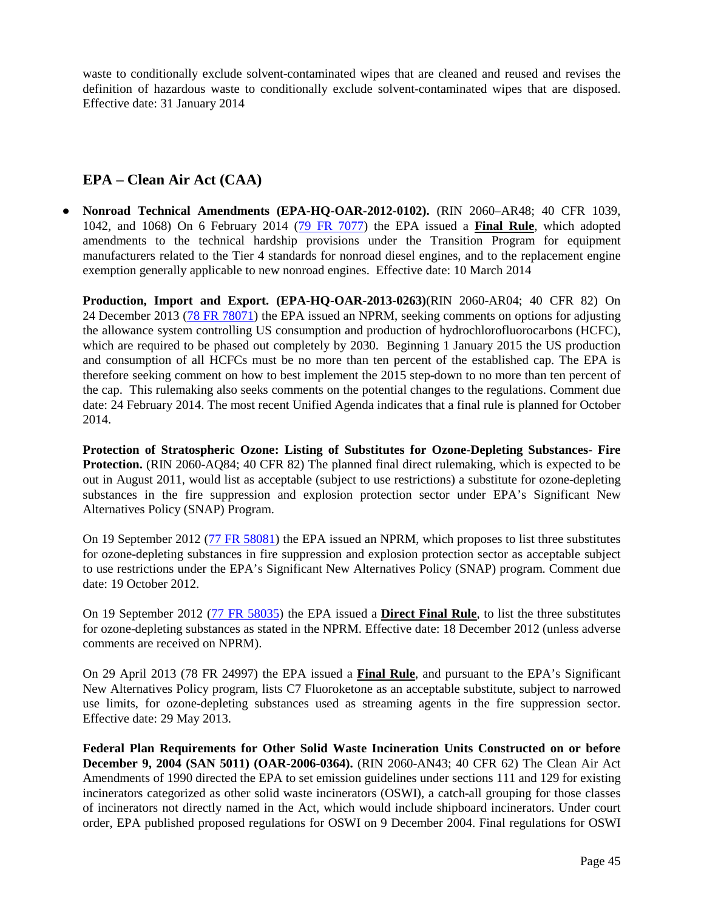waste to conditionally exclude solvent-contaminated wipes that are cleaned and reused and revises the definition of hazardous waste to conditionally exclude solvent-contaminated wipes that are disposed. Effective date: 31 January 2014

### **EPA – Clean Air Act (CAA)**

**● Nonroad Technical Amendments (EPA-HQ-OAR-2012-0102).** (RIN 2060–AR48; 40 CFR 1039, 1042, and 1068) On 6 February 2014 [\(79 FR 7077\)](http://www.gpo.gov/fdsys/pkg/FR-2014-02-06/pdf/2014-02612.pdf) the EPA issued a **Final Rule**, which adopted amendments to the technical hardship provisions under the Transition Program for equipment manufacturers related to the Tier 4 standards for nonroad diesel engines, and to the replacement engine exemption generally applicable to new nonroad engines. Effective date: 10 March 2014

**Production, Import and Export. (EPA-HQ-OAR-2013-0263)**(RIN 2060-AR04; 40 CFR 82) On 24 December 2013 [\(78 FR 78071\)](http://www.gpo.gov/fdsys/pkg/FR-2013-12-24/pdf/2013-29817.pdf) the EPA issued an NPRM, seeking comments on options for adjusting the allowance system controlling US consumption and production of hydrochlorofluorocarbons (HCFC), which are required to be phased out completely by 2030. Beginning 1 January 2015 the US production and consumption of all HCFCs must be no more than ten percent of the established cap. The EPA is therefore seeking comment on how to best implement the 2015 step-down to no more than ten percent of the cap. This rulemaking also seeks comments on the potential changes to the regulations. Comment due date: 24 February 2014. The most recent Unified Agenda indicates that a final rule is planned for October 2014.

**Protection of Stratospheric Ozone: Listing of Substitutes for Ozone-Depleting Substances- Fire Protection.** (RIN 2060-AQ84; 40 CFR 82) The planned final direct rulemaking, which is expected to be out in August 2011, would list as acceptable (subject to use restrictions) a substitute for ozone-depleting substances in the fire suppression and explosion protection sector under EPA's Significant New Alternatives Policy (SNAP) Program.

On 19 September 2012 [\(77 FR 58081\)](http://www.gpo.gov/fdsys/pkg/FR-2012-09-19/pdf/2012-23136.pdf) the EPA issued an NPRM, which proposes to list three substitutes for ozone-depleting substances in fire suppression and explosion protection sector as acceptable subject to use restrictions under the EPA's Significant New Alternatives Policy (SNAP) program. Comment due date: 19 October 2012.

On 19 September 2012 [\(77 FR 58035\)](http://www.gpo.gov/fdsys/pkg/FR-2012-09-19/pdf/2012-23138.pdf) the EPA issued a **Direct Final Rule**, to list the three substitutes for ozone-depleting substances as stated in the NPRM. Effective date: 18 December 2012 (unless adverse comments are received on NPRM).

On 29 April 2013 (78 FR 24997) the EPA issued a **Final Rule**, and pursuant to the EPA's Significant New Alternatives Policy program, lists C7 Fluoroketone as an acceptable substitute, subject to narrowed use limits, for ozone-depleting substances used as streaming agents in the fire suppression sector. Effective date: 29 May 2013.

**Federal Plan Requirements for Other Solid Waste Incineration Units Constructed on or before December 9, 2004 (SAN 5011) (OAR-2006-0364).** (RIN 2060-AN43; 40 CFR 62) The Clean Air Act Amendments of 1990 directed the EPA to set emission guidelines under sections 111 and 129 for existing incinerators categorized as other solid waste incinerators (OSWI), a catch-all grouping for those classes of incinerators not directly named in the Act, which would include shipboard incinerators. Under court order, EPA published proposed regulations for OSWI on 9 December 2004. Final regulations for OSWI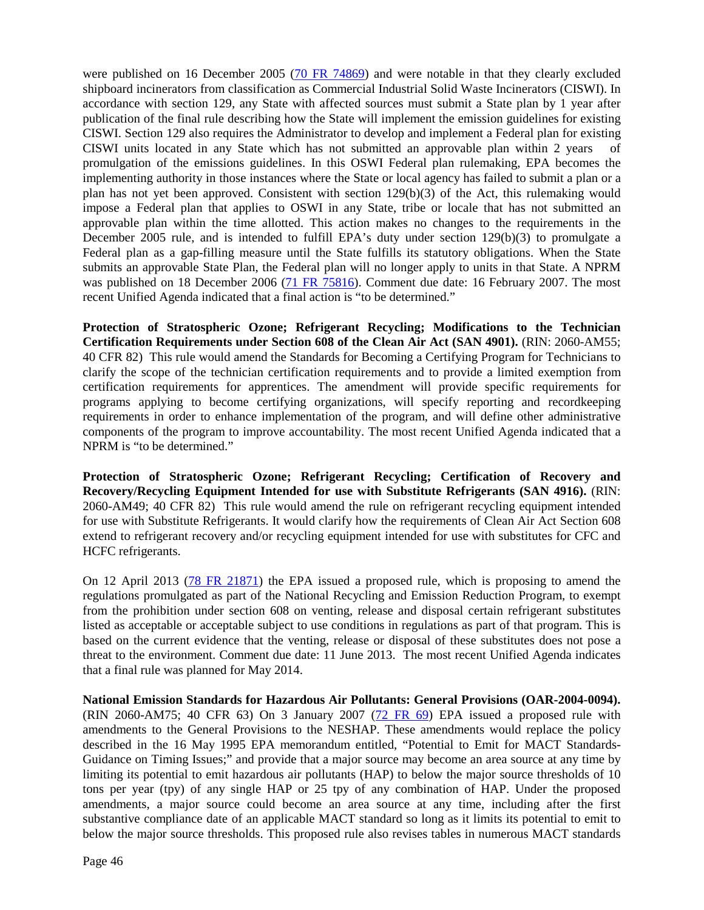were published on 16 December 2005 [\(70 FR 74869\)](http://edocket.access.gpo.gov/2005/pdf/05-23716.pdf) and were notable in that they clearly excluded shipboard incinerators from classification as Commercial Industrial Solid Waste Incinerators (CISWI). In accordance with section 129, any State with affected sources must submit a State plan by 1 year after publication of the final rule describing how the State will implement the emission guidelines for existing CISWI. Section 129 also requires the Administrator to develop and implement a Federal plan for existing CISWI units located in any State which has not submitted an approvable plan within 2 years of promulgation of the emissions guidelines. In this OSWI Federal plan rulemaking, EPA becomes the implementing authority in those instances where the State or local agency has failed to submit a plan or a plan has not yet been approved. Consistent with section 129(b)(3) of the Act, this rulemaking would impose a Federal plan that applies to OSWI in any State, tribe or locale that has not submitted an approvable plan within the time allotted. This action makes no changes to the requirements in the December 2005 rule, and is intended to fulfill EPA's duty under section 129(b)(3) to promulgate a Federal plan as a gap-filling measure until the State fulfills its statutory obligations. When the State submits an approvable State Plan, the Federal plan will no longer apply to units in that State. A NPRM was published on 18 December 2006 [\(71 FR 75816\)](http://edocket.access.gpo.gov/2006/pdf/E6-21285.pdf). Comment due date: 16 February 2007. The most recent Unified Agenda indicated that a final action is "to be determined."

**Protection of Stratospheric Ozone; Refrigerant Recycling; Modifications to the Technician Certification Requirements under Section 608 of the Clean Air Act (SAN 4901).** (RIN: 2060-AM55; 40 CFR 82) This rule would amend the Standards for Becoming a Certifying Program for Technicians to clarify the scope of the technician certification requirements and to provide a limited exemption from certification requirements for apprentices. The amendment will provide specific requirements for programs applying to become certifying organizations, will specify reporting and recordkeeping requirements in order to enhance implementation of the program, and will define other administrative components of the program to improve accountability. The most recent Unified Agenda indicated that a NPRM is "to be determined."

**Protection of Stratospheric Ozone; Refrigerant Recycling; Certification of Recovery and Recovery/Recycling Equipment Intended for use with Substitute Refrigerants (SAN 4916).** (RIN: 2060-AM49; 40 CFR 82) This rule would amend the rule on refrigerant recycling equipment intended for use with Substitute Refrigerants. It would clarify how the requirements of Clean Air Act Section 608 extend to refrigerant recovery and/or recycling equipment intended for use with substitutes for CFC and HCFC refrigerants.

On 12 April 2013 [\(78 FR 21871\)](http://www.gpo.gov/fdsys/pkg/FR-2013-04-12/pdf/2013-08667.pdf) the EPA issued a proposed rule, which is proposing to amend the regulations promulgated as part of the National Recycling and Emission Reduction Program, to exempt from the prohibition under section 608 on venting, release and disposal certain refrigerant substitutes listed as acceptable or acceptable subject to use conditions in regulations as part of that program. This is based on the current evidence that the venting, release or disposal of these substitutes does not pose a threat to the environment. Comment due date: 11 June 2013. The most recent Unified Agenda indicates that a final rule was planned for May 2014.

**National Emission Standards for Hazardous Air Pollutants: General Provisions (OAR-2004-0094).** (RIN 2060-AM75; 40 CFR 63) On 3 January 2007  $(72 \text{ FR } 69)$  EPA issued a proposed rule with amendments to the General Provisions to the NESHAP. These amendments would replace the policy described in the 16 May 1995 EPA memorandum entitled, "Potential to Emit for MACT Standards-Guidance on Timing Issues;" and provide that a major source may become an area source at any time by limiting its potential to emit hazardous air pollutants (HAP) to below the major source thresholds of 10 tons per year (tpy) of any single HAP or 25 tpy of any combination of HAP. Under the proposed amendments, a major source could become an area source at any time, including after the first substantive compliance date of an applicable MACT standard so long as it limits its potential to emit to below the major source thresholds. This proposed rule also revises tables in numerous MACT standards